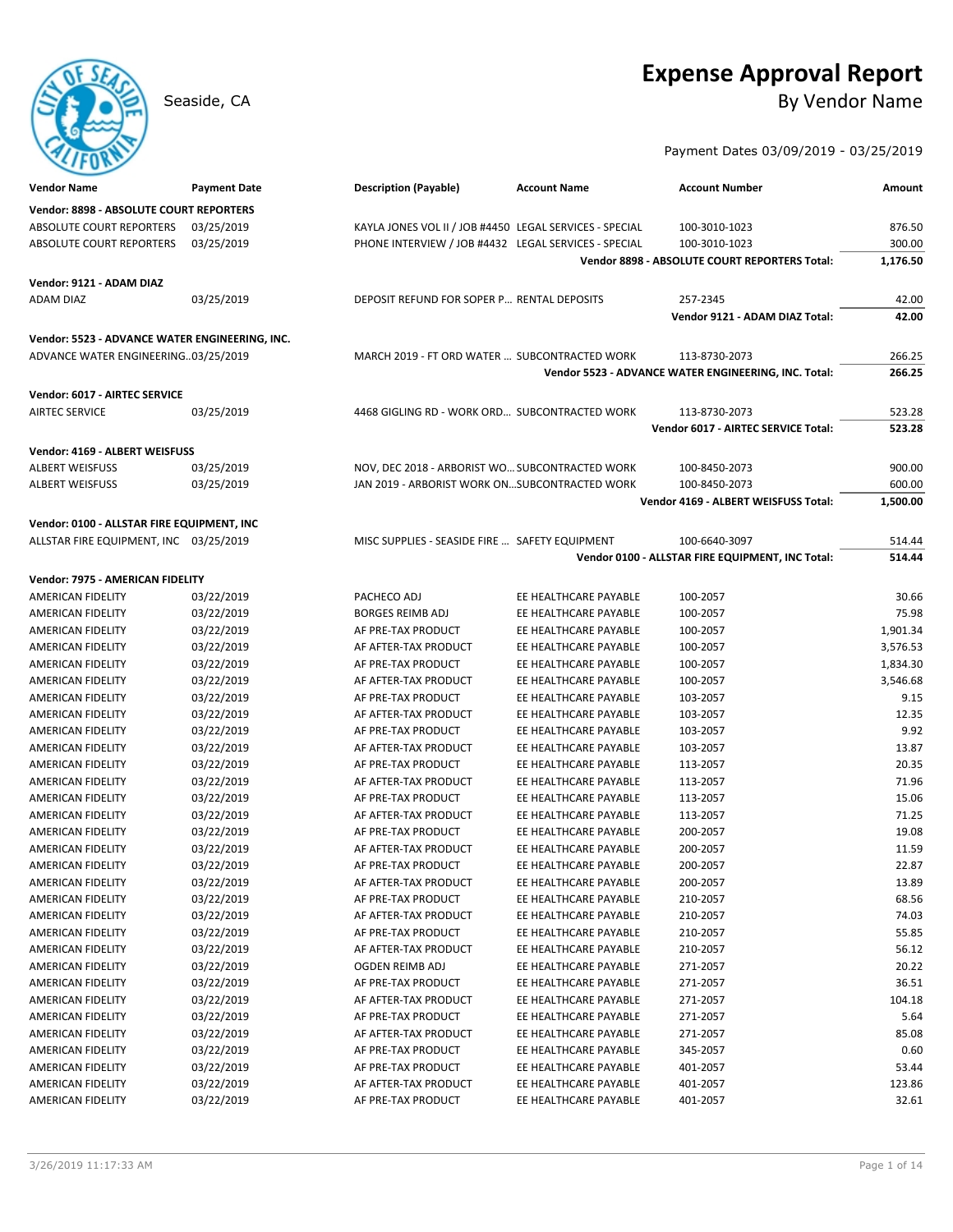# **Expense Approval Report**

Seaside, CA By Vendor Name

## Payment Dates 03/09/2019 - 03/25/2019

| <b>Vendor Name</b>                                                                    | <b>Payment Date</b> | <b>Description (Payable)</b>                            | <b>Account Name</b>   | <b>Account Number</b>                                | Amount   |
|---------------------------------------------------------------------------------------|---------------------|---------------------------------------------------------|-----------------------|------------------------------------------------------|----------|
| Vendor: 8898 - ABSOLUTE COURT REPORTERS                                               |                     |                                                         |                       |                                                      |          |
| ABSOLUTE COURT REPORTERS                                                              | 03/25/2019          | KAYLA JONES VOL II / JOB #4450 LEGAL SERVICES - SPECIAL |                       | 100-3010-1023                                        | 876.50   |
| ABSOLUTE COURT REPORTERS                                                              | 03/25/2019          | PHONE INTERVIEW / JOB #4432 LEGAL SERVICES - SPECIAL    |                       | 100-3010-1023                                        | 300.00   |
|                                                                                       |                     |                                                         |                       | Vendor 8898 - ABSOLUTE COURT REPORTERS Total:        | 1,176.50 |
| Vendor: 9121 - ADAM DIAZ                                                              |                     |                                                         |                       |                                                      |          |
| <b>ADAM DIAZ</b>                                                                      | 03/25/2019          | DEPOSIT REFUND FOR SOPER P RENTAL DEPOSITS              |                       | 257-2345                                             | 42.00    |
|                                                                                       |                     |                                                         |                       | Vendor 9121 - ADAM DIAZ Total:                       | 42.00    |
|                                                                                       |                     |                                                         |                       |                                                      |          |
| Vendor: 5523 - ADVANCE WATER ENGINEERING, INC.<br>ADVANCE WATER ENGINEERING03/25/2019 |                     | MARCH 2019 - FT ORD WATER  SUBCONTRACTED WORK           |                       | 113-8730-2073                                        | 266.25   |
|                                                                                       |                     |                                                         |                       | Vendor 5523 - ADVANCE WATER ENGINEERING, INC. Total: | 266.25   |
|                                                                                       |                     |                                                         |                       |                                                      |          |
| Vendor: 6017 - AIRTEC SERVICE                                                         |                     |                                                         |                       |                                                      |          |
| <b>AIRTEC SERVICE</b>                                                                 | 03/25/2019          | 4468 GIGLING RD - WORK ORD SUBCONTRACTED WORK           |                       | 113-8730-2073                                        | 523.28   |
|                                                                                       |                     |                                                         |                       | Vendor 6017 - AIRTEC SERVICE Total:                  | 523.28   |
| Vendor: 4169 - ALBERT WEISFUSS                                                        |                     |                                                         |                       |                                                      |          |
| <b>ALBERT WEISFUSS</b>                                                                | 03/25/2019          | NOV, DEC 2018 - ARBORIST WO SUBCONTRACTED WORK          |                       | 100-8450-2073                                        | 900.00   |
| <b>ALBERT WEISFUSS</b>                                                                | 03/25/2019          | JAN 2019 - ARBORIST WORK ONSUBCONTRACTED WORK           |                       | 100-8450-2073                                        | 600.00   |
|                                                                                       |                     |                                                         |                       | Vendor 4169 - ALBERT WEISFUSS Total:                 | 1,500.00 |
| Vendor: 0100 - ALLSTAR FIRE EQUIPMENT, INC                                            |                     |                                                         |                       |                                                      |          |
| ALLSTAR FIRE EQUIPMENT, INC 03/25/2019                                                |                     | MISC SUPPLIES - SEASIDE FIRE  SAFETY EQUIPMENT          |                       | 100-6640-3097                                        | 514.44   |
|                                                                                       |                     |                                                         |                       | Vendor 0100 - ALLSTAR FIRE EQUIPMENT, INC Total:     | 514.44   |
| Vendor: 7975 - AMERICAN FIDELITY                                                      |                     |                                                         |                       |                                                      |          |
| AMERICAN FIDELITY                                                                     | 03/22/2019          | PACHECO ADJ                                             | EE HEALTHCARE PAYABLE | 100-2057                                             | 30.66    |
| AMERICAN FIDELITY                                                                     | 03/22/2019          | <b>BORGES REIMB ADJ</b>                                 | EE HEALTHCARE PAYABLE | 100-2057                                             | 75.98    |
| AMERICAN FIDELITY                                                                     | 03/22/2019          | AF PRE-TAX PRODUCT                                      | EE HEALTHCARE PAYABLE | 100-2057                                             | 1,901.34 |
| AMERICAN FIDELITY                                                                     | 03/22/2019          | AF AFTER-TAX PRODUCT                                    | EE HEALTHCARE PAYABLE | 100-2057                                             | 3,576.53 |
| AMERICAN FIDELITY                                                                     | 03/22/2019          | AF PRE-TAX PRODUCT                                      | EE HEALTHCARE PAYABLE | 100-2057                                             | 1,834.30 |
| AMERICAN FIDELITY                                                                     | 03/22/2019          | AF AFTER-TAX PRODUCT                                    | EE HEALTHCARE PAYABLE | 100-2057                                             | 3,546.68 |
| AMERICAN FIDELITY                                                                     | 03/22/2019          | AF PRE-TAX PRODUCT                                      | EE HEALTHCARE PAYABLE | 103-2057                                             | 9.15     |
| AMERICAN FIDELITY                                                                     | 03/22/2019          | AF AFTER-TAX PRODUCT                                    | EE HEALTHCARE PAYABLE | 103-2057                                             | 12.35    |
| AMERICAN FIDELITY                                                                     | 03/22/2019          | AF PRE-TAX PRODUCT                                      | EE HEALTHCARE PAYABLE | 103-2057                                             | 9.92     |
| AMERICAN FIDELITY                                                                     | 03/22/2019          | AF AFTER-TAX PRODUCT                                    | EE HEALTHCARE PAYABLE | 103-2057                                             | 13.87    |
| AMERICAN FIDELITY                                                                     | 03/22/2019          | AF PRE-TAX PRODUCT                                      | EE HEALTHCARE PAYABLE | 113-2057                                             | 20.35    |
| AMERICAN FIDELITY                                                                     | 03/22/2019          | AF AFTER-TAX PRODUCT                                    | EE HEALTHCARE PAYABLE | 113-2057                                             | 71.96    |
| AMERICAN FIDELITY                                                                     | 03/22/2019          | AF PRE-TAX PRODUCT                                      | EE HEALTHCARE PAYABLE | 113-2057                                             | 15.06    |
| AMERICAN FIDELITY                                                                     | 03/22/2019          | AF AFTER-TAX PRODUCT                                    | EE HEALTHCARE PAYABLE | 113-2057                                             | 71.25    |
| AMERICAN FIDELITY                                                                     | 03/22/2019          | AF PRE-TAX PRODUCT                                      | EE HEALTHCARE PAYABLE | 200-2057                                             | 19.08    |
| AMERICAN FIDELITY                                                                     | 03/22/2019          | AF AFTER-TAX PRODUCT                                    | EE HEALTHCARE PAYABLE | 200-2057                                             | 11.59    |
| AMERICAN FIDELITY                                                                     | 03/22/2019          | AF PRE-TAX PRODUCT                                      | EE HEALTHCARE PAYABLE | 200-2057                                             | 22.87    |
| <b>AMERICAN FIDELITY</b>                                                              | 03/22/2019          | AF AFTER-TAX PRODUCT                                    | EE HEALTHCARE PAYABLE | 200-2057                                             | 13.89    |
| AMERICAN FIDELITY                                                                     | 03/22/2019          | AF PRE-TAX PRODUCT                                      | EE HEALTHCARE PAYABLE | 210-2057                                             | 68.56    |
| AMERICAN FIDELITY                                                                     | 03/22/2019          | AF AFTER-TAX PRODUCT                                    | EE HEALTHCARE PAYABLE | 210-2057                                             | 74.03    |
| AMERICAN FIDELITY                                                                     | 03/22/2019          | AF PRE-TAX PRODUCT                                      | EE HEALTHCARE PAYABLE | 210-2057                                             | 55.85    |
| AMERICAN FIDELITY                                                                     | 03/22/2019          | AF AFTER-TAX PRODUCT                                    | EE HEALTHCARE PAYABLE | 210-2057                                             | 56.12    |
| AMERICAN FIDELITY                                                                     | 03/22/2019          | OGDEN REIMB ADJ                                         | EE HEALTHCARE PAYABLE | 271-2057                                             | 20.22    |
| AMERICAN FIDELITY                                                                     | 03/22/2019          | AF PRE-TAX PRODUCT                                      | EE HEALTHCARE PAYABLE | 271-2057                                             | 36.51    |
| AMERICAN FIDELITY                                                                     | 03/22/2019          | AF AFTER-TAX PRODUCT                                    | EE HEALTHCARE PAYABLE | 271-2057                                             | 104.18   |
| AMERICAN FIDELITY                                                                     | 03/22/2019          | AF PRE-TAX PRODUCT                                      | EE HEALTHCARE PAYABLE | 271-2057                                             | 5.64     |
| AMERICAN FIDELITY                                                                     | 03/22/2019          | AF AFTER-TAX PRODUCT                                    | EE HEALTHCARE PAYABLE | 271-2057                                             | 85.08    |
| AMERICAN FIDELITY                                                                     | 03/22/2019          | AF PRE-TAX PRODUCT                                      | EE HEALTHCARE PAYABLE | 345-2057                                             | 0.60     |
| AMERICAN FIDELITY                                                                     | 03/22/2019          | AF PRE-TAX PRODUCT                                      | EE HEALTHCARE PAYABLE | 401-2057                                             | 53.44    |
| AMERICAN FIDELITY                                                                     | 03/22/2019          | AF AFTER-TAX PRODUCT                                    | EE HEALTHCARE PAYABLE | 401-2057                                             | 123.86   |
| AMERICAN FIDELITY                                                                     | 03/22/2019          | AF PRE-TAX PRODUCT                                      | EE HEALTHCARE PAYABLE | 401-2057                                             | 32.61    |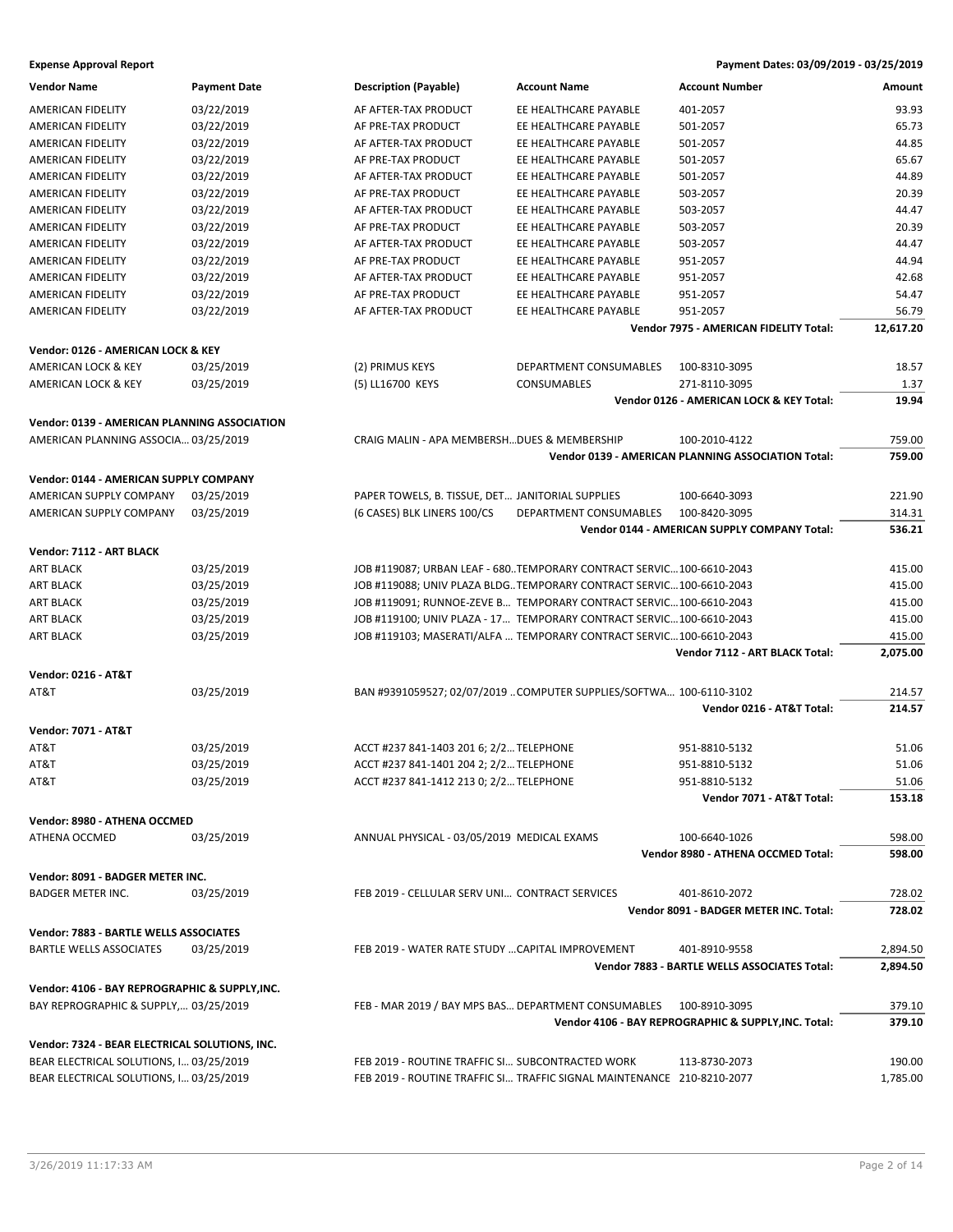| <b>Vendor Name</b>                             | <b>Payment Date</b> | <b>Description (Payable)</b>                     | <b>Account Name</b>                                                    | <b>Account Number</b>                                     | Amount           |
|------------------------------------------------|---------------------|--------------------------------------------------|------------------------------------------------------------------------|-----------------------------------------------------------|------------------|
| AMERICAN FIDELITY                              | 03/22/2019          | AF AFTER-TAX PRODUCT                             | EE HEALTHCARE PAYABLE                                                  | 401-2057                                                  | 93.93            |
| AMERICAN FIDELITY                              | 03/22/2019          | AF PRE-TAX PRODUCT                               | EE HEALTHCARE PAYABLE                                                  | 501-2057                                                  | 65.73            |
| AMERICAN FIDELITY                              | 03/22/2019          | AF AFTER-TAX PRODUCT                             | EE HEALTHCARE PAYABLE                                                  | 501-2057                                                  | 44.85            |
| AMERICAN FIDELITY                              | 03/22/2019          | AF PRE-TAX PRODUCT                               | EE HEALTHCARE PAYABLE                                                  | 501-2057                                                  | 65.67            |
| <b>AMERICAN FIDELITY</b>                       | 03/22/2019          | AF AFTER-TAX PRODUCT                             | EE HEALTHCARE PAYABLE                                                  | 501-2057                                                  | 44.89            |
|                                                |                     |                                                  |                                                                        |                                                           | 20.39            |
| AMERICAN FIDELITY                              | 03/22/2019          | AF PRE-TAX PRODUCT                               | EE HEALTHCARE PAYABLE                                                  | 503-2057                                                  |                  |
| AMERICAN FIDELITY                              | 03/22/2019          | AF AFTER-TAX PRODUCT                             | EE HEALTHCARE PAYABLE                                                  | 503-2057                                                  | 44.47            |
| AMERICAN FIDELITY                              | 03/22/2019          | AF PRE-TAX PRODUCT                               | EE HEALTHCARE PAYABLE                                                  | 503-2057                                                  | 20.39            |
| AMERICAN FIDELITY                              | 03/22/2019          | AF AFTER-TAX PRODUCT                             | EE HEALTHCARE PAYABLE                                                  | 503-2057                                                  | 44.47            |
| AMERICAN FIDELITY                              | 03/22/2019          | AF PRE-TAX PRODUCT                               | EE HEALTHCARE PAYABLE                                                  | 951-2057                                                  | 44.94            |
| AMERICAN FIDELITY                              | 03/22/2019          | AF AFTER-TAX PRODUCT                             | EE HEALTHCARE PAYABLE                                                  | 951-2057                                                  | 42.68            |
| AMERICAN FIDELITY                              | 03/22/2019          | AF PRE-TAX PRODUCT                               | EE HEALTHCARE PAYABLE                                                  | 951-2057                                                  | 54.47            |
| AMERICAN FIDELITY                              | 03/22/2019          | AF AFTER-TAX PRODUCT                             | EE HEALTHCARE PAYABLE                                                  | 951-2057                                                  | 56.79            |
|                                                |                     |                                                  |                                                                        | Vendor 7975 - AMERICAN FIDELITY Total:                    | 12,617.20        |
| Vendor: 0126 - AMERICAN LOCK & KEY             |                     |                                                  |                                                                        |                                                           |                  |
| AMERICAN LOCK & KEY                            | 03/25/2019          | (2) PRIMUS KEYS                                  | DEPARTMENT CONSUMABLES                                                 | 100-8310-3095                                             | 18.57            |
| <b>AMERICAN LOCK &amp; KEY</b>                 | 03/25/2019          | (5) LL16700 KEYS                                 | <b>CONSUMABLES</b>                                                     | 271-8110-3095                                             | 1.37             |
|                                                |                     |                                                  |                                                                        | Vendor 0126 - AMERICAN LOCK & KEY Total:                  | 19.94            |
| Vendor: 0139 - AMERICAN PLANNING ASSOCIATION   |                     |                                                  |                                                                        |                                                           |                  |
| AMERICAN PLANNING ASSOCIA 03/25/2019           |                     | CRAIG MALIN - APA MEMBERSH DUES & MEMBERSHIP     |                                                                        | 100-2010-4122                                             | 759.00           |
|                                                |                     |                                                  |                                                                        | <b>Vendor 0139 - AMERICAN PLANNING ASSOCIATION Total:</b> | 759.00           |
|                                                |                     |                                                  |                                                                        |                                                           |                  |
| Vendor: 0144 - AMERICAN SUPPLY COMPANY         |                     |                                                  |                                                                        |                                                           |                  |
| AMERICAN SUPPLY COMPANY                        | 03/25/2019          | PAPER TOWELS, B. TISSUE, DET JANITORIAL SUPPLIES |                                                                        | 100-6640-3093                                             | 221.90           |
| AMERICAN SUPPLY COMPANY                        | 03/25/2019          | (6 CASES) BLK LINERS 100/CS                      | DEPARTMENT CONSUMABLES                                                 | 100-8420-3095                                             | 314.31           |
|                                                |                     |                                                  |                                                                        | Vendor 0144 - AMERICAN SUPPLY COMPANY Total:              | 536.21           |
| Vendor: 7112 - ART BLACK                       |                     |                                                  |                                                                        |                                                           |                  |
| <b>ART BLACK</b>                               | 03/25/2019          |                                                  | JOB #119087; URBAN LEAF - 680TEMPORARY CONTRACT SERVIC100-6610-2043    |                                                           | 415.00           |
| <b>ART BLACK</b>                               | 03/25/2019          |                                                  | JOB #119088; UNIV PLAZA BLDG TEMPORARY CONTRACT SERVIC 100-6610-2043   |                                                           | 415.00           |
| <b>ART BLACK</b>                               | 03/25/2019          |                                                  | JOB #119091; RUNNOE-ZEVE B TEMPORARY CONTRACT SERVIC 100-6610-2043     |                                                           | 415.00           |
| <b>ART BLACK</b>                               | 03/25/2019          |                                                  | JOB #119100; UNIV PLAZA - 17 TEMPORARY CONTRACT SERVIC 100-6610-2043   |                                                           | 415.00           |
| <b>ART BLACK</b>                               | 03/25/2019          |                                                  | JOB #119103; MASERATI/ALFA  TEMPORARY CONTRACT SERVIC100-6610-2043     |                                                           | 415.00           |
|                                                |                     |                                                  |                                                                        | Vendor 7112 - ART BLACK Total:                            |                  |
|                                                |                     |                                                  |                                                                        |                                                           | 2,075.00         |
| <b>Vendor: 0216 - AT&amp;T</b>                 |                     |                                                  |                                                                        |                                                           |                  |
| AT&T                                           | 03/25/2019          |                                                  | BAN #9391059527; 02/07/2019 COMPUTER SUPPLIES/SOFTWA 100-6110-3102     |                                                           | 214.57           |
|                                                |                     |                                                  |                                                                        | Vendor 0216 - AT&T Total:                                 | 214.57           |
| <b>Vendor: 7071 - AT&amp;T</b>                 |                     |                                                  |                                                                        |                                                           |                  |
| AT&T                                           | 03/25/2019          | ACCT #237 841-1403 201 6; 2/2 TELEPHONE          |                                                                        | 951-8810-5132                                             | 51.06            |
| AT&T                                           | 03/25/2019          | ACCT #237 841-1401 204 2; 2/2 TELEPHONE          |                                                                        | 951-8810-5132                                             | 51.06            |
| AT&T                                           | 03/25/2019          | ACCT #237 841-1412 213 0; 2/2 TELEPHONE          |                                                                        | 951-8810-5132                                             | 51.06            |
|                                                |                     |                                                  |                                                                        | Vendor 7071 - AT&T Total:                                 | 153.18           |
| Vendor: 8980 - ATHENA OCCMED                   |                     |                                                  |                                                                        |                                                           |                  |
|                                                |                     |                                                  |                                                                        |                                                           |                  |
| ATHENA OCCMED                                  | 03/25/2019          | ANNUAL PHYSICAL - 03/05/2019 MEDICAL EXAMS       |                                                                        | 100-6640-1026<br>Vendor 8980 - ATHENA OCCMED Total:       | 598.00<br>598.00 |
|                                                |                     |                                                  |                                                                        |                                                           |                  |
| Vendor: 8091 - BADGER METER INC.               |                     |                                                  |                                                                        |                                                           |                  |
| <b>BADGER METER INC.</b>                       | 03/25/2019          | FEB 2019 - CELLULAR SERV UNI CONTRACT SERVICES   |                                                                        | 401-8610-2072                                             | 728.02           |
|                                                |                     |                                                  |                                                                        | Vendor 8091 - BADGER METER INC. Total:                    | 728.02           |
| Vendor: 7883 - BARTLE WELLS ASSOCIATES         |                     |                                                  |                                                                        |                                                           |                  |
| BARTLE WELLS ASSOCIATES                        | 03/25/2019          | FEB 2019 - WATER RATE STUDY  CAPITAL IMPROVEMENT |                                                                        | 401-8910-9558                                             | 2,894.50         |
|                                                |                     |                                                  |                                                                        |                                                           |                  |
|                                                |                     |                                                  |                                                                        | Vendor 7883 - BARTLE WELLS ASSOCIATES Total:              | 2,894.50         |
| Vendor: 4106 - BAY REPROGRAPHIC & SUPPLY, INC. |                     |                                                  |                                                                        |                                                           |                  |
| BAY REPROGRAPHIC & SUPPLY, 03/25/2019          |                     |                                                  | FEB - MAR 2019 / BAY MPS BAS DEPARTMENT CONSUMABLES                    | 100-8910-3095                                             | 379.10           |
|                                                |                     |                                                  |                                                                        | Vendor 4106 - BAY REPROGRAPHIC & SUPPLY, INC. Total:      | 379.10           |
| Vendor: 7324 - BEAR ELECTRICAL SOLUTIONS, INC. |                     |                                                  |                                                                        |                                                           |                  |
| BEAR ELECTRICAL SOLUTIONS, I 03/25/2019        |                     | FEB 2019 - ROUTINE TRAFFIC SI SUBCONTRACTED WORK |                                                                        | 113-8730-2073                                             | 190.00           |
| BEAR ELECTRICAL SOLUTIONS, I 03/25/2019        |                     |                                                  | FEB 2019 - ROUTINE TRAFFIC SI TRAFFIC SIGNAL MAINTENANCE 210-8210-2077 |                                                           | 1,785.00         |
|                                                |                     |                                                  |                                                                        |                                                           |                  |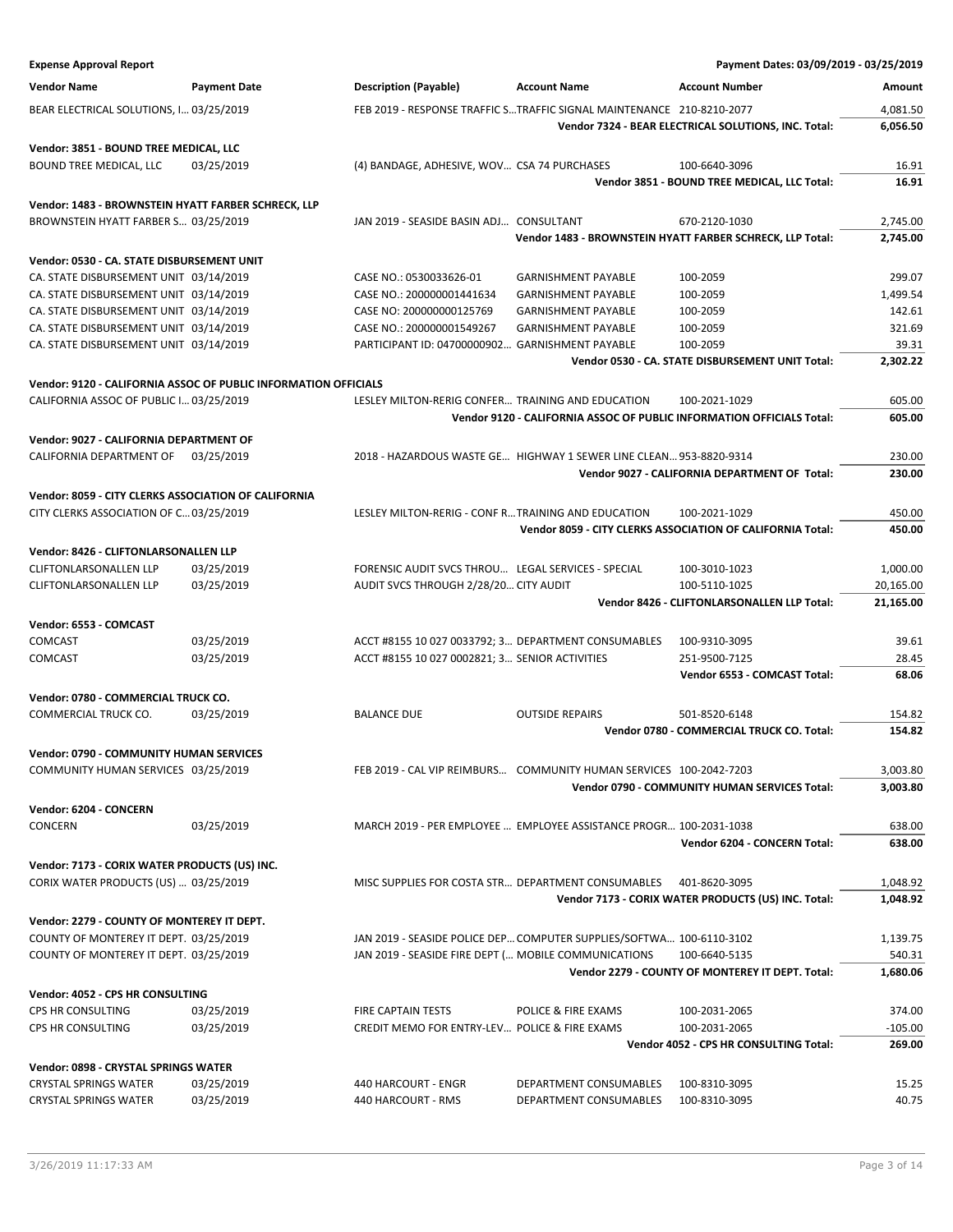| <b>Expense Approval Report</b>                                                              |                     |                                                      |                                                                       | Payment Dates: 03/09/2019 - 03/25/2019                                      |                        |
|---------------------------------------------------------------------------------------------|---------------------|------------------------------------------------------|-----------------------------------------------------------------------|-----------------------------------------------------------------------------|------------------------|
| <b>Vendor Name</b>                                                                          | <b>Payment Date</b> | <b>Description (Payable)</b>                         | <b>Account Name</b>                                                   | <b>Account Number</b>                                                       | Amount                 |
| BEAR ELECTRICAL SOLUTIONS, I 03/25/2019                                                     |                     |                                                      | FEB 2019 - RESPONSE TRAFFIC STRAFFIC SIGNAL MAINTENANCE 210-8210-2077 |                                                                             | 4,081.50               |
|                                                                                             |                     |                                                      |                                                                       | Vendor 7324 - BEAR ELECTRICAL SOLUTIONS, INC. Total:                        | 6,056.50               |
| Vendor: 3851 - BOUND TREE MEDICAL, LLC                                                      |                     |                                                      |                                                                       |                                                                             |                        |
| BOUND TREE MEDICAL, LLC                                                                     | 03/25/2019          | (4) BANDAGE, ADHESIVE, WOV CSA 74 PURCHASES          |                                                                       | 100-6640-3096                                                               | 16.91                  |
|                                                                                             |                     |                                                      |                                                                       | Vendor 3851 - BOUND TREE MEDICAL, LLC Total:                                | 16.91                  |
|                                                                                             |                     |                                                      |                                                                       |                                                                             |                        |
| Vendor: 1483 - BROWNSTEIN HYATT FARBER SCHRECK, LLP<br>BROWNSTEIN HYATT FARBER S 03/25/2019 |                     | JAN 2019 - SEASIDE BASIN ADJ CONSULTANT              |                                                                       | 670-2120-1030                                                               | 2,745.00               |
|                                                                                             |                     |                                                      |                                                                       | Vendor 1483 - BROWNSTEIN HYATT FARBER SCHRECK, LLP Total:                   | 2,745.00               |
|                                                                                             |                     |                                                      |                                                                       |                                                                             |                        |
| Vendor: 0530 - CA. STATE DISBURSEMENT UNIT                                                  |                     |                                                      |                                                                       |                                                                             |                        |
| CA. STATE DISBURSEMENT UNIT 03/14/2019<br>CA. STATE DISBURSEMENT UNIT 03/14/2019            |                     | CASE NO.: 0530033626-01<br>CASE NO.: 200000001441634 | <b>GARNISHMENT PAYABLE</b><br><b>GARNISHMENT PAYABLE</b>              | 100-2059<br>100-2059                                                        | 299.07<br>1,499.54     |
| CA. STATE DISBURSEMENT UNIT 03/14/2019                                                      |                     | CASE NO: 200000000125769                             | <b>GARNISHMENT PAYABLE</b>                                            | 100-2059                                                                    | 142.61                 |
| CA. STATE DISBURSEMENT UNIT 03/14/2019                                                      |                     | CASE NO.: 200000001549267                            | <b>GARNISHMENT PAYABLE</b>                                            | 100-2059                                                                    | 321.69                 |
| CA. STATE DISBURSEMENT UNIT 03/14/2019                                                      |                     | PARTICIPANT ID: 04700000902 GARNISHMENT PAYABLE      |                                                                       | 100-2059                                                                    | 39.31                  |
|                                                                                             |                     |                                                      |                                                                       | Vendor 0530 - CA. STATE DISBURSEMENT UNIT Total:                            | 2.302.22               |
| Vendor: 9120 - CALIFORNIA ASSOC OF PUBLIC INFORMATION OFFICIALS                             |                     |                                                      |                                                                       |                                                                             |                        |
| CALIFORNIA ASSOC OF PUBLIC I 03/25/2019                                                     |                     | LESLEY MILTON-RERIG CONFER TRAINING AND EDUCATION    |                                                                       | 100-2021-1029                                                               | 605.00                 |
|                                                                                             |                     |                                                      |                                                                       | Vendor 9120 - CALIFORNIA ASSOC OF PUBLIC INFORMATION OFFICIALS Total:       | 605.00                 |
|                                                                                             |                     |                                                      |                                                                       |                                                                             |                        |
| Vendor: 9027 - CALIFORNIA DEPARTMENT OF<br>CALIFORNIA DEPARTMENT OF                         | 03/25/2019          |                                                      | 2018 - HAZARDOUS WASTE GE HIGHWAY 1 SEWER LINE CLEAN 953-8820-9314    |                                                                             | 230.00                 |
|                                                                                             |                     |                                                      |                                                                       | Vendor 9027 - CALIFORNIA DEPARTMENT OF Total:                               | 230.00                 |
|                                                                                             |                     |                                                      |                                                                       |                                                                             |                        |
| Vendor: 8059 - CITY CLERKS ASSOCIATION OF CALIFORNIA                                        |                     |                                                      |                                                                       |                                                                             |                        |
| CITY CLERKS ASSOCIATION OF C 03/25/2019                                                     |                     | LESLEY MILTON-RERIG - CONF R TRAINING AND EDUCATION  |                                                                       | 100-2021-1029<br>Vendor 8059 - CITY CLERKS ASSOCIATION OF CALIFORNIA Total: | 450.00<br>450.00       |
|                                                                                             |                     |                                                      |                                                                       |                                                                             |                        |
| Vendor: 8426 - CLIFTONLARSONALLEN LLP                                                       |                     |                                                      |                                                                       |                                                                             |                        |
| CLIFTONLARSONALLEN LLP                                                                      | 03/25/2019          | FORENSIC AUDIT SVCS THROU LEGAL SERVICES - SPECIAL   |                                                                       | 100-3010-1023<br>100-5110-1025                                              | 1,000.00               |
| CLIFTONLARSONALLEN LLP                                                                      | 03/25/2019          | AUDIT SVCS THROUGH 2/28/20 CITY AUDIT                |                                                                       | Vendor 8426 - CLIFTONLARSONALLEN LLP Total:                                 | 20,165.00<br>21,165.00 |
|                                                                                             |                     |                                                      |                                                                       |                                                                             |                        |
| Vendor: 6553 - COMCAST                                                                      |                     |                                                      |                                                                       |                                                                             |                        |
| COMCAST                                                                                     | 03/25/2019          | ACCT #8155 10 027 0033792; 3 DEPARTMENT CONSUMABLES  |                                                                       | 100-9310-3095                                                               | 39.61                  |
| COMCAST                                                                                     | 03/25/2019          | ACCT #8155 10 027 0002821; 3 SENIOR ACTIVITIES       |                                                                       | 251-9500-7125<br>Vendor 6553 - COMCAST Total:                               | 28.45<br>68.06         |
|                                                                                             |                     |                                                      |                                                                       |                                                                             |                        |
| Vendor: 0780 - COMMERCIAL TRUCK CO.                                                         |                     |                                                      |                                                                       |                                                                             |                        |
| COMMERCIAL TRUCK CO.                                                                        | 03/25/2019          | <b>BALANCE DUE</b>                                   | <b>OUTSIDE REPAIRS</b>                                                | 501-8520-6148                                                               | 154.82                 |
|                                                                                             |                     |                                                      |                                                                       | Vendor 0780 - COMMERCIAL TRUCK CO. Total:                                   | 154.82                 |
| <b>Vendor: 0790 - COMMUNITY HUMAN SERVICES</b>                                              |                     |                                                      |                                                                       |                                                                             |                        |
| COMMUNITY HUMAN SERVICES 03/25/2019                                                         |                     |                                                      | FEB 2019 - CAL VIP REIMBURS COMMUNITY HUMAN SERVICES 100-2042-7203    |                                                                             | 3,003.80               |
|                                                                                             |                     |                                                      |                                                                       | Vendor 0790 - COMMUNITY HUMAN SERVICES Total:                               | 3,003.80               |
| Vendor: 6204 - CONCERN                                                                      |                     |                                                      |                                                                       |                                                                             |                        |
| CONCERN                                                                                     | 03/25/2019          |                                                      | MARCH 2019 - PER EMPLOYEE  EMPLOYEE ASSISTANCE PROGR 100-2031-1038    |                                                                             | 638.00                 |
|                                                                                             |                     |                                                      |                                                                       | Vendor 6204 - CONCERN Total:                                                | 638.00                 |
| Vendor: 7173 - CORIX WATER PRODUCTS (US) INC.                                               |                     |                                                      |                                                                       |                                                                             |                        |
| CORIX WATER PRODUCTS (US)  03/25/2019                                                       |                     | MISC SUPPLIES FOR COSTA STR DEPARTMENT CONSUMABLES   |                                                                       | 401-8620-3095                                                               | 1,048.92               |
|                                                                                             |                     |                                                      |                                                                       | Vendor 7173 - CORIX WATER PRODUCTS (US) INC. Total:                         | 1,048.92               |
| Vendor: 2279 - COUNTY OF MONTEREY IT DEPT.                                                  |                     |                                                      |                                                                       |                                                                             |                        |
| COUNTY OF MONTEREY IT DEPT. 03/25/2019                                                      |                     |                                                      | JAN 2019 - SEASIDE POLICE DEP COMPUTER SUPPLIES/SOFTWA 100-6110-3102  |                                                                             | 1,139.75               |
| COUNTY OF MONTEREY IT DEPT. 03/25/2019                                                      |                     | JAN 2019 - SEASIDE FIRE DEPT ( MOBILE COMMUNICATIONS |                                                                       | 100-6640-5135                                                               | 540.31                 |
|                                                                                             |                     |                                                      |                                                                       | Vendor 2279 - COUNTY OF MONTEREY IT DEPT. Total:                            | 1,680.06               |
| Vendor: 4052 - CPS HR CONSULTING                                                            |                     |                                                      |                                                                       |                                                                             |                        |
| CPS HR CONSULTING                                                                           | 03/25/2019          | FIRE CAPTAIN TESTS                                   | POLICE & FIRE EXAMS                                                   | 100-2031-2065                                                               | 374.00                 |
| CPS HR CONSULTING                                                                           | 03/25/2019          | CREDIT MEMO FOR ENTRY-LEV POLICE & FIRE EXAMS        |                                                                       | 100-2031-2065                                                               | $-105.00$              |
|                                                                                             |                     |                                                      |                                                                       | Vendor 4052 - CPS HR CONSULTING Total:                                      | 269.00                 |
| Vendor: 0898 - CRYSTAL SPRINGS WATER                                                        |                     |                                                      |                                                                       |                                                                             |                        |
| <b>CRYSTAL SPRINGS WATER</b>                                                                | 03/25/2019          | 440 HARCOURT - ENGR                                  | DEPARTMENT CONSUMABLES                                                | 100-8310-3095                                                               | 15.25                  |
| <b>CRYSTAL SPRINGS WATER</b>                                                                | 03/25/2019          | 440 HARCOURT - RMS                                   | DEPARTMENT CONSUMABLES                                                | 100-8310-3095                                                               | 40.75                  |
|                                                                                             |                     |                                                      |                                                                       |                                                                             |                        |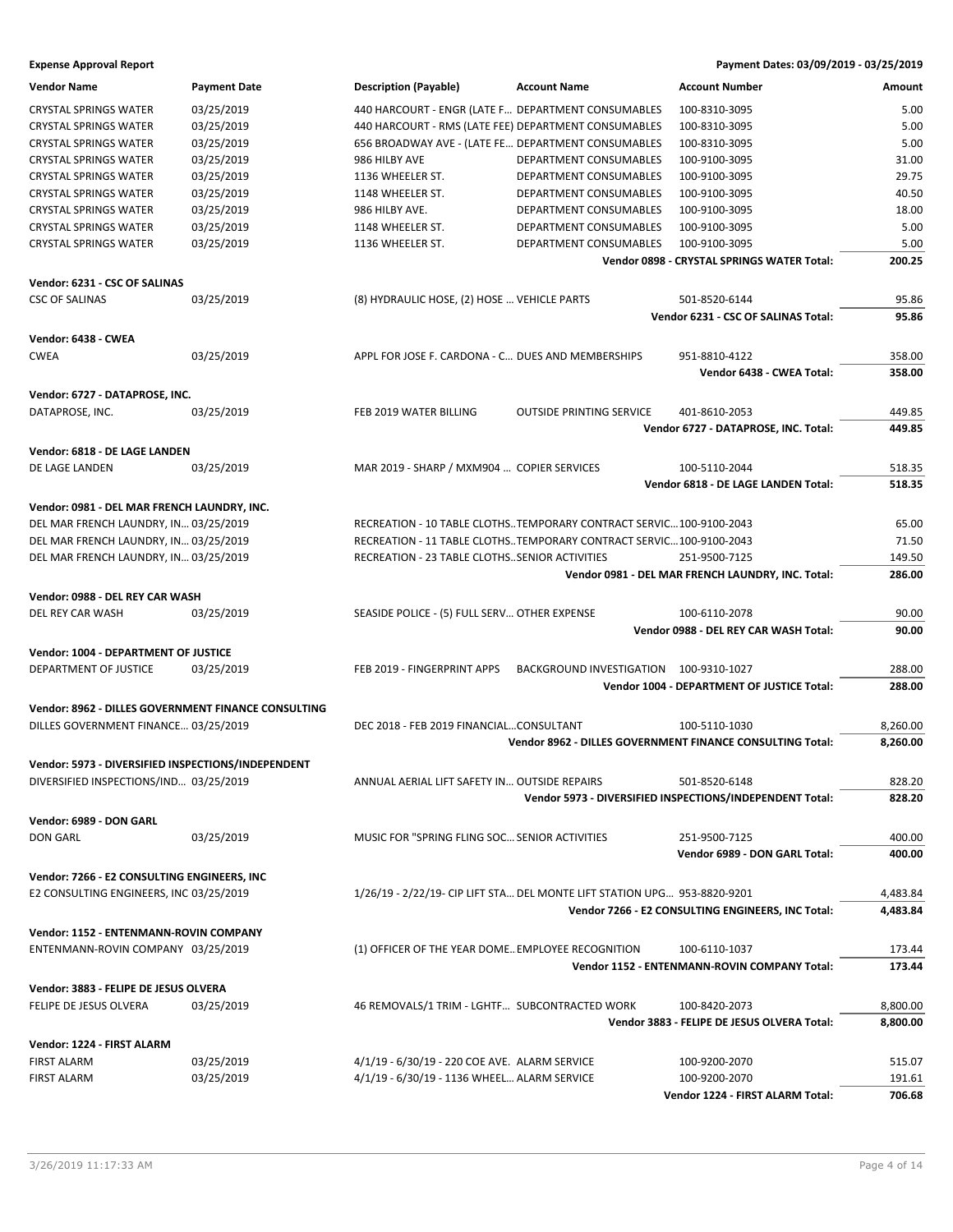| 5.00<br><b>CRYSTAL SPRINGS WATER</b><br>03/25/2019<br>440 HARCOURT - ENGR (LATE F DEPARTMENT CONSUMABLES<br>100-8310-3095<br>03/25/2019<br>440 HARCOURT - RMS (LATE FEE) DEPARTMENT CONSUMABLES<br>5.00<br><b>CRYSTAL SPRINGS WATER</b><br>100-8310-3095<br>5.00<br><b>CRYSTAL SPRINGS WATER</b><br>03/25/2019<br>656 BROADWAY AVE - (LATE FE DEPARTMENT CONSUMABLES<br>100-8310-3095<br>03/25/2019<br><b>CRYSTAL SPRINGS WATER</b><br>986 HILBY AVE<br>DEPARTMENT CONSUMABLES<br>100-9100-3095<br>31.00<br>03/25/2019<br><b>CRYSTAL SPRINGS WATER</b><br>1136 WHEELER ST.<br>DEPARTMENT CONSUMABLES<br>100-9100-3095<br>29.75<br>03/25/2019<br>40.50<br><b>CRYSTAL SPRINGS WATER</b><br>1148 WHEELER ST.<br>DEPARTMENT CONSUMABLES<br>100-9100-3095<br>03/25/2019<br>986 HILBY AVE.<br>DEPARTMENT CONSUMABLES<br>18.00<br><b>CRYSTAL SPRINGS WATER</b><br>100-9100-3095<br>5.00<br><b>CRYSTAL SPRINGS WATER</b><br>03/25/2019<br>1148 WHEELER ST.<br>DEPARTMENT CONSUMABLES<br>100-9100-3095<br>5.00<br>03/25/2019<br>1136 WHEELER ST.<br>DEPARTMENT CONSUMABLES<br><b>CRYSTAL SPRINGS WATER</b><br>100-9100-3095<br>Vendor 0898 - CRYSTAL SPRINGS WATER Total:<br>200.25<br>Vendor: 6231 - CSC OF SALINAS<br><b>CSC OF SALINAS</b><br>03/25/2019<br>(8) HYDRAULIC HOSE, (2) HOSE  VEHICLE PARTS<br>95.86<br>501-8520-6144<br>95.86<br>Vendor 6231 - CSC OF SALINAS Total:<br>Vendor: 6438 - CWEA<br><b>CWEA</b><br>03/25/2019<br>APPL FOR JOSE F. CARDONA - C DUES AND MEMBERSHIPS<br>951-8810-4122<br>358.00<br>Vendor 6438 - CWEA Total:<br>358.00<br>Vendor: 6727 - DATAPROSE, INC.<br>DATAPROSE, INC.<br>03/25/2019<br>FEB 2019 WATER BILLING<br><b>OUTSIDE PRINTING SERVICE</b><br>449.85<br>401-8610-2053<br>Vendor 6727 - DATAPROSE, INC. Total:<br>449.85<br>Vendor: 6818 - DE LAGE LANDEN<br>03/25/2019<br>MAR 2019 - SHARP / MXM904  COPIER SERVICES<br>518.35<br>DE LAGE LANDEN<br>100-5110-2044<br>518.35<br>Vendor 6818 - DE LAGE LANDEN Total:<br>Vendor: 0981 - DEL MAR FRENCH LAUNDRY, INC.<br>DEL MAR FRENCH LAUNDRY, IN 03/25/2019<br>RECREATION - 10 TABLE CLOTHSTEMPORARY CONTRACT SERVIC100-9100-2043<br>65.00<br>DEL MAR FRENCH LAUNDRY, IN 03/25/2019<br>RECREATION - 11 TABLE CLOTHSTEMPORARY CONTRACT SERVIC100-9100-2043<br>71.50<br>DEL MAR FRENCH LAUNDRY, IN 03/25/2019<br>149.50<br>RECREATION - 23 TABLE CLOTHSSENIOR ACTIVITIES<br>251-9500-7125<br>Vendor 0981 - DEL MAR FRENCH LAUNDRY, INC. Total:<br>286.00<br>Vendor: 0988 - DEL REY CAR WASH<br>03/25/2019<br>SEASIDE POLICE - (5) FULL SERV OTHER EXPENSE<br>100-6110-2078<br>90.00<br>DEL REY CAR WASH<br>90.00<br>Vendor 0988 - DEL REY CAR WASH Total:<br>Vendor: 1004 - DEPARTMENT OF JUSTICE<br>DEPARTMENT OF JUSTICE<br>03/25/2019<br>FEB 2019 - FINGERPRINT APPS<br>BACKGROUND INVESTIGATION 100-9310-1027<br>288.00<br>Vendor 1004 - DEPARTMENT OF JUSTICE Total:<br>288.00<br>Vendor: 8962 - DILLES GOVERNMENT FINANCE CONSULTING<br>DEC 2018 - FEB 2019 FINANCIALCONSULTANT<br>8,260.00<br>DILLES GOVERNMENT FINANCE 03/25/2019<br>100-5110-1030<br>Vendor 8962 - DILLES GOVERNMENT FINANCE CONSULTING Total:<br>8,260.00<br>Vendor: 5973 - DIVERSIFIED INSPECTIONS/INDEPENDENT<br>DIVERSIFIED INSPECTIONS/IND 03/25/2019<br>ANNUAL AERIAL LIFT SAFETY IN OUTSIDE REPAIRS<br>501-8520-6148<br>828.20<br>Vendor 5973 - DIVERSIFIED INSPECTIONS/INDEPENDENT Total:<br>828.20<br>Vendor: 6989 - DON GARL<br>03/25/2019<br>MUSIC FOR "SPRING FLING SOC SENIOR ACTIVITIES<br><b>DON GARL</b><br>251-9500-7125<br>400.00<br>Vendor 6989 - DON GARL Total:<br>400.00<br>Vendor: 7266 - E2 CONSULTING ENGINEERS, INC<br>E2 CONSULTING ENGINEERS, INC 03/25/2019<br>1/26/19 - 2/22/19 - CIP LIFT STA DEL MONTE LIFT STATION UPG 953-8820-9201<br>4,483.84<br>Vendor 7266 - E2 CONSULTING ENGINEERS, INC Total:<br>4,483.84<br>Vendor: 1152 - ENTENMANN-ROVIN COMPANY<br>(1) OFFICER OF THE YEAR DOME EMPLOYEE RECOGNITION<br>ENTENMANN-ROVIN COMPANY 03/25/2019<br>100-6110-1037<br>173.44<br><b>Vendor 1152 - ENTENMANN-ROVIN COMPANY Total:</b><br>173.44<br>Vendor: 3883 - FELIPE DE JESUS OLVERA<br>03/25/2019<br>8,800.00<br>FELIPE DE JESUS OLVERA<br>46 REMOVALS/1 TRIM - LGHTF SUBCONTRACTED WORK<br>100-8420-2073<br>Vendor 3883 - FELIPE DE JESUS OLVERA Total:<br>8,800.00<br>Vendor: 1224 - FIRST ALARM<br>03/25/2019<br>4/1/19 - 6/30/19 - 220 COE AVE. ALARM SERVICE<br><b>FIRST ALARM</b><br>100-9200-2070<br>515.07<br>03/25/2019<br>4/1/19 - 6/30/19 - 1136 WHEEL ALARM SERVICE<br><b>FIRST ALARM</b><br>100-9200-2070<br>191.61<br>Vendor 1224 - FIRST ALARM Total:<br>706.68 | <b>Vendor Name</b> | <b>Payment Date</b> | <b>Description (Payable)</b> | <b>Account Name</b> | <b>Account Number</b> | Amount |
|-------------------------------------------------------------------------------------------------------------------------------------------------------------------------------------------------------------------------------------------------------------------------------------------------------------------------------------------------------------------------------------------------------------------------------------------------------------------------------------------------------------------------------------------------------------------------------------------------------------------------------------------------------------------------------------------------------------------------------------------------------------------------------------------------------------------------------------------------------------------------------------------------------------------------------------------------------------------------------------------------------------------------------------------------------------------------------------------------------------------------------------------------------------------------------------------------------------------------------------------------------------------------------------------------------------------------------------------------------------------------------------------------------------------------------------------------------------------------------------------------------------------------------------------------------------------------------------------------------------------------------------------------------------------------------------------------------------------------------------------------------------------------------------------------------------------------------------------------------------------------------------------------------------------------------------------------------------------------------------------------------------------------------------------------------------------------------------------------------------------------------------------------------------------------------------------------------------------------------------------------------------------------------------------------------------------------------------------------------------------------------------------------------------------------------------------------------------------------------------------------------------------------------------------------------------------------------------------------------------------------------------------------------------------------------------------------------------------------------------------------------------------------------------------------------------------------------------------------------------------------------------------------------------------------------------------------------------------------------------------------------------------------------------------------------------------------------------------------------------------------------------------------------------------------------------------------------------------------------------------------------------------------------------------------------------------------------------------------------------------------------------------------------------------------------------------------------------------------------------------------------------------------------------------------------------------------------------------------------------------------------------------------------------------------------------------------------------------------------------------------------------------------------------------------------------------------------------------------------------------------------------------------------------------------------------------------------------------------------------------------------------------------------------------------------------------------------------------------------------------------------------------------------------------------------------------------------------------------------------------------------------------------------------------------------------------------------------------------------------------------------------------------------------------------------------------------------------------------------------------------------------------------------------------------------------------------------------------|--------------------|---------------------|------------------------------|---------------------|-----------------------|--------|
|                                                                                                                                                                                                                                                                                                                                                                                                                                                                                                                                                                                                                                                                                                                                                                                                                                                                                                                                                                                                                                                                                                                                                                                                                                                                                                                                                                                                                                                                                                                                                                                                                                                                                                                                                                                                                                                                                                                                                                                                                                                                                                                                                                                                                                                                                                                                                                                                                                                                                                                                                                                                                                                                                                                                                                                                                                                                                                                                                                                                                                                                                                                                                                                                                                                                                                                                                                                                                                                                                                                                                                                                                                                                                                                                                                                                                                                                                                                                                                                                                                                                                                                                                                                                                                                                                                                                                                                                                                                                                                                                                                                           |                    |                     |                              |                     |                       |        |
|                                                                                                                                                                                                                                                                                                                                                                                                                                                                                                                                                                                                                                                                                                                                                                                                                                                                                                                                                                                                                                                                                                                                                                                                                                                                                                                                                                                                                                                                                                                                                                                                                                                                                                                                                                                                                                                                                                                                                                                                                                                                                                                                                                                                                                                                                                                                                                                                                                                                                                                                                                                                                                                                                                                                                                                                                                                                                                                                                                                                                                                                                                                                                                                                                                                                                                                                                                                                                                                                                                                                                                                                                                                                                                                                                                                                                                                                                                                                                                                                                                                                                                                                                                                                                                                                                                                                                                                                                                                                                                                                                                                           |                    |                     |                              |                     |                       |        |
|                                                                                                                                                                                                                                                                                                                                                                                                                                                                                                                                                                                                                                                                                                                                                                                                                                                                                                                                                                                                                                                                                                                                                                                                                                                                                                                                                                                                                                                                                                                                                                                                                                                                                                                                                                                                                                                                                                                                                                                                                                                                                                                                                                                                                                                                                                                                                                                                                                                                                                                                                                                                                                                                                                                                                                                                                                                                                                                                                                                                                                                                                                                                                                                                                                                                                                                                                                                                                                                                                                                                                                                                                                                                                                                                                                                                                                                                                                                                                                                                                                                                                                                                                                                                                                                                                                                                                                                                                                                                                                                                                                                           |                    |                     |                              |                     |                       |        |
|                                                                                                                                                                                                                                                                                                                                                                                                                                                                                                                                                                                                                                                                                                                                                                                                                                                                                                                                                                                                                                                                                                                                                                                                                                                                                                                                                                                                                                                                                                                                                                                                                                                                                                                                                                                                                                                                                                                                                                                                                                                                                                                                                                                                                                                                                                                                                                                                                                                                                                                                                                                                                                                                                                                                                                                                                                                                                                                                                                                                                                                                                                                                                                                                                                                                                                                                                                                                                                                                                                                                                                                                                                                                                                                                                                                                                                                                                                                                                                                                                                                                                                                                                                                                                                                                                                                                                                                                                                                                                                                                                                                           |                    |                     |                              |                     |                       |        |
|                                                                                                                                                                                                                                                                                                                                                                                                                                                                                                                                                                                                                                                                                                                                                                                                                                                                                                                                                                                                                                                                                                                                                                                                                                                                                                                                                                                                                                                                                                                                                                                                                                                                                                                                                                                                                                                                                                                                                                                                                                                                                                                                                                                                                                                                                                                                                                                                                                                                                                                                                                                                                                                                                                                                                                                                                                                                                                                                                                                                                                                                                                                                                                                                                                                                                                                                                                                                                                                                                                                                                                                                                                                                                                                                                                                                                                                                                                                                                                                                                                                                                                                                                                                                                                                                                                                                                                                                                                                                                                                                                                                           |                    |                     |                              |                     |                       |        |
|                                                                                                                                                                                                                                                                                                                                                                                                                                                                                                                                                                                                                                                                                                                                                                                                                                                                                                                                                                                                                                                                                                                                                                                                                                                                                                                                                                                                                                                                                                                                                                                                                                                                                                                                                                                                                                                                                                                                                                                                                                                                                                                                                                                                                                                                                                                                                                                                                                                                                                                                                                                                                                                                                                                                                                                                                                                                                                                                                                                                                                                                                                                                                                                                                                                                                                                                                                                                                                                                                                                                                                                                                                                                                                                                                                                                                                                                                                                                                                                                                                                                                                                                                                                                                                                                                                                                                                                                                                                                                                                                                                                           |                    |                     |                              |                     |                       |        |
|                                                                                                                                                                                                                                                                                                                                                                                                                                                                                                                                                                                                                                                                                                                                                                                                                                                                                                                                                                                                                                                                                                                                                                                                                                                                                                                                                                                                                                                                                                                                                                                                                                                                                                                                                                                                                                                                                                                                                                                                                                                                                                                                                                                                                                                                                                                                                                                                                                                                                                                                                                                                                                                                                                                                                                                                                                                                                                                                                                                                                                                                                                                                                                                                                                                                                                                                                                                                                                                                                                                                                                                                                                                                                                                                                                                                                                                                                                                                                                                                                                                                                                                                                                                                                                                                                                                                                                                                                                                                                                                                                                                           |                    |                     |                              |                     |                       |        |
|                                                                                                                                                                                                                                                                                                                                                                                                                                                                                                                                                                                                                                                                                                                                                                                                                                                                                                                                                                                                                                                                                                                                                                                                                                                                                                                                                                                                                                                                                                                                                                                                                                                                                                                                                                                                                                                                                                                                                                                                                                                                                                                                                                                                                                                                                                                                                                                                                                                                                                                                                                                                                                                                                                                                                                                                                                                                                                                                                                                                                                                                                                                                                                                                                                                                                                                                                                                                                                                                                                                                                                                                                                                                                                                                                                                                                                                                                                                                                                                                                                                                                                                                                                                                                                                                                                                                                                                                                                                                                                                                                                                           |                    |                     |                              |                     |                       |        |
|                                                                                                                                                                                                                                                                                                                                                                                                                                                                                                                                                                                                                                                                                                                                                                                                                                                                                                                                                                                                                                                                                                                                                                                                                                                                                                                                                                                                                                                                                                                                                                                                                                                                                                                                                                                                                                                                                                                                                                                                                                                                                                                                                                                                                                                                                                                                                                                                                                                                                                                                                                                                                                                                                                                                                                                                                                                                                                                                                                                                                                                                                                                                                                                                                                                                                                                                                                                                                                                                                                                                                                                                                                                                                                                                                                                                                                                                                                                                                                                                                                                                                                                                                                                                                                                                                                                                                                                                                                                                                                                                                                                           |                    |                     |                              |                     |                       |        |
|                                                                                                                                                                                                                                                                                                                                                                                                                                                                                                                                                                                                                                                                                                                                                                                                                                                                                                                                                                                                                                                                                                                                                                                                                                                                                                                                                                                                                                                                                                                                                                                                                                                                                                                                                                                                                                                                                                                                                                                                                                                                                                                                                                                                                                                                                                                                                                                                                                                                                                                                                                                                                                                                                                                                                                                                                                                                                                                                                                                                                                                                                                                                                                                                                                                                                                                                                                                                                                                                                                                                                                                                                                                                                                                                                                                                                                                                                                                                                                                                                                                                                                                                                                                                                                                                                                                                                                                                                                                                                                                                                                                           |                    |                     |                              |                     |                       |        |
|                                                                                                                                                                                                                                                                                                                                                                                                                                                                                                                                                                                                                                                                                                                                                                                                                                                                                                                                                                                                                                                                                                                                                                                                                                                                                                                                                                                                                                                                                                                                                                                                                                                                                                                                                                                                                                                                                                                                                                                                                                                                                                                                                                                                                                                                                                                                                                                                                                                                                                                                                                                                                                                                                                                                                                                                                                                                                                                                                                                                                                                                                                                                                                                                                                                                                                                                                                                                                                                                                                                                                                                                                                                                                                                                                                                                                                                                                                                                                                                                                                                                                                                                                                                                                                                                                                                                                                                                                                                                                                                                                                                           |                    |                     |                              |                     |                       |        |
|                                                                                                                                                                                                                                                                                                                                                                                                                                                                                                                                                                                                                                                                                                                                                                                                                                                                                                                                                                                                                                                                                                                                                                                                                                                                                                                                                                                                                                                                                                                                                                                                                                                                                                                                                                                                                                                                                                                                                                                                                                                                                                                                                                                                                                                                                                                                                                                                                                                                                                                                                                                                                                                                                                                                                                                                                                                                                                                                                                                                                                                                                                                                                                                                                                                                                                                                                                                                                                                                                                                                                                                                                                                                                                                                                                                                                                                                                                                                                                                                                                                                                                                                                                                                                                                                                                                                                                                                                                                                                                                                                                                           |                    |                     |                              |                     |                       |        |
|                                                                                                                                                                                                                                                                                                                                                                                                                                                                                                                                                                                                                                                                                                                                                                                                                                                                                                                                                                                                                                                                                                                                                                                                                                                                                                                                                                                                                                                                                                                                                                                                                                                                                                                                                                                                                                                                                                                                                                                                                                                                                                                                                                                                                                                                                                                                                                                                                                                                                                                                                                                                                                                                                                                                                                                                                                                                                                                                                                                                                                                                                                                                                                                                                                                                                                                                                                                                                                                                                                                                                                                                                                                                                                                                                                                                                                                                                                                                                                                                                                                                                                                                                                                                                                                                                                                                                                                                                                                                                                                                                                                           |                    |                     |                              |                     |                       |        |
|                                                                                                                                                                                                                                                                                                                                                                                                                                                                                                                                                                                                                                                                                                                                                                                                                                                                                                                                                                                                                                                                                                                                                                                                                                                                                                                                                                                                                                                                                                                                                                                                                                                                                                                                                                                                                                                                                                                                                                                                                                                                                                                                                                                                                                                                                                                                                                                                                                                                                                                                                                                                                                                                                                                                                                                                                                                                                                                                                                                                                                                                                                                                                                                                                                                                                                                                                                                                                                                                                                                                                                                                                                                                                                                                                                                                                                                                                                                                                                                                                                                                                                                                                                                                                                                                                                                                                                                                                                                                                                                                                                                           |                    |                     |                              |                     |                       |        |
|                                                                                                                                                                                                                                                                                                                                                                                                                                                                                                                                                                                                                                                                                                                                                                                                                                                                                                                                                                                                                                                                                                                                                                                                                                                                                                                                                                                                                                                                                                                                                                                                                                                                                                                                                                                                                                                                                                                                                                                                                                                                                                                                                                                                                                                                                                                                                                                                                                                                                                                                                                                                                                                                                                                                                                                                                                                                                                                                                                                                                                                                                                                                                                                                                                                                                                                                                                                                                                                                                                                                                                                                                                                                                                                                                                                                                                                                                                                                                                                                                                                                                                                                                                                                                                                                                                                                                                                                                                                                                                                                                                                           |                    |                     |                              |                     |                       |        |
|                                                                                                                                                                                                                                                                                                                                                                                                                                                                                                                                                                                                                                                                                                                                                                                                                                                                                                                                                                                                                                                                                                                                                                                                                                                                                                                                                                                                                                                                                                                                                                                                                                                                                                                                                                                                                                                                                                                                                                                                                                                                                                                                                                                                                                                                                                                                                                                                                                                                                                                                                                                                                                                                                                                                                                                                                                                                                                                                                                                                                                                                                                                                                                                                                                                                                                                                                                                                                                                                                                                                                                                                                                                                                                                                                                                                                                                                                                                                                                                                                                                                                                                                                                                                                                                                                                                                                                                                                                                                                                                                                                                           |                    |                     |                              |                     |                       |        |
|                                                                                                                                                                                                                                                                                                                                                                                                                                                                                                                                                                                                                                                                                                                                                                                                                                                                                                                                                                                                                                                                                                                                                                                                                                                                                                                                                                                                                                                                                                                                                                                                                                                                                                                                                                                                                                                                                                                                                                                                                                                                                                                                                                                                                                                                                                                                                                                                                                                                                                                                                                                                                                                                                                                                                                                                                                                                                                                                                                                                                                                                                                                                                                                                                                                                                                                                                                                                                                                                                                                                                                                                                                                                                                                                                                                                                                                                                                                                                                                                                                                                                                                                                                                                                                                                                                                                                                                                                                                                                                                                                                                           |                    |                     |                              |                     |                       |        |
|                                                                                                                                                                                                                                                                                                                                                                                                                                                                                                                                                                                                                                                                                                                                                                                                                                                                                                                                                                                                                                                                                                                                                                                                                                                                                                                                                                                                                                                                                                                                                                                                                                                                                                                                                                                                                                                                                                                                                                                                                                                                                                                                                                                                                                                                                                                                                                                                                                                                                                                                                                                                                                                                                                                                                                                                                                                                                                                                                                                                                                                                                                                                                                                                                                                                                                                                                                                                                                                                                                                                                                                                                                                                                                                                                                                                                                                                                                                                                                                                                                                                                                                                                                                                                                                                                                                                                                                                                                                                                                                                                                                           |                    |                     |                              |                     |                       |        |
|                                                                                                                                                                                                                                                                                                                                                                                                                                                                                                                                                                                                                                                                                                                                                                                                                                                                                                                                                                                                                                                                                                                                                                                                                                                                                                                                                                                                                                                                                                                                                                                                                                                                                                                                                                                                                                                                                                                                                                                                                                                                                                                                                                                                                                                                                                                                                                                                                                                                                                                                                                                                                                                                                                                                                                                                                                                                                                                                                                                                                                                                                                                                                                                                                                                                                                                                                                                                                                                                                                                                                                                                                                                                                                                                                                                                                                                                                                                                                                                                                                                                                                                                                                                                                                                                                                                                                                                                                                                                                                                                                                                           |                    |                     |                              |                     |                       |        |
|                                                                                                                                                                                                                                                                                                                                                                                                                                                                                                                                                                                                                                                                                                                                                                                                                                                                                                                                                                                                                                                                                                                                                                                                                                                                                                                                                                                                                                                                                                                                                                                                                                                                                                                                                                                                                                                                                                                                                                                                                                                                                                                                                                                                                                                                                                                                                                                                                                                                                                                                                                                                                                                                                                                                                                                                                                                                                                                                                                                                                                                                                                                                                                                                                                                                                                                                                                                                                                                                                                                                                                                                                                                                                                                                                                                                                                                                                                                                                                                                                                                                                                                                                                                                                                                                                                                                                                                                                                                                                                                                                                                           |                    |                     |                              |                     |                       |        |
|                                                                                                                                                                                                                                                                                                                                                                                                                                                                                                                                                                                                                                                                                                                                                                                                                                                                                                                                                                                                                                                                                                                                                                                                                                                                                                                                                                                                                                                                                                                                                                                                                                                                                                                                                                                                                                                                                                                                                                                                                                                                                                                                                                                                                                                                                                                                                                                                                                                                                                                                                                                                                                                                                                                                                                                                                                                                                                                                                                                                                                                                                                                                                                                                                                                                                                                                                                                                                                                                                                                                                                                                                                                                                                                                                                                                                                                                                                                                                                                                                                                                                                                                                                                                                                                                                                                                                                                                                                                                                                                                                                                           |                    |                     |                              |                     |                       |        |
|                                                                                                                                                                                                                                                                                                                                                                                                                                                                                                                                                                                                                                                                                                                                                                                                                                                                                                                                                                                                                                                                                                                                                                                                                                                                                                                                                                                                                                                                                                                                                                                                                                                                                                                                                                                                                                                                                                                                                                                                                                                                                                                                                                                                                                                                                                                                                                                                                                                                                                                                                                                                                                                                                                                                                                                                                                                                                                                                                                                                                                                                                                                                                                                                                                                                                                                                                                                                                                                                                                                                                                                                                                                                                                                                                                                                                                                                                                                                                                                                                                                                                                                                                                                                                                                                                                                                                                                                                                                                                                                                                                                           |                    |                     |                              |                     |                       |        |
|                                                                                                                                                                                                                                                                                                                                                                                                                                                                                                                                                                                                                                                                                                                                                                                                                                                                                                                                                                                                                                                                                                                                                                                                                                                                                                                                                                                                                                                                                                                                                                                                                                                                                                                                                                                                                                                                                                                                                                                                                                                                                                                                                                                                                                                                                                                                                                                                                                                                                                                                                                                                                                                                                                                                                                                                                                                                                                                                                                                                                                                                                                                                                                                                                                                                                                                                                                                                                                                                                                                                                                                                                                                                                                                                                                                                                                                                                                                                                                                                                                                                                                                                                                                                                                                                                                                                                                                                                                                                                                                                                                                           |                    |                     |                              |                     |                       |        |
|                                                                                                                                                                                                                                                                                                                                                                                                                                                                                                                                                                                                                                                                                                                                                                                                                                                                                                                                                                                                                                                                                                                                                                                                                                                                                                                                                                                                                                                                                                                                                                                                                                                                                                                                                                                                                                                                                                                                                                                                                                                                                                                                                                                                                                                                                                                                                                                                                                                                                                                                                                                                                                                                                                                                                                                                                                                                                                                                                                                                                                                                                                                                                                                                                                                                                                                                                                                                                                                                                                                                                                                                                                                                                                                                                                                                                                                                                                                                                                                                                                                                                                                                                                                                                                                                                                                                                                                                                                                                                                                                                                                           |                    |                     |                              |                     |                       |        |
|                                                                                                                                                                                                                                                                                                                                                                                                                                                                                                                                                                                                                                                                                                                                                                                                                                                                                                                                                                                                                                                                                                                                                                                                                                                                                                                                                                                                                                                                                                                                                                                                                                                                                                                                                                                                                                                                                                                                                                                                                                                                                                                                                                                                                                                                                                                                                                                                                                                                                                                                                                                                                                                                                                                                                                                                                                                                                                                                                                                                                                                                                                                                                                                                                                                                                                                                                                                                                                                                                                                                                                                                                                                                                                                                                                                                                                                                                                                                                                                                                                                                                                                                                                                                                                                                                                                                                                                                                                                                                                                                                                                           |                    |                     |                              |                     |                       |        |
|                                                                                                                                                                                                                                                                                                                                                                                                                                                                                                                                                                                                                                                                                                                                                                                                                                                                                                                                                                                                                                                                                                                                                                                                                                                                                                                                                                                                                                                                                                                                                                                                                                                                                                                                                                                                                                                                                                                                                                                                                                                                                                                                                                                                                                                                                                                                                                                                                                                                                                                                                                                                                                                                                                                                                                                                                                                                                                                                                                                                                                                                                                                                                                                                                                                                                                                                                                                                                                                                                                                                                                                                                                                                                                                                                                                                                                                                                                                                                                                                                                                                                                                                                                                                                                                                                                                                                                                                                                                                                                                                                                                           |                    |                     |                              |                     |                       |        |
|                                                                                                                                                                                                                                                                                                                                                                                                                                                                                                                                                                                                                                                                                                                                                                                                                                                                                                                                                                                                                                                                                                                                                                                                                                                                                                                                                                                                                                                                                                                                                                                                                                                                                                                                                                                                                                                                                                                                                                                                                                                                                                                                                                                                                                                                                                                                                                                                                                                                                                                                                                                                                                                                                                                                                                                                                                                                                                                                                                                                                                                                                                                                                                                                                                                                                                                                                                                                                                                                                                                                                                                                                                                                                                                                                                                                                                                                                                                                                                                                                                                                                                                                                                                                                                                                                                                                                                                                                                                                                                                                                                                           |                    |                     |                              |                     |                       |        |
|                                                                                                                                                                                                                                                                                                                                                                                                                                                                                                                                                                                                                                                                                                                                                                                                                                                                                                                                                                                                                                                                                                                                                                                                                                                                                                                                                                                                                                                                                                                                                                                                                                                                                                                                                                                                                                                                                                                                                                                                                                                                                                                                                                                                                                                                                                                                                                                                                                                                                                                                                                                                                                                                                                                                                                                                                                                                                                                                                                                                                                                                                                                                                                                                                                                                                                                                                                                                                                                                                                                                                                                                                                                                                                                                                                                                                                                                                                                                                                                                                                                                                                                                                                                                                                                                                                                                                                                                                                                                                                                                                                                           |                    |                     |                              |                     |                       |        |
|                                                                                                                                                                                                                                                                                                                                                                                                                                                                                                                                                                                                                                                                                                                                                                                                                                                                                                                                                                                                                                                                                                                                                                                                                                                                                                                                                                                                                                                                                                                                                                                                                                                                                                                                                                                                                                                                                                                                                                                                                                                                                                                                                                                                                                                                                                                                                                                                                                                                                                                                                                                                                                                                                                                                                                                                                                                                                                                                                                                                                                                                                                                                                                                                                                                                                                                                                                                                                                                                                                                                                                                                                                                                                                                                                                                                                                                                                                                                                                                                                                                                                                                                                                                                                                                                                                                                                                                                                                                                                                                                                                                           |                    |                     |                              |                     |                       |        |
|                                                                                                                                                                                                                                                                                                                                                                                                                                                                                                                                                                                                                                                                                                                                                                                                                                                                                                                                                                                                                                                                                                                                                                                                                                                                                                                                                                                                                                                                                                                                                                                                                                                                                                                                                                                                                                                                                                                                                                                                                                                                                                                                                                                                                                                                                                                                                                                                                                                                                                                                                                                                                                                                                                                                                                                                                                                                                                                                                                                                                                                                                                                                                                                                                                                                                                                                                                                                                                                                                                                                                                                                                                                                                                                                                                                                                                                                                                                                                                                                                                                                                                                                                                                                                                                                                                                                                                                                                                                                                                                                                                                           |                    |                     |                              |                     |                       |        |
|                                                                                                                                                                                                                                                                                                                                                                                                                                                                                                                                                                                                                                                                                                                                                                                                                                                                                                                                                                                                                                                                                                                                                                                                                                                                                                                                                                                                                                                                                                                                                                                                                                                                                                                                                                                                                                                                                                                                                                                                                                                                                                                                                                                                                                                                                                                                                                                                                                                                                                                                                                                                                                                                                                                                                                                                                                                                                                                                                                                                                                                                                                                                                                                                                                                                                                                                                                                                                                                                                                                                                                                                                                                                                                                                                                                                                                                                                                                                                                                                                                                                                                                                                                                                                                                                                                                                                                                                                                                                                                                                                                                           |                    |                     |                              |                     |                       |        |
|                                                                                                                                                                                                                                                                                                                                                                                                                                                                                                                                                                                                                                                                                                                                                                                                                                                                                                                                                                                                                                                                                                                                                                                                                                                                                                                                                                                                                                                                                                                                                                                                                                                                                                                                                                                                                                                                                                                                                                                                                                                                                                                                                                                                                                                                                                                                                                                                                                                                                                                                                                                                                                                                                                                                                                                                                                                                                                                                                                                                                                                                                                                                                                                                                                                                                                                                                                                                                                                                                                                                                                                                                                                                                                                                                                                                                                                                                                                                                                                                                                                                                                                                                                                                                                                                                                                                                                                                                                                                                                                                                                                           |                    |                     |                              |                     |                       |        |
|                                                                                                                                                                                                                                                                                                                                                                                                                                                                                                                                                                                                                                                                                                                                                                                                                                                                                                                                                                                                                                                                                                                                                                                                                                                                                                                                                                                                                                                                                                                                                                                                                                                                                                                                                                                                                                                                                                                                                                                                                                                                                                                                                                                                                                                                                                                                                                                                                                                                                                                                                                                                                                                                                                                                                                                                                                                                                                                                                                                                                                                                                                                                                                                                                                                                                                                                                                                                                                                                                                                                                                                                                                                                                                                                                                                                                                                                                                                                                                                                                                                                                                                                                                                                                                                                                                                                                                                                                                                                                                                                                                                           |                    |                     |                              |                     |                       |        |
|                                                                                                                                                                                                                                                                                                                                                                                                                                                                                                                                                                                                                                                                                                                                                                                                                                                                                                                                                                                                                                                                                                                                                                                                                                                                                                                                                                                                                                                                                                                                                                                                                                                                                                                                                                                                                                                                                                                                                                                                                                                                                                                                                                                                                                                                                                                                                                                                                                                                                                                                                                                                                                                                                                                                                                                                                                                                                                                                                                                                                                                                                                                                                                                                                                                                                                                                                                                                                                                                                                                                                                                                                                                                                                                                                                                                                                                                                                                                                                                                                                                                                                                                                                                                                                                                                                                                                                                                                                                                                                                                                                                           |                    |                     |                              |                     |                       |        |
|                                                                                                                                                                                                                                                                                                                                                                                                                                                                                                                                                                                                                                                                                                                                                                                                                                                                                                                                                                                                                                                                                                                                                                                                                                                                                                                                                                                                                                                                                                                                                                                                                                                                                                                                                                                                                                                                                                                                                                                                                                                                                                                                                                                                                                                                                                                                                                                                                                                                                                                                                                                                                                                                                                                                                                                                                                                                                                                                                                                                                                                                                                                                                                                                                                                                                                                                                                                                                                                                                                                                                                                                                                                                                                                                                                                                                                                                                                                                                                                                                                                                                                                                                                                                                                                                                                                                                                                                                                                                                                                                                                                           |                    |                     |                              |                     |                       |        |
|                                                                                                                                                                                                                                                                                                                                                                                                                                                                                                                                                                                                                                                                                                                                                                                                                                                                                                                                                                                                                                                                                                                                                                                                                                                                                                                                                                                                                                                                                                                                                                                                                                                                                                                                                                                                                                                                                                                                                                                                                                                                                                                                                                                                                                                                                                                                                                                                                                                                                                                                                                                                                                                                                                                                                                                                                                                                                                                                                                                                                                                                                                                                                                                                                                                                                                                                                                                                                                                                                                                                                                                                                                                                                                                                                                                                                                                                                                                                                                                                                                                                                                                                                                                                                                                                                                                                                                                                                                                                                                                                                                                           |                    |                     |                              |                     |                       |        |
|                                                                                                                                                                                                                                                                                                                                                                                                                                                                                                                                                                                                                                                                                                                                                                                                                                                                                                                                                                                                                                                                                                                                                                                                                                                                                                                                                                                                                                                                                                                                                                                                                                                                                                                                                                                                                                                                                                                                                                                                                                                                                                                                                                                                                                                                                                                                                                                                                                                                                                                                                                                                                                                                                                                                                                                                                                                                                                                                                                                                                                                                                                                                                                                                                                                                                                                                                                                                                                                                                                                                                                                                                                                                                                                                                                                                                                                                                                                                                                                                                                                                                                                                                                                                                                                                                                                                                                                                                                                                                                                                                                                           |                    |                     |                              |                     |                       |        |
|                                                                                                                                                                                                                                                                                                                                                                                                                                                                                                                                                                                                                                                                                                                                                                                                                                                                                                                                                                                                                                                                                                                                                                                                                                                                                                                                                                                                                                                                                                                                                                                                                                                                                                                                                                                                                                                                                                                                                                                                                                                                                                                                                                                                                                                                                                                                                                                                                                                                                                                                                                                                                                                                                                                                                                                                                                                                                                                                                                                                                                                                                                                                                                                                                                                                                                                                                                                                                                                                                                                                                                                                                                                                                                                                                                                                                                                                                                                                                                                                                                                                                                                                                                                                                                                                                                                                                                                                                                                                                                                                                                                           |                    |                     |                              |                     |                       |        |
|                                                                                                                                                                                                                                                                                                                                                                                                                                                                                                                                                                                                                                                                                                                                                                                                                                                                                                                                                                                                                                                                                                                                                                                                                                                                                                                                                                                                                                                                                                                                                                                                                                                                                                                                                                                                                                                                                                                                                                                                                                                                                                                                                                                                                                                                                                                                                                                                                                                                                                                                                                                                                                                                                                                                                                                                                                                                                                                                                                                                                                                                                                                                                                                                                                                                                                                                                                                                                                                                                                                                                                                                                                                                                                                                                                                                                                                                                                                                                                                                                                                                                                                                                                                                                                                                                                                                                                                                                                                                                                                                                                                           |                    |                     |                              |                     |                       |        |
|                                                                                                                                                                                                                                                                                                                                                                                                                                                                                                                                                                                                                                                                                                                                                                                                                                                                                                                                                                                                                                                                                                                                                                                                                                                                                                                                                                                                                                                                                                                                                                                                                                                                                                                                                                                                                                                                                                                                                                                                                                                                                                                                                                                                                                                                                                                                                                                                                                                                                                                                                                                                                                                                                                                                                                                                                                                                                                                                                                                                                                                                                                                                                                                                                                                                                                                                                                                                                                                                                                                                                                                                                                                                                                                                                                                                                                                                                                                                                                                                                                                                                                                                                                                                                                                                                                                                                                                                                                                                                                                                                                                           |                    |                     |                              |                     |                       |        |
|                                                                                                                                                                                                                                                                                                                                                                                                                                                                                                                                                                                                                                                                                                                                                                                                                                                                                                                                                                                                                                                                                                                                                                                                                                                                                                                                                                                                                                                                                                                                                                                                                                                                                                                                                                                                                                                                                                                                                                                                                                                                                                                                                                                                                                                                                                                                                                                                                                                                                                                                                                                                                                                                                                                                                                                                                                                                                                                                                                                                                                                                                                                                                                                                                                                                                                                                                                                                                                                                                                                                                                                                                                                                                                                                                                                                                                                                                                                                                                                                                                                                                                                                                                                                                                                                                                                                                                                                                                                                                                                                                                                           |                    |                     |                              |                     |                       |        |
|                                                                                                                                                                                                                                                                                                                                                                                                                                                                                                                                                                                                                                                                                                                                                                                                                                                                                                                                                                                                                                                                                                                                                                                                                                                                                                                                                                                                                                                                                                                                                                                                                                                                                                                                                                                                                                                                                                                                                                                                                                                                                                                                                                                                                                                                                                                                                                                                                                                                                                                                                                                                                                                                                                                                                                                                                                                                                                                                                                                                                                                                                                                                                                                                                                                                                                                                                                                                                                                                                                                                                                                                                                                                                                                                                                                                                                                                                                                                                                                                                                                                                                                                                                                                                                                                                                                                                                                                                                                                                                                                                                                           |                    |                     |                              |                     |                       |        |
|                                                                                                                                                                                                                                                                                                                                                                                                                                                                                                                                                                                                                                                                                                                                                                                                                                                                                                                                                                                                                                                                                                                                                                                                                                                                                                                                                                                                                                                                                                                                                                                                                                                                                                                                                                                                                                                                                                                                                                                                                                                                                                                                                                                                                                                                                                                                                                                                                                                                                                                                                                                                                                                                                                                                                                                                                                                                                                                                                                                                                                                                                                                                                                                                                                                                                                                                                                                                                                                                                                                                                                                                                                                                                                                                                                                                                                                                                                                                                                                                                                                                                                                                                                                                                                                                                                                                                                                                                                                                                                                                                                                           |                    |                     |                              |                     |                       |        |
|                                                                                                                                                                                                                                                                                                                                                                                                                                                                                                                                                                                                                                                                                                                                                                                                                                                                                                                                                                                                                                                                                                                                                                                                                                                                                                                                                                                                                                                                                                                                                                                                                                                                                                                                                                                                                                                                                                                                                                                                                                                                                                                                                                                                                                                                                                                                                                                                                                                                                                                                                                                                                                                                                                                                                                                                                                                                                                                                                                                                                                                                                                                                                                                                                                                                                                                                                                                                                                                                                                                                                                                                                                                                                                                                                                                                                                                                                                                                                                                                                                                                                                                                                                                                                                                                                                                                                                                                                                                                                                                                                                                           |                    |                     |                              |                     |                       |        |
|                                                                                                                                                                                                                                                                                                                                                                                                                                                                                                                                                                                                                                                                                                                                                                                                                                                                                                                                                                                                                                                                                                                                                                                                                                                                                                                                                                                                                                                                                                                                                                                                                                                                                                                                                                                                                                                                                                                                                                                                                                                                                                                                                                                                                                                                                                                                                                                                                                                                                                                                                                                                                                                                                                                                                                                                                                                                                                                                                                                                                                                                                                                                                                                                                                                                                                                                                                                                                                                                                                                                                                                                                                                                                                                                                                                                                                                                                                                                                                                                                                                                                                                                                                                                                                                                                                                                                                                                                                                                                                                                                                                           |                    |                     |                              |                     |                       |        |
|                                                                                                                                                                                                                                                                                                                                                                                                                                                                                                                                                                                                                                                                                                                                                                                                                                                                                                                                                                                                                                                                                                                                                                                                                                                                                                                                                                                                                                                                                                                                                                                                                                                                                                                                                                                                                                                                                                                                                                                                                                                                                                                                                                                                                                                                                                                                                                                                                                                                                                                                                                                                                                                                                                                                                                                                                                                                                                                                                                                                                                                                                                                                                                                                                                                                                                                                                                                                                                                                                                                                                                                                                                                                                                                                                                                                                                                                                                                                                                                                                                                                                                                                                                                                                                                                                                                                                                                                                                                                                                                                                                                           |                    |                     |                              |                     |                       |        |
|                                                                                                                                                                                                                                                                                                                                                                                                                                                                                                                                                                                                                                                                                                                                                                                                                                                                                                                                                                                                                                                                                                                                                                                                                                                                                                                                                                                                                                                                                                                                                                                                                                                                                                                                                                                                                                                                                                                                                                                                                                                                                                                                                                                                                                                                                                                                                                                                                                                                                                                                                                                                                                                                                                                                                                                                                                                                                                                                                                                                                                                                                                                                                                                                                                                                                                                                                                                                                                                                                                                                                                                                                                                                                                                                                                                                                                                                                                                                                                                                                                                                                                                                                                                                                                                                                                                                                                                                                                                                                                                                                                                           |                    |                     |                              |                     |                       |        |
|                                                                                                                                                                                                                                                                                                                                                                                                                                                                                                                                                                                                                                                                                                                                                                                                                                                                                                                                                                                                                                                                                                                                                                                                                                                                                                                                                                                                                                                                                                                                                                                                                                                                                                                                                                                                                                                                                                                                                                                                                                                                                                                                                                                                                                                                                                                                                                                                                                                                                                                                                                                                                                                                                                                                                                                                                                                                                                                                                                                                                                                                                                                                                                                                                                                                                                                                                                                                                                                                                                                                                                                                                                                                                                                                                                                                                                                                                                                                                                                                                                                                                                                                                                                                                                                                                                                                                                                                                                                                                                                                                                                           |                    |                     |                              |                     |                       |        |
|                                                                                                                                                                                                                                                                                                                                                                                                                                                                                                                                                                                                                                                                                                                                                                                                                                                                                                                                                                                                                                                                                                                                                                                                                                                                                                                                                                                                                                                                                                                                                                                                                                                                                                                                                                                                                                                                                                                                                                                                                                                                                                                                                                                                                                                                                                                                                                                                                                                                                                                                                                                                                                                                                                                                                                                                                                                                                                                                                                                                                                                                                                                                                                                                                                                                                                                                                                                                                                                                                                                                                                                                                                                                                                                                                                                                                                                                                                                                                                                                                                                                                                                                                                                                                                                                                                                                                                                                                                                                                                                                                                                           |                    |                     |                              |                     |                       |        |
|                                                                                                                                                                                                                                                                                                                                                                                                                                                                                                                                                                                                                                                                                                                                                                                                                                                                                                                                                                                                                                                                                                                                                                                                                                                                                                                                                                                                                                                                                                                                                                                                                                                                                                                                                                                                                                                                                                                                                                                                                                                                                                                                                                                                                                                                                                                                                                                                                                                                                                                                                                                                                                                                                                                                                                                                                                                                                                                                                                                                                                                                                                                                                                                                                                                                                                                                                                                                                                                                                                                                                                                                                                                                                                                                                                                                                                                                                                                                                                                                                                                                                                                                                                                                                                                                                                                                                                                                                                                                                                                                                                                           |                    |                     |                              |                     |                       |        |
|                                                                                                                                                                                                                                                                                                                                                                                                                                                                                                                                                                                                                                                                                                                                                                                                                                                                                                                                                                                                                                                                                                                                                                                                                                                                                                                                                                                                                                                                                                                                                                                                                                                                                                                                                                                                                                                                                                                                                                                                                                                                                                                                                                                                                                                                                                                                                                                                                                                                                                                                                                                                                                                                                                                                                                                                                                                                                                                                                                                                                                                                                                                                                                                                                                                                                                                                                                                                                                                                                                                                                                                                                                                                                                                                                                                                                                                                                                                                                                                                                                                                                                                                                                                                                                                                                                                                                                                                                                                                                                                                                                                           |                    |                     |                              |                     |                       |        |
|                                                                                                                                                                                                                                                                                                                                                                                                                                                                                                                                                                                                                                                                                                                                                                                                                                                                                                                                                                                                                                                                                                                                                                                                                                                                                                                                                                                                                                                                                                                                                                                                                                                                                                                                                                                                                                                                                                                                                                                                                                                                                                                                                                                                                                                                                                                                                                                                                                                                                                                                                                                                                                                                                                                                                                                                                                                                                                                                                                                                                                                                                                                                                                                                                                                                                                                                                                                                                                                                                                                                                                                                                                                                                                                                                                                                                                                                                                                                                                                                                                                                                                                                                                                                                                                                                                                                                                                                                                                                                                                                                                                           |                    |                     |                              |                     |                       |        |
|                                                                                                                                                                                                                                                                                                                                                                                                                                                                                                                                                                                                                                                                                                                                                                                                                                                                                                                                                                                                                                                                                                                                                                                                                                                                                                                                                                                                                                                                                                                                                                                                                                                                                                                                                                                                                                                                                                                                                                                                                                                                                                                                                                                                                                                                                                                                                                                                                                                                                                                                                                                                                                                                                                                                                                                                                                                                                                                                                                                                                                                                                                                                                                                                                                                                                                                                                                                                                                                                                                                                                                                                                                                                                                                                                                                                                                                                                                                                                                                                                                                                                                                                                                                                                                                                                                                                                                                                                                                                                                                                                                                           |                    |                     |                              |                     |                       |        |
|                                                                                                                                                                                                                                                                                                                                                                                                                                                                                                                                                                                                                                                                                                                                                                                                                                                                                                                                                                                                                                                                                                                                                                                                                                                                                                                                                                                                                                                                                                                                                                                                                                                                                                                                                                                                                                                                                                                                                                                                                                                                                                                                                                                                                                                                                                                                                                                                                                                                                                                                                                                                                                                                                                                                                                                                                                                                                                                                                                                                                                                                                                                                                                                                                                                                                                                                                                                                                                                                                                                                                                                                                                                                                                                                                                                                                                                                                                                                                                                                                                                                                                                                                                                                                                                                                                                                                                                                                                                                                                                                                                                           |                    |                     |                              |                     |                       |        |
|                                                                                                                                                                                                                                                                                                                                                                                                                                                                                                                                                                                                                                                                                                                                                                                                                                                                                                                                                                                                                                                                                                                                                                                                                                                                                                                                                                                                                                                                                                                                                                                                                                                                                                                                                                                                                                                                                                                                                                                                                                                                                                                                                                                                                                                                                                                                                                                                                                                                                                                                                                                                                                                                                                                                                                                                                                                                                                                                                                                                                                                                                                                                                                                                                                                                                                                                                                                                                                                                                                                                                                                                                                                                                                                                                                                                                                                                                                                                                                                                                                                                                                                                                                                                                                                                                                                                                                                                                                                                                                                                                                                           |                    |                     |                              |                     |                       |        |
|                                                                                                                                                                                                                                                                                                                                                                                                                                                                                                                                                                                                                                                                                                                                                                                                                                                                                                                                                                                                                                                                                                                                                                                                                                                                                                                                                                                                                                                                                                                                                                                                                                                                                                                                                                                                                                                                                                                                                                                                                                                                                                                                                                                                                                                                                                                                                                                                                                                                                                                                                                                                                                                                                                                                                                                                                                                                                                                                                                                                                                                                                                                                                                                                                                                                                                                                                                                                                                                                                                                                                                                                                                                                                                                                                                                                                                                                                                                                                                                                                                                                                                                                                                                                                                                                                                                                                                                                                                                                                                                                                                                           |                    |                     |                              |                     |                       |        |
|                                                                                                                                                                                                                                                                                                                                                                                                                                                                                                                                                                                                                                                                                                                                                                                                                                                                                                                                                                                                                                                                                                                                                                                                                                                                                                                                                                                                                                                                                                                                                                                                                                                                                                                                                                                                                                                                                                                                                                                                                                                                                                                                                                                                                                                                                                                                                                                                                                                                                                                                                                                                                                                                                                                                                                                                                                                                                                                                                                                                                                                                                                                                                                                                                                                                                                                                                                                                                                                                                                                                                                                                                                                                                                                                                                                                                                                                                                                                                                                                                                                                                                                                                                                                                                                                                                                                                                                                                                                                                                                                                                                           |                    |                     |                              |                     |                       |        |
|                                                                                                                                                                                                                                                                                                                                                                                                                                                                                                                                                                                                                                                                                                                                                                                                                                                                                                                                                                                                                                                                                                                                                                                                                                                                                                                                                                                                                                                                                                                                                                                                                                                                                                                                                                                                                                                                                                                                                                                                                                                                                                                                                                                                                                                                                                                                                                                                                                                                                                                                                                                                                                                                                                                                                                                                                                                                                                                                                                                                                                                                                                                                                                                                                                                                                                                                                                                                                                                                                                                                                                                                                                                                                                                                                                                                                                                                                                                                                                                                                                                                                                                                                                                                                                                                                                                                                                                                                                                                                                                                                                                           |                    |                     |                              |                     |                       |        |
|                                                                                                                                                                                                                                                                                                                                                                                                                                                                                                                                                                                                                                                                                                                                                                                                                                                                                                                                                                                                                                                                                                                                                                                                                                                                                                                                                                                                                                                                                                                                                                                                                                                                                                                                                                                                                                                                                                                                                                                                                                                                                                                                                                                                                                                                                                                                                                                                                                                                                                                                                                                                                                                                                                                                                                                                                                                                                                                                                                                                                                                                                                                                                                                                                                                                                                                                                                                                                                                                                                                                                                                                                                                                                                                                                                                                                                                                                                                                                                                                                                                                                                                                                                                                                                                                                                                                                                                                                                                                                                                                                                                           |                    |                     |                              |                     |                       |        |
|                                                                                                                                                                                                                                                                                                                                                                                                                                                                                                                                                                                                                                                                                                                                                                                                                                                                                                                                                                                                                                                                                                                                                                                                                                                                                                                                                                                                                                                                                                                                                                                                                                                                                                                                                                                                                                                                                                                                                                                                                                                                                                                                                                                                                                                                                                                                                                                                                                                                                                                                                                                                                                                                                                                                                                                                                                                                                                                                                                                                                                                                                                                                                                                                                                                                                                                                                                                                                                                                                                                                                                                                                                                                                                                                                                                                                                                                                                                                                                                                                                                                                                                                                                                                                                                                                                                                                                                                                                                                                                                                                                                           |                    |                     |                              |                     |                       |        |
|                                                                                                                                                                                                                                                                                                                                                                                                                                                                                                                                                                                                                                                                                                                                                                                                                                                                                                                                                                                                                                                                                                                                                                                                                                                                                                                                                                                                                                                                                                                                                                                                                                                                                                                                                                                                                                                                                                                                                                                                                                                                                                                                                                                                                                                                                                                                                                                                                                                                                                                                                                                                                                                                                                                                                                                                                                                                                                                                                                                                                                                                                                                                                                                                                                                                                                                                                                                                                                                                                                                                                                                                                                                                                                                                                                                                                                                                                                                                                                                                                                                                                                                                                                                                                                                                                                                                                                                                                                                                                                                                                                                           |                    |                     |                              |                     |                       |        |
|                                                                                                                                                                                                                                                                                                                                                                                                                                                                                                                                                                                                                                                                                                                                                                                                                                                                                                                                                                                                                                                                                                                                                                                                                                                                                                                                                                                                                                                                                                                                                                                                                                                                                                                                                                                                                                                                                                                                                                                                                                                                                                                                                                                                                                                                                                                                                                                                                                                                                                                                                                                                                                                                                                                                                                                                                                                                                                                                                                                                                                                                                                                                                                                                                                                                                                                                                                                                                                                                                                                                                                                                                                                                                                                                                                                                                                                                                                                                                                                                                                                                                                                                                                                                                                                                                                                                                                                                                                                                                                                                                                                           |                    |                     |                              |                     |                       |        |
|                                                                                                                                                                                                                                                                                                                                                                                                                                                                                                                                                                                                                                                                                                                                                                                                                                                                                                                                                                                                                                                                                                                                                                                                                                                                                                                                                                                                                                                                                                                                                                                                                                                                                                                                                                                                                                                                                                                                                                                                                                                                                                                                                                                                                                                                                                                                                                                                                                                                                                                                                                                                                                                                                                                                                                                                                                                                                                                                                                                                                                                                                                                                                                                                                                                                                                                                                                                                                                                                                                                                                                                                                                                                                                                                                                                                                                                                                                                                                                                                                                                                                                                                                                                                                                                                                                                                                                                                                                                                                                                                                                                           |                    |                     |                              |                     |                       |        |
|                                                                                                                                                                                                                                                                                                                                                                                                                                                                                                                                                                                                                                                                                                                                                                                                                                                                                                                                                                                                                                                                                                                                                                                                                                                                                                                                                                                                                                                                                                                                                                                                                                                                                                                                                                                                                                                                                                                                                                                                                                                                                                                                                                                                                                                                                                                                                                                                                                                                                                                                                                                                                                                                                                                                                                                                                                                                                                                                                                                                                                                                                                                                                                                                                                                                                                                                                                                                                                                                                                                                                                                                                                                                                                                                                                                                                                                                                                                                                                                                                                                                                                                                                                                                                                                                                                                                                                                                                                                                                                                                                                                           |                    |                     |                              |                     |                       |        |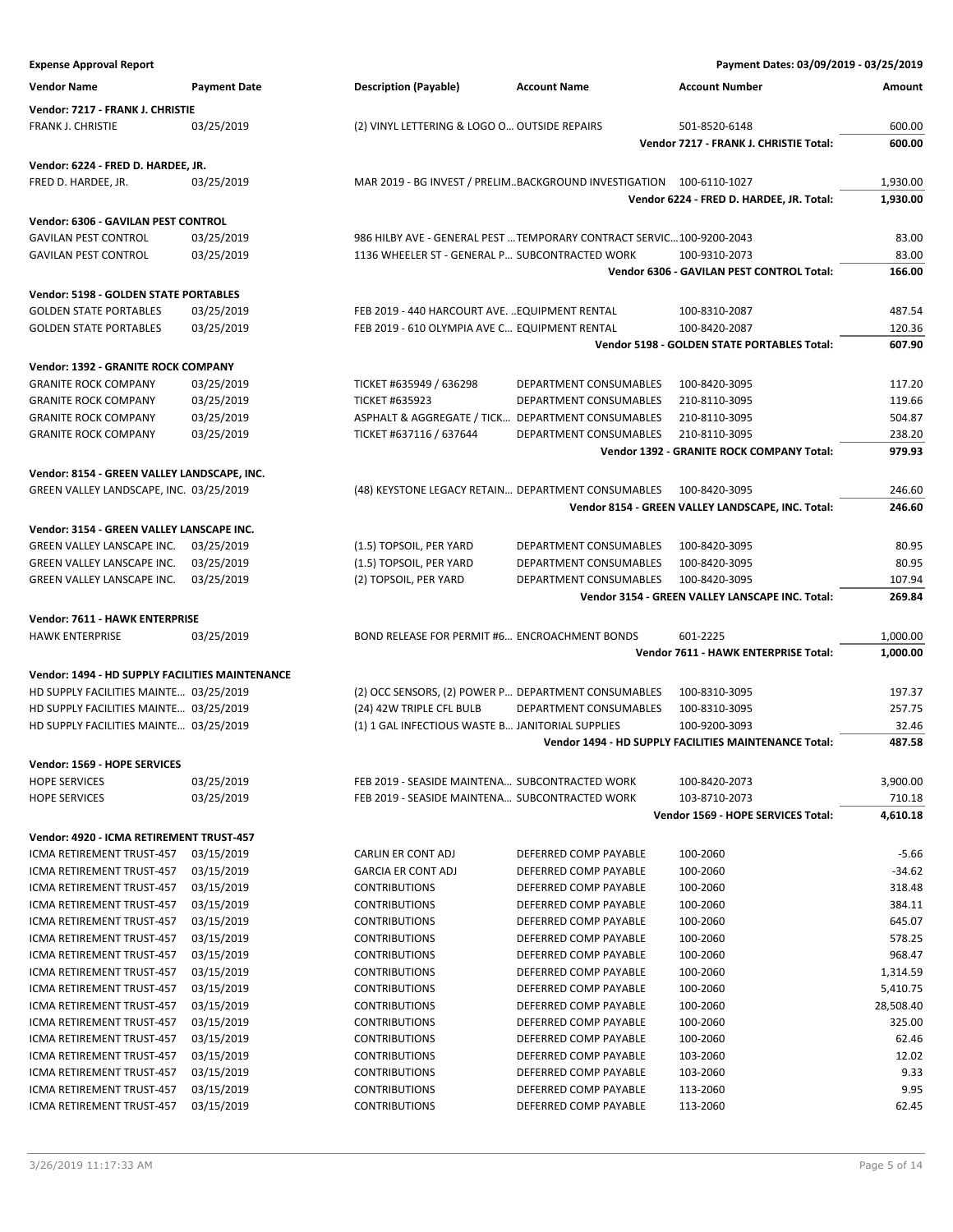| <b>Vendor Name</b>                              | <b>Payment Date</b> | <b>Description (Payable)</b>                                          | <b>Account Name</b>    | <b>Account Number</b>                                        | Amount    |
|-------------------------------------------------|---------------------|-----------------------------------------------------------------------|------------------------|--------------------------------------------------------------|-----------|
| Vendor: 7217 - FRANK J. CHRISTIE                |                     |                                                                       |                        |                                                              |           |
| FRANK J. CHRISTIE                               | 03/25/2019          | (2) VINYL LETTERING & LOGO O OUTSIDE REPAIRS                          |                        | 501-8520-6148                                                | 600.00    |
|                                                 |                     |                                                                       |                        | Vendor 7217 - FRANK J. CHRISTIE Total:                       | 600.00    |
|                                                 |                     |                                                                       |                        |                                                              |           |
| Vendor: 6224 - FRED D. HARDEE, JR.              |                     |                                                                       |                        |                                                              |           |
| FRED D. HARDEE, JR.                             | 03/25/2019          | MAR 2019 - BG INVEST / PRELIMBACKGROUND INVESTIGATION 100-6110-1027   |                        |                                                              | 1,930.00  |
|                                                 |                     |                                                                       |                        | Vendor 6224 - FRED D. HARDEE, JR. Total:                     | 1,930.00  |
| Vendor: 6306 - GAVILAN PEST CONTROL             |                     |                                                                       |                        |                                                              |           |
| <b>GAVILAN PEST CONTROL</b>                     | 03/25/2019          | 986 HILBY AVE - GENERAL PEST  TEMPORARY CONTRACT SERVIC 100-9200-2043 |                        |                                                              | 83.00     |
| <b>GAVILAN PEST CONTROL</b>                     | 03/25/2019          | 1136 WHEELER ST - GENERAL P SUBCONTRACTED WORK                        |                        | 100-9310-2073                                                | 83.00     |
|                                                 |                     |                                                                       |                        | Vendor 6306 - GAVILAN PEST CONTROL Total:                    | 166.00    |
| Vendor: 5198 - GOLDEN STATE PORTABLES           |                     |                                                                       |                        |                                                              |           |
| <b>GOLDEN STATE PORTABLES</b>                   | 03/25/2019          | FEB 2019 - 440 HARCOURT AVE.  EQUIPMENT RENTAL                        |                        | 100-8310-2087                                                | 487.54    |
| <b>GOLDEN STATE PORTABLES</b>                   | 03/25/2019          | FEB 2019 - 610 OLYMPIA AVE C EQUIPMENT RENTAL                         |                        | 100-8420-2087                                                | 120.36    |
|                                                 |                     |                                                                       |                        | Vendor 5198 - GOLDEN STATE PORTABLES Total:                  | 607.90    |
| Vendor: 1392 - GRANITE ROCK COMPANY             |                     |                                                                       |                        |                                                              |           |
| <b>GRANITE ROCK COMPANY</b>                     | 03/25/2019          | TICKET #635949 / 636298                                               | DEPARTMENT CONSUMABLES | 100-8420-3095                                                | 117.20    |
| <b>GRANITE ROCK COMPANY</b>                     | 03/25/2019          | <b>TICKET #635923</b>                                                 | DEPARTMENT CONSUMABLES | 210-8110-3095                                                | 119.66    |
| <b>GRANITE ROCK COMPANY</b>                     | 03/25/2019          | ASPHALT & AGGREGATE / TICK DEPARTMENT CONSUMABLES                     |                        | 210-8110-3095                                                | 504.87    |
| <b>GRANITE ROCK COMPANY</b>                     | 03/25/2019          | TICKET #637116 / 637644                                               | DEPARTMENT CONSUMABLES | 210-8110-3095                                                | 238.20    |
|                                                 |                     |                                                                       |                        | <b>Vendor 1392 - GRANITE ROCK COMPANY Total:</b>             | 979.93    |
|                                                 |                     |                                                                       |                        |                                                              |           |
| Vendor: 8154 - GREEN VALLEY LANDSCAPE, INC.     |                     |                                                                       |                        |                                                              |           |
| GREEN VALLEY LANDSCAPE, INC. 03/25/2019         |                     | (48) KEYSTONE LEGACY RETAIN DEPARTMENT CONSUMABLES                    |                        | 100-8420-3095                                                | 246.60    |
|                                                 |                     |                                                                       |                        | Vendor 8154 - GREEN VALLEY LANDSCAPE, INC. Total:            | 246.60    |
| Vendor: 3154 - GREEN VALLEY LANSCAPE INC.       |                     |                                                                       |                        |                                                              |           |
| GREEN VALLEY LANSCAPE INC.                      | 03/25/2019          | (1.5) TOPSOIL, PER YARD                                               | DEPARTMENT CONSUMABLES | 100-8420-3095                                                | 80.95     |
| GREEN VALLEY LANSCAPE INC.                      | 03/25/2019          | (1.5) TOPSOIL, PER YARD                                               | DEPARTMENT CONSUMABLES | 100-8420-3095                                                | 80.95     |
| GREEN VALLEY LANSCAPE INC.                      | 03/25/2019          | (2) TOPSOIL, PER YARD                                                 | DEPARTMENT CONSUMABLES | 100-8420-3095                                                | 107.94    |
|                                                 |                     |                                                                       |                        | Vendor 3154 - GREEN VALLEY LANSCAPE INC. Total:              | 269.84    |
| Vendor: 7611 - HAWK ENTERPRISE                  |                     |                                                                       |                        |                                                              |           |
| <b>HAWK ENTERPRISE</b>                          | 03/25/2019          | BOND RELEASE FOR PERMIT #6 ENCROACHMENT BONDS                         |                        | 601-2225                                                     | 1,000.00  |
|                                                 |                     |                                                                       |                        | Vendor 7611 - HAWK ENTERPRISE Total:                         | 1,000.00  |
| Vendor: 1494 - HD SUPPLY FACILITIES MAINTENANCE |                     |                                                                       |                        |                                                              |           |
| HD SUPPLY FACILITIES MAINTE 03/25/2019          |                     | (2) OCC SENSORS, (2) POWER P DEPARTMENT CONSUMABLES                   |                        | 100-8310-3095                                                | 197.37    |
| HD SUPPLY FACILITIES MAINTE 03/25/2019          |                     | (24) 42W TRIPLE CFL BULB                                              | DEPARTMENT CONSUMABLES | 100-8310-3095                                                | 257.75    |
| HD SUPPLY FACILITIES MAINTE 03/25/2019          |                     | (1) 1 GAL INFECTIOUS WASTE B JANITORIAL SUPPLIES                      |                        | 100-9200-3093                                                | 32.46     |
|                                                 |                     |                                                                       |                        | <b>Vendor 1494 - HD SUPPLY FACILITIES MAINTENANCE Total:</b> | 487.58    |
|                                                 |                     |                                                                       |                        |                                                              |           |
| Vendor: 1569 - HOPE SERVICES                    |                     |                                                                       |                        |                                                              |           |
| <b>HOPE SERVICES</b><br><b>HOPE SERVICES</b>    | 03/25/2019          | FEB 2019 - SEASIDE MAINTENA SUBCONTRACTED WORK                        |                        | 100-8420-2073                                                | 3,900.00  |
|                                                 | 03/25/2019          | FEB 2019 - SEASIDE MAINTENA SUBCONTRACTED WORK                        |                        | 103-8710-2073                                                | 710.18    |
|                                                 |                     |                                                                       |                        | Vendor 1569 - HOPE SERVICES Total:                           | 4,610.18  |
| Vendor: 4920 - ICMA RETIREMENT TRUST-457        |                     |                                                                       |                        |                                                              |           |
| ICMA RETIREMENT TRUST-457                       | 03/15/2019          | CARLIN ER CONT ADJ                                                    | DEFERRED COMP PAYABLE  | 100-2060                                                     | $-5.66$   |
| ICMA RETIREMENT TRUST-457                       | 03/15/2019          | <b>GARCIA ER CONT ADJ</b>                                             | DEFERRED COMP PAYABLE  | 100-2060                                                     | $-34.62$  |
| ICMA RETIREMENT TRUST-457                       | 03/15/2019          | <b>CONTRIBUTIONS</b>                                                  | DEFERRED COMP PAYABLE  | 100-2060                                                     | 318.48    |
| ICMA RETIREMENT TRUST-457                       | 03/15/2019          | <b>CONTRIBUTIONS</b>                                                  | DEFERRED COMP PAYABLE  | 100-2060                                                     | 384.11    |
| ICMA RETIREMENT TRUST-457                       | 03/15/2019          | <b>CONTRIBUTIONS</b>                                                  | DEFERRED COMP PAYABLE  | 100-2060                                                     | 645.07    |
| ICMA RETIREMENT TRUST-457                       | 03/15/2019          | <b>CONTRIBUTIONS</b>                                                  | DEFERRED COMP PAYABLE  | 100-2060                                                     | 578.25    |
| ICMA RETIREMENT TRUST-457                       | 03/15/2019          | <b>CONTRIBUTIONS</b>                                                  | DEFERRED COMP PAYABLE  | 100-2060                                                     | 968.47    |
| ICMA RETIREMENT TRUST-457                       | 03/15/2019          | <b>CONTRIBUTIONS</b>                                                  | DEFERRED COMP PAYABLE  | 100-2060                                                     | 1,314.59  |
| ICMA RETIREMENT TRUST-457                       | 03/15/2019          | <b>CONTRIBUTIONS</b>                                                  | DEFERRED COMP PAYABLE  | 100-2060                                                     | 5,410.75  |
| ICMA RETIREMENT TRUST-457                       | 03/15/2019          | <b>CONTRIBUTIONS</b>                                                  | DEFERRED COMP PAYABLE  | 100-2060                                                     | 28,508.40 |
| ICMA RETIREMENT TRUST-457                       | 03/15/2019          | <b>CONTRIBUTIONS</b>                                                  | DEFERRED COMP PAYABLE  | 100-2060                                                     | 325.00    |
| ICMA RETIREMENT TRUST-457                       | 03/15/2019          | <b>CONTRIBUTIONS</b>                                                  | DEFERRED COMP PAYABLE  | 100-2060                                                     | 62.46     |
| ICMA RETIREMENT TRUST-457                       | 03/15/2019          | <b>CONTRIBUTIONS</b>                                                  | DEFERRED COMP PAYABLE  | 103-2060                                                     | 12.02     |
| ICMA RETIREMENT TRUST-457                       | 03/15/2019          | <b>CONTRIBUTIONS</b>                                                  | DEFERRED COMP PAYABLE  | 103-2060                                                     | 9.33      |
| ICMA RETIREMENT TRUST-457                       | 03/15/2019          | <b>CONTRIBUTIONS</b>                                                  | DEFERRED COMP PAYABLE  | 113-2060                                                     | 9.95      |
| ICMA RETIREMENT TRUST-457                       | 03/15/2019          | <b>CONTRIBUTIONS</b>                                                  | DEFERRED COMP PAYABLE  | 113-2060                                                     | 62.45     |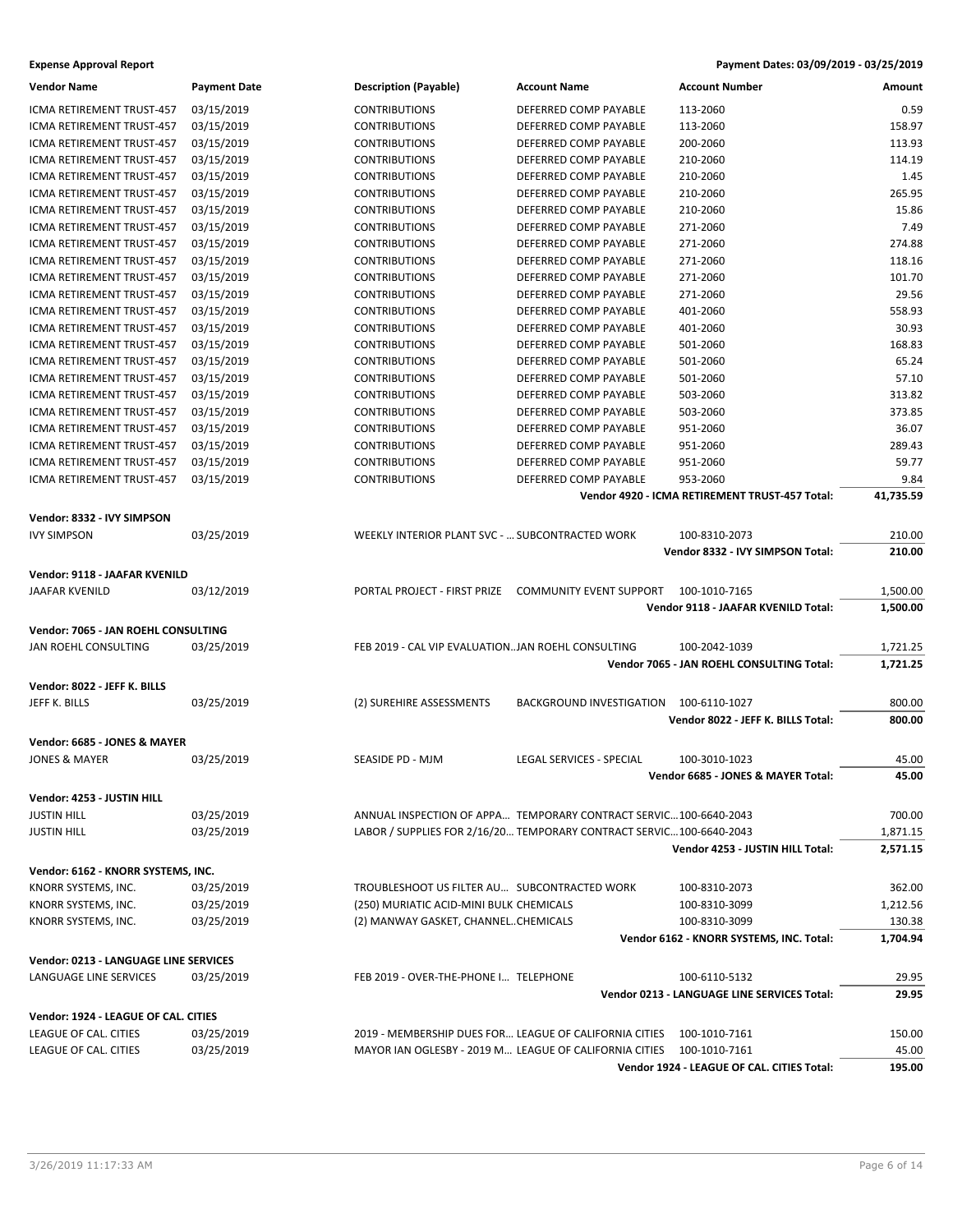| <b>Vendor Name</b>                                              | <b>Payment Date</b> | <b>Description (Payable)</b>                      | <b>Account Name</b>                                                  | <b>Account Number</b>                          | Amount    |
|-----------------------------------------------------------------|---------------------|---------------------------------------------------|----------------------------------------------------------------------|------------------------------------------------|-----------|
| ICMA RETIREMENT TRUST-457                                       | 03/15/2019          | <b>CONTRIBUTIONS</b>                              | DEFERRED COMP PAYABLE                                                | 113-2060                                       | 0.59      |
| ICMA RETIREMENT TRUST-457                                       | 03/15/2019          | <b>CONTRIBUTIONS</b>                              | DEFERRED COMP PAYABLE                                                | 113-2060                                       | 158.97    |
| ICMA RETIREMENT TRUST-457                                       | 03/15/2019          | <b>CONTRIBUTIONS</b>                              | DEFERRED COMP PAYABLE                                                | 200-2060                                       | 113.93    |
| ICMA RETIREMENT TRUST-457                                       | 03/15/2019          | <b>CONTRIBUTIONS</b>                              | DEFERRED COMP PAYABLE                                                | 210-2060                                       | 114.19    |
| ICMA RETIREMENT TRUST-457                                       | 03/15/2019          | <b>CONTRIBUTIONS</b>                              | DEFERRED COMP PAYABLE                                                | 210-2060                                       | 1.45      |
| ICMA RETIREMENT TRUST-457                                       | 03/15/2019          | <b>CONTRIBUTIONS</b>                              | DEFERRED COMP PAYABLE                                                | 210-2060                                       | 265.95    |
| ICMA RETIREMENT TRUST-457                                       | 03/15/2019          | <b>CONTRIBUTIONS</b>                              | DEFERRED COMP PAYABLE                                                | 210-2060                                       | 15.86     |
| ICMA RETIREMENT TRUST-457                                       | 03/15/2019          | <b>CONTRIBUTIONS</b>                              | DEFERRED COMP PAYABLE                                                | 271-2060                                       | 7.49      |
| ICMA RETIREMENT TRUST-457                                       | 03/15/2019          | <b>CONTRIBUTIONS</b>                              | DEFERRED COMP PAYABLE                                                | 271-2060                                       | 274.88    |
| ICMA RETIREMENT TRUST-457                                       | 03/15/2019          | <b>CONTRIBUTIONS</b>                              | DEFERRED COMP PAYABLE                                                | 271-2060                                       | 118.16    |
| ICMA RETIREMENT TRUST-457                                       | 03/15/2019          | <b>CONTRIBUTIONS</b>                              | DEFERRED COMP PAYABLE                                                | 271-2060                                       | 101.70    |
| ICMA RETIREMENT TRUST-457                                       | 03/15/2019          | <b>CONTRIBUTIONS</b>                              | DEFERRED COMP PAYABLE                                                | 271-2060                                       | 29.56     |
| ICMA RETIREMENT TRUST-457                                       | 03/15/2019          | <b>CONTRIBUTIONS</b>                              | DEFERRED COMP PAYABLE                                                | 401-2060                                       | 558.93    |
| ICMA RETIREMENT TRUST-457                                       | 03/15/2019          | <b>CONTRIBUTIONS</b>                              | DEFERRED COMP PAYABLE                                                | 401-2060                                       | 30.93     |
| ICMA RETIREMENT TRUST-457                                       | 03/15/2019          | <b>CONTRIBUTIONS</b>                              | DEFERRED COMP PAYABLE                                                | 501-2060                                       | 168.83    |
| ICMA RETIREMENT TRUST-457                                       | 03/15/2019          | <b>CONTRIBUTIONS</b>                              | DEFERRED COMP PAYABLE                                                | 501-2060                                       | 65.24     |
| ICMA RETIREMENT TRUST-457                                       | 03/15/2019          | <b>CONTRIBUTIONS</b>                              | DEFERRED COMP PAYABLE                                                | 501-2060                                       | 57.10     |
| ICMA RETIREMENT TRUST-457                                       | 03/15/2019          | <b>CONTRIBUTIONS</b>                              | DEFERRED COMP PAYABLE                                                | 503-2060                                       | 313.82    |
| ICMA RETIREMENT TRUST-457                                       | 03/15/2019          | <b>CONTRIBUTIONS</b>                              | DEFERRED COMP PAYABLE                                                | 503-2060                                       | 373.85    |
| ICMA RETIREMENT TRUST-457                                       | 03/15/2019          | <b>CONTRIBUTIONS</b>                              | DEFERRED COMP PAYABLE                                                | 951-2060                                       | 36.07     |
| ICMA RETIREMENT TRUST-457                                       | 03/15/2019          | <b>CONTRIBUTIONS</b>                              | DEFERRED COMP PAYABLE                                                | 951-2060                                       | 289.43    |
| ICMA RETIREMENT TRUST-457                                       | 03/15/2019          | <b>CONTRIBUTIONS</b>                              | DEFERRED COMP PAYABLE                                                | 951-2060                                       | 59.77     |
| ICMA RETIREMENT TRUST-457                                       | 03/15/2019          | <b>CONTRIBUTIONS</b>                              | DEFERRED COMP PAYABLE                                                | 953-2060                                       | 9.84      |
|                                                                 |                     |                                                   |                                                                      | Vendor 4920 - ICMA RETIREMENT TRUST-457 Total: | 41,735.59 |
|                                                                 |                     |                                                   |                                                                      |                                                |           |
| Vendor: 8332 - IVY SIMPSON                                      |                     |                                                   |                                                                      |                                                |           |
| <b>IVY SIMPSON</b>                                              | 03/25/2019          | WEEKLY INTERIOR PLANT SVC -  SUBCONTRACTED WORK   |                                                                      | 100-8310-2073                                  | 210.00    |
|                                                                 |                     |                                                   |                                                                      | Vendor 8332 - IVY SIMPSON Total:               | 210.00    |
| Vendor: 9118 - JAAFAR KVENILD                                   |                     |                                                   |                                                                      |                                                |           |
| JAAFAR KVENILD                                                  | 03/12/2019          |                                                   | PORTAL PROJECT - FIRST PRIZE COMMUNITY EVENT SUPPORT                 | 100-1010-7165                                  | 1,500.00  |
|                                                                 |                     |                                                   |                                                                      | Vendor 9118 - JAAFAR KVENILD Total:            | 1,500.00  |
| Vendor: 7065 - JAN ROEHL CONSULTING                             |                     |                                                   |                                                                      |                                                |           |
| JAN ROEHL CONSULTING                                            | 03/25/2019          | FEB 2019 - CAL VIP EVALUATIONJAN ROEHL CONSULTING |                                                                      | 100-2042-1039                                  | 1,721.25  |
|                                                                 |                     |                                                   |                                                                      | Vendor 7065 - JAN ROEHL CONSULTING Total:      | 1,721.25  |
| Vendor: 8022 - JEFF K. BILLS                                    |                     |                                                   |                                                                      |                                                |           |
| JEFF K. BILLS                                                   | 03/25/2019          | (2) SUREHIRE ASSESSMENTS                          | BACKGROUND INVESTIGATION                                             | 100-6110-1027                                  | 800.00    |
|                                                                 |                     |                                                   |                                                                      | Vendor 8022 - JEFF K. BILLS Total:             | 800.00    |
|                                                                 |                     |                                                   |                                                                      |                                                |           |
| Vendor: 6685 - JONES & MAYER                                    |                     |                                                   |                                                                      |                                                |           |
| <b>JONES &amp; MAYER</b>                                        | 03/25/2019          | SEASIDE PD - MJM                                  | LEGAL SERVICES - SPECIAL                                             | 100-3010-1023                                  | 45.00     |
|                                                                 |                     |                                                   |                                                                      | Vendor 6685 - JONES & MAYER Total:             | 45.00     |
| Vendor: 4253 - JUSTIN HILL                                      |                     |                                                   |                                                                      |                                                |           |
| <b>JUSTIN HILL</b>                                              | 03/25/2019          |                                                   | ANNUAL INSPECTION OF APPA TEMPORARY CONTRACT SERVIC100-6640-2043     |                                                | 700.00    |
| <b>JUSTIN HILL</b>                                              | 03/25/2019          |                                                   | LABOR / SUPPLIES FOR 2/16/20 TEMPORARY CONTRACT SERVIC 100-6640-2043 |                                                | 1,871.15  |
|                                                                 |                     |                                                   |                                                                      | Vendor 4253 - JUSTIN HILL Total:               | 2,571.15  |
| Vendor: 6162 - KNORR SYSTEMS, INC.                              |                     |                                                   |                                                                      |                                                |           |
| KNORR SYSTEMS, INC.                                             | 03/25/2019          | TROUBLESHOOT US FILTER AU  SUBCONTRACTED WORK     |                                                                      | 100-8310-2073                                  | 362.00    |
| KNORR SYSTEMS, INC.                                             | 03/25/2019          | (250) MURIATIC ACID-MINI BULK CHEMICALS           |                                                                      | 100-8310-3099                                  | 1,212.56  |
| KNORR SYSTEMS, INC.                                             | 03/25/2019          | (2) MANWAY GASKET, CHANNELCHEMICALS               |                                                                      | 100-8310-3099                                  | 130.38    |
|                                                                 |                     |                                                   |                                                                      | Vendor 6162 - KNORR SYSTEMS, INC. Total:       | 1,704.94  |
|                                                                 |                     |                                                   |                                                                      |                                                |           |
| Vendor: 0213 - LANGUAGE LINE SERVICES<br>LANGUAGE LINE SERVICES | 03/25/2019          | FEB 2019 - OVER-THE-PHONE I TELEPHONE             |                                                                      | 100-6110-5132                                  | 29.95     |
|                                                                 |                     |                                                   |                                                                      | Vendor 0213 - LANGUAGE LINE SERVICES Total:    | 29.95     |
|                                                                 |                     |                                                   |                                                                      |                                                |           |
| Vendor: 1924 - LEAGUE OF CAL. CITIES                            |                     |                                                   |                                                                      |                                                |           |
| LEAGUE OF CAL. CITIES                                           | 03/25/2019          |                                                   | 2019 - MEMBERSHIP DUES FOR LEAGUE OF CALIFORNIA CITIES               | 100-1010-7161                                  | 150.00    |
| LEAGUE OF CAL. CITIES                                           | 03/25/2019          |                                                   | MAYOR IAN OGLESBY - 2019 M LEAGUE OF CALIFORNIA CITIES               | 100-1010-7161                                  | 45.00     |
|                                                                 |                     |                                                   |                                                                      | Vendor 1924 - LEAGUE OF CAL. CITIES Total:     | 195.00    |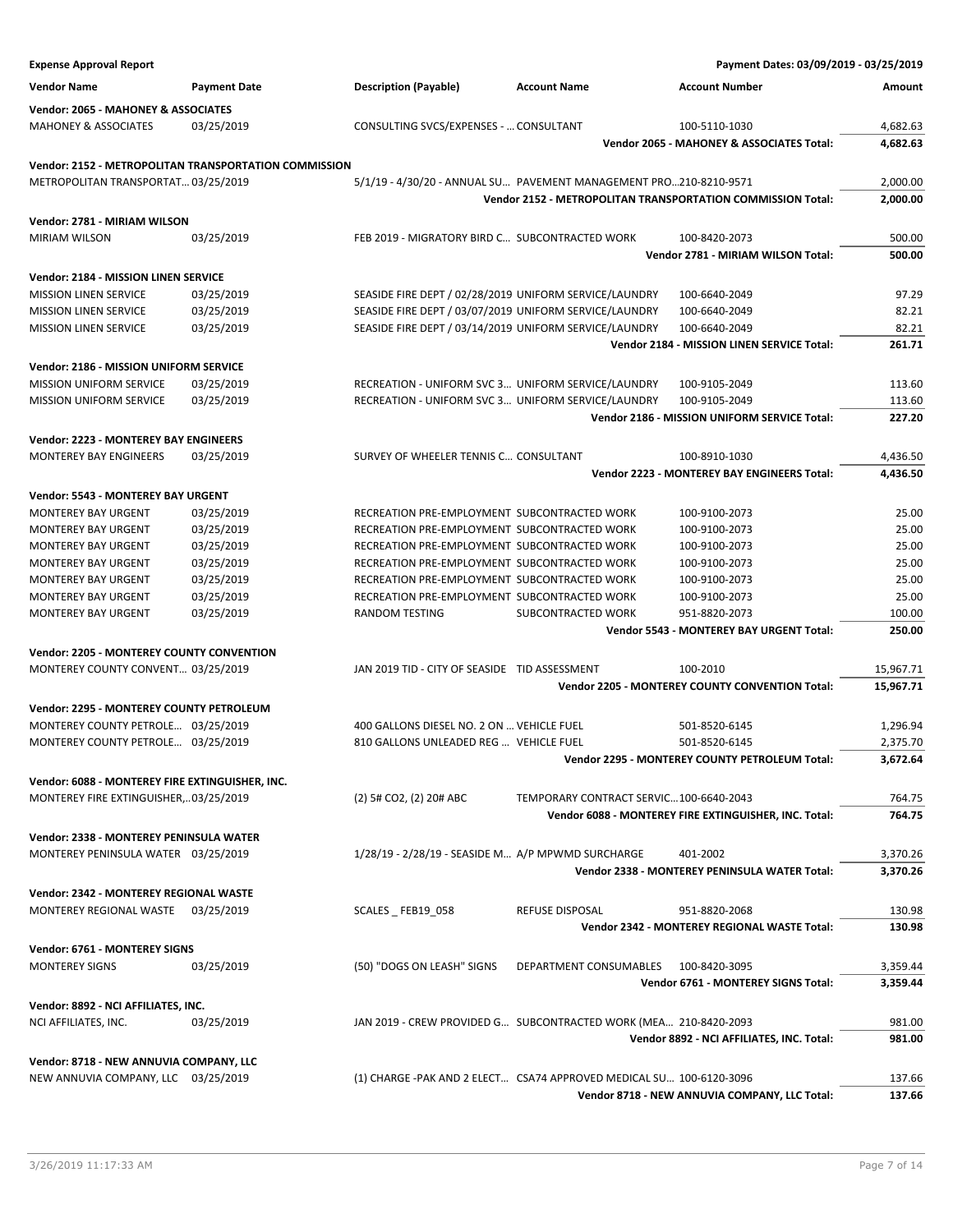| <b>Expense Approval Report</b>                   |                                                       |                                                                  |                                                                     | Payment Dates: 03/09/2019 - 03/25/2019                      |           |
|--------------------------------------------------|-------------------------------------------------------|------------------------------------------------------------------|---------------------------------------------------------------------|-------------------------------------------------------------|-----------|
| <b>Vendor Name</b>                               | <b>Payment Date</b>                                   | <b>Description (Payable)</b>                                     | <b>Account Name</b>                                                 | <b>Account Number</b>                                       | Amount    |
| Vendor: 2065 - MAHONEY & ASSOCIATES              |                                                       |                                                                  |                                                                     |                                                             |           |
| <b>MAHONEY &amp; ASSOCIATES</b>                  | 03/25/2019                                            | CONSULTING SVCS/EXPENSES -  CONSULTANT                           |                                                                     | 100-5110-1030                                               | 4,682.63  |
|                                                  |                                                       |                                                                  |                                                                     | Vendor 2065 - MAHONEY & ASSOCIATES Total:                   | 4,682.63  |
|                                                  |                                                       |                                                                  |                                                                     |                                                             |           |
|                                                  | Vendor: 2152 - METROPOLITAN TRANSPORTATION COMMISSION |                                                                  |                                                                     |                                                             |           |
| METROPOLITAN TRANSPORTAT 03/25/2019              |                                                       |                                                                  | 5/1/19 - 4/30/20 - ANNUAL SU PAVEMENT MANAGEMENT PRO210-8210-9571   |                                                             | 2,000.00  |
|                                                  |                                                       |                                                                  |                                                                     | Vendor 2152 - METROPOLITAN TRANSPORTATION COMMISSION Total: | 2,000.00  |
| Vendor: 2781 - MIRIAM WILSON                     |                                                       |                                                                  |                                                                     |                                                             |           |
| <b>MIRIAM WILSON</b>                             | 03/25/2019                                            | FEB 2019 - MIGRATORY BIRD C SUBCONTRACTED WORK                   |                                                                     | 100-8420-2073                                               | 500.00    |
|                                                  |                                                       |                                                                  |                                                                     | Vendor 2781 - MIRIAM WILSON Total:                          | 500.00    |
| Vendor: 2184 - MISSION LINEN SERVICE             |                                                       |                                                                  |                                                                     |                                                             |           |
| <b>MISSION LINEN SERVICE</b>                     | 03/25/2019                                            | SEASIDE FIRE DEPT / 02/28/2019 UNIFORM SERVICE/LAUNDRY           |                                                                     | 100-6640-2049                                               | 97.29     |
| <b>MISSION LINEN SERVICE</b>                     | 03/25/2019                                            | SEASIDE FIRE DEPT / 03/07/2019 UNIFORM SERVICE/LAUNDRY           |                                                                     | 100-6640-2049                                               | 82.21     |
| <b>MISSION LINEN SERVICE</b>                     | 03/25/2019                                            | SEASIDE FIRE DEPT / 03/14/2019 UNIFORM SERVICE/LAUNDRY           |                                                                     | 100-6640-2049                                               | 82.21     |
|                                                  |                                                       |                                                                  |                                                                     | Vendor 2184 - MISSION LINEN SERVICE Total:                  | 261.71    |
|                                                  |                                                       |                                                                  |                                                                     |                                                             |           |
| Vendor: 2186 - MISSION UNIFORM SERVICE           |                                                       |                                                                  |                                                                     |                                                             |           |
| <b>MISSION UNIFORM SERVICE</b>                   | 03/25/2019                                            | RECREATION - UNIFORM SVC 3 UNIFORM SERVICE/LAUNDRY               |                                                                     | 100-9105-2049                                               | 113.60    |
| MISSION UNIFORM SERVICE                          | 03/25/2019                                            | RECREATION - UNIFORM SVC 3 UNIFORM SERVICE/LAUNDRY               |                                                                     | 100-9105-2049                                               | 113.60    |
|                                                  |                                                       |                                                                  |                                                                     | Vendor 2186 - MISSION UNIFORM SERVICE Total:                | 227.20    |
| Vendor: 2223 - MONTEREY BAY ENGINEERS            |                                                       |                                                                  |                                                                     |                                                             |           |
| <b>MONTEREY BAY ENGINEERS</b>                    | 03/25/2019                                            | SURVEY OF WHEELER TENNIS C CONSULTANT                            |                                                                     | 100-8910-1030                                               | 4,436.50  |
|                                                  |                                                       |                                                                  |                                                                     | Vendor 2223 - MONTEREY BAY ENGINEERS Total:                 | 4,436.50  |
| Vendor: 5543 - MONTEREY BAY URGENT               |                                                       |                                                                  |                                                                     |                                                             |           |
| <b>MONTEREY BAY URGENT</b>                       | 03/25/2019                                            | RECREATION PRE-EMPLOYMENT SUBCONTRACTED WORK                     |                                                                     | 100-9100-2073                                               | 25.00     |
| MONTEREY BAY URGENT                              | 03/25/2019                                            | RECREATION PRE-EMPLOYMENT SUBCONTRACTED WORK                     |                                                                     | 100-9100-2073                                               | 25.00     |
| <b>MONTEREY BAY URGENT</b>                       | 03/25/2019                                            | RECREATION PRE-EMPLOYMENT SUBCONTRACTED WORK                     |                                                                     | 100-9100-2073                                               | 25.00     |
| <b>MONTEREY BAY URGENT</b>                       | 03/25/2019                                            | RECREATION PRE-EMPLOYMENT SUBCONTRACTED WORK                     |                                                                     | 100-9100-2073                                               | 25.00     |
| <b>MONTEREY BAY URGENT</b>                       | 03/25/2019                                            | RECREATION PRE-EMPLOYMENT SUBCONTRACTED WORK                     |                                                                     | 100-9100-2073                                               | 25.00     |
| <b>MONTEREY BAY URGENT</b>                       | 03/25/2019                                            | RECREATION PRE-EMPLOYMENT SUBCONTRACTED WORK                     |                                                                     | 100-9100-2073                                               | 25.00     |
| <b>MONTEREY BAY URGENT</b>                       | 03/25/2019                                            | RANDOM TESTING                                                   | SUBCONTRACTED WORK                                                  | 951-8820-2073                                               | 100.00    |
|                                                  |                                                       |                                                                  |                                                                     | Vendor 5543 - MONTEREY BAY URGENT Total:                    | 250.00    |
|                                                  |                                                       |                                                                  |                                                                     |                                                             |           |
| <b>Vendor: 2205 - MONTEREY COUNTY CONVENTION</b> |                                                       |                                                                  |                                                                     |                                                             |           |
| MONTEREY COUNTY CONVENT 03/25/2019               |                                                       | JAN 2019 TID - CITY OF SEASIDE TID ASSESSMENT                    |                                                                     | 100-2010                                                    | 15,967.71 |
|                                                  |                                                       |                                                                  |                                                                     | <b>Vendor 2205 - MONTEREY COUNTY CONVENTION Total:</b>      | 15,967.71 |
| Vendor: 2295 - MONTEREY COUNTY PETROLEUM         |                                                       |                                                                  |                                                                     |                                                             |           |
| MONTEREY COUNTY PETROLE 03/25/2019               |                                                       | 400 GALLONS DIESEL NO. 2 ON  VEHICLE FUEL                        |                                                                     | 501-8520-6145                                               | 1,296.94  |
| MONTEREY COUNTY PETROLE 03/25/2019               |                                                       | 810 GALLONS UNLEADED REG  VEHICLE FUEL                           |                                                                     | 501-8520-6145                                               | 2,375.70  |
|                                                  |                                                       |                                                                  |                                                                     | Vendor 2295 - MONTEREY COUNTY PETROLEUM Total:              | 3,672.64  |
| Vendor: 6088 - MONTEREY FIRE EXTINGUISHER, INC.  |                                                       |                                                                  |                                                                     |                                                             |           |
| MONTEREY FIRE EXTINGUISHER,03/25/2019            |                                                       | (2) 5# CO2, (2) 20# ABC                                          | TEMPORARY CONTRACT SERVIC100-6640-2043                              |                                                             | 764.75    |
|                                                  |                                                       |                                                                  |                                                                     | Vendor 6088 - MONTEREY FIRE EXTINGUISHER, INC. Total:       | 764.75    |
|                                                  |                                                       |                                                                  |                                                                     |                                                             |           |
| Vendor: 2338 - MONTEREY PENINSULA WATER          |                                                       |                                                                  |                                                                     |                                                             |           |
| MONTEREY PENINSULA WATER 03/25/2019              |                                                       | 1/28/19 - 2/28/19 - SEASIDE M A/P MPWMD SURCHARGE                |                                                                     | 401-2002                                                    | 3,370.26  |
|                                                  |                                                       |                                                                  |                                                                     | Vendor 2338 - MONTEREY PENINSULA WATER Total:               | 3,370.26  |
| Vendor: 2342 - MONTEREY REGIONAL WASTE           |                                                       |                                                                  |                                                                     |                                                             |           |
| MONTEREY REGIONAL WASTE 03/25/2019               |                                                       | SCALES FEB19 058                                                 | REFUSE DISPOSAL                                                     | 951-8820-2068                                               | 130.98    |
|                                                  |                                                       |                                                                  |                                                                     | Vendor 2342 - MONTEREY REGIONAL WASTE Total:                | 130.98    |
| Vendor: 6761 - MONTEREY SIGNS                    |                                                       |                                                                  |                                                                     |                                                             |           |
| <b>MONTEREY SIGNS</b>                            | 03/25/2019                                            | (50) "DOGS ON LEASH" SIGNS                                       | DEPARTMENT CONSUMABLES                                              | 100-8420-3095                                               | 3,359.44  |
|                                                  |                                                       |                                                                  |                                                                     | Vendor 6761 - MONTEREY SIGNS Total:                         | 3,359.44  |
|                                                  |                                                       |                                                                  |                                                                     |                                                             |           |
| Vendor: 8892 - NCI AFFILIATES, INC.              |                                                       |                                                                  |                                                                     |                                                             |           |
| NCI AFFILIATES, INC.                             | 03/25/2019                                            | JAN 2019 - CREW PROVIDED G SUBCONTRACTED WORK (MEA 210-8420-2093 |                                                                     |                                                             | 981.00    |
|                                                  |                                                       |                                                                  |                                                                     | Vendor 8892 - NCI AFFILIATES, INC. Total:                   | 981.00    |
| Vendor: 8718 - NEW ANNUVIA COMPANY, LLC          |                                                       |                                                                  |                                                                     |                                                             |           |
| NEW ANNUVIA COMPANY, LLC 03/25/2019              |                                                       |                                                                  | (1) CHARGE -PAK AND 2 ELECT CSA74 APPROVED MEDICAL SU 100-6120-3096 |                                                             | 137.66    |
|                                                  |                                                       |                                                                  |                                                                     | Vendor 8718 - NEW ANNUVIA COMPANY, LLC Total:               | 137.66    |
|                                                  |                                                       |                                                                  |                                                                     |                                                             |           |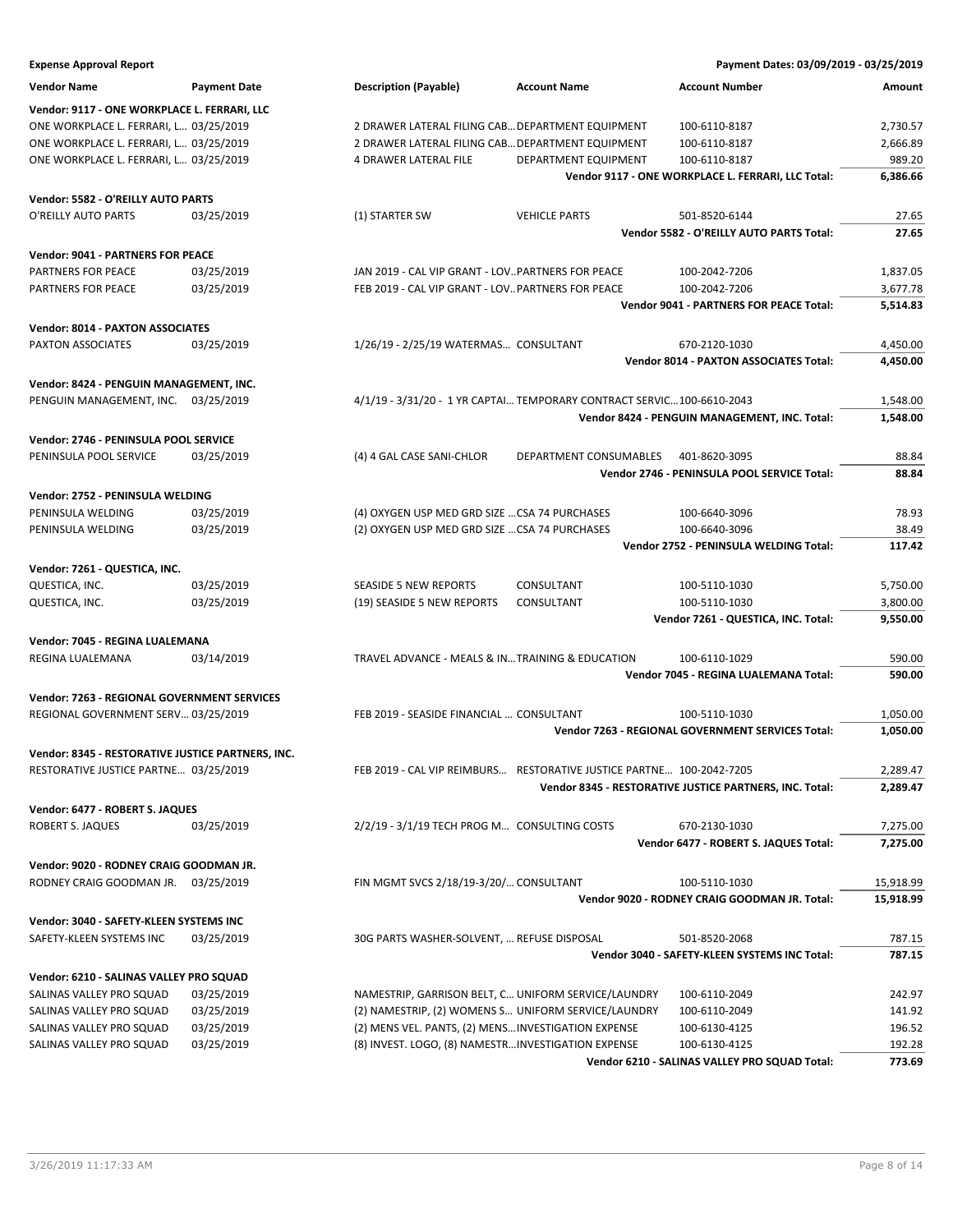| <b>Expense Approval Report</b>                                      |                     |                                                                                                            |                        | Payment Dates: 03/09/2019 - 03/25/2019                  |                  |
|---------------------------------------------------------------------|---------------------|------------------------------------------------------------------------------------------------------------|------------------------|---------------------------------------------------------|------------------|
| <b>Vendor Name</b>                                                  | <b>Payment Date</b> | <b>Description (Payable)</b>                                                                               | <b>Account Name</b>    | <b>Account Number</b>                                   | Amount           |
| Vendor: 9117 - ONE WORKPLACE L. FERRARI, LLC                        |                     |                                                                                                            |                        |                                                         |                  |
| ONE WORKPLACE L. FERRARI, L 03/25/2019                              |                     | 2 DRAWER LATERAL FILING CAB DEPARTMENT EQUIPMENT                                                           |                        | 100-6110-8187                                           | 2,730.57         |
| ONE WORKPLACE L. FERRARI, L 03/25/2019                              |                     | 2 DRAWER LATERAL FILING CAB DEPARTMENT EQUIPMENT                                                           |                        | 100-6110-8187                                           | 2,666.89         |
| ONE WORKPLACE L. FERRARI, L 03/25/2019                              |                     | 4 DRAWER LATERAL FILE                                                                                      | DEPARTMENT EQUIPMENT   | 100-6110-8187                                           | 989.20           |
|                                                                     |                     |                                                                                                            |                        | Vendor 9117 - ONE WORKPLACE L. FERRARI, LLC Total:      | 6,386.66         |
| Vendor: 5582 - O'REILLY AUTO PARTS                                  |                     |                                                                                                            |                        |                                                         |                  |
| O'REILLY AUTO PARTS                                                 | 03/25/2019          | (1) STARTER SW                                                                                             | <b>VEHICLE PARTS</b>   | 501-8520-6144                                           | 27.65            |
|                                                                     |                     |                                                                                                            |                        | Vendor 5582 - O'REILLY AUTO PARTS Total:                | 27.65            |
| <b>Vendor: 9041 - PARTNERS FOR PEACE</b>                            |                     |                                                                                                            |                        |                                                         |                  |
| PARTNERS FOR PEACE                                                  | 03/25/2019          | JAN 2019 - CAL VIP GRANT - LOVPARTNERS FOR PEACE                                                           |                        | 100-2042-7206                                           | 1,837.05         |
| PARTNERS FOR PEACE                                                  | 03/25/2019          | FEB 2019 - CAL VIP GRANT - LOV PARTNERS FOR PEACE                                                          |                        | 100-2042-7206                                           | 3,677.78         |
|                                                                     |                     |                                                                                                            |                        | Vendor 9041 - PARTNERS FOR PEACE Total:                 | 5,514.83         |
| Vendor: 8014 - PAXTON ASSOCIATES                                    |                     |                                                                                                            |                        |                                                         |                  |
| PAXTON ASSOCIATES                                                   | 03/25/2019          | 1/26/19 - 2/25/19 WATERMAS CONSULTANT                                                                      |                        | 670-2120-1030                                           | 4,450.00         |
|                                                                     |                     |                                                                                                            |                        | <b>Vendor 8014 - PAXTON ASSOCIATES Total:</b>           | 4,450.00         |
| Vendor: 8424 - PENGUIN MANAGEMENT, INC.                             |                     |                                                                                                            |                        |                                                         |                  |
| PENGUIN MANAGEMENT, INC. 03/25/2019                                 |                     | 4/1/19 - 3/31/20 - 1 YR CAPTAI TEMPORARY CONTRACT SERVIC100-6610-2043                                      |                        |                                                         | 1,548.00         |
|                                                                     |                     |                                                                                                            |                        | Vendor 8424 - PENGUIN MANAGEMENT, INC. Total:           | 1,548.00         |
| Vendor: 2746 - PENINSULA POOL SERVICE                               |                     |                                                                                                            |                        |                                                         |                  |
| PENINSULA POOL SERVICE                                              | 03/25/2019          | (4) 4 GAL CASE SANI-CHLOR                                                                                  | DEPARTMENT CONSUMABLES | 401-8620-3095                                           | 88.84            |
|                                                                     |                     |                                                                                                            |                        | Vendor 2746 - PENINSULA POOL SERVICE Total:             | 88.84            |
| Vendor: 2752 - PENINSULA WELDING                                    |                     |                                                                                                            |                        |                                                         |                  |
| PENINSULA WELDING                                                   | 03/25/2019          | (4) OXYGEN USP MED GRD SIZE  CSA 74 PURCHASES                                                              |                        | 100-6640-3096                                           | 78.93            |
| PENINSULA WELDING                                                   | 03/25/2019          | (2) OXYGEN USP MED GRD SIZE  CSA 74 PURCHASES                                                              |                        | 100-6640-3096                                           | 38.49            |
|                                                                     |                     |                                                                                                            |                        | Vendor 2752 - PENINSULA WELDING Total:                  | 117.42           |
| Vendor: 7261 - QUESTICA, INC.                                       |                     |                                                                                                            |                        |                                                         |                  |
| QUESTICA, INC.                                                      | 03/25/2019          | <b>SEASIDE 5 NEW REPORTS</b>                                                                               | CONSULTANT             | 100-5110-1030                                           | 5,750.00         |
| QUESTICA, INC.                                                      | 03/25/2019          | (19) SEASIDE 5 NEW REPORTS                                                                                 | CONSULTANT             | 100-5110-1030                                           | 3,800.00         |
|                                                                     |                     |                                                                                                            |                        | Vendor 7261 - QUESTICA, INC. Total:                     | 9,550.00         |
| Vendor: 7045 - REGINA LUALEMANA                                     |                     |                                                                                                            |                        |                                                         |                  |
| REGINA LUALEMANA                                                    | 03/14/2019          | TRAVEL ADVANCE - MEALS & IN TRAINING & EDUCATION                                                           |                        | 100-6110-1029                                           | 590.00           |
|                                                                     |                     |                                                                                                            |                        | Vendor 7045 - REGINA LUALEMANA Total:                   | 590.00           |
| Vendor: 7263 - REGIONAL GOVERNMENT SERVICES                         |                     |                                                                                                            |                        |                                                         |                  |
| REGIONAL GOVERNMENT SERV 03/25/2019                                 |                     | FEB 2019 - SEASIDE FINANCIAL  CONSULTANT                                                                   |                        | 100-5110-1030                                           | 1,050.00         |
|                                                                     |                     |                                                                                                            |                        | Vendor 7263 - REGIONAL GOVERNMENT SERVICES Total:       | 1,050.00         |
| Vendor: 8345 - RESTORATIVE JUSTICE PARTNERS, INC.                   |                     |                                                                                                            |                        |                                                         |                  |
| RESTORATIVE JUSTICE PARTNE 03/25/2019                               |                     | FEB 2019 - CAL VIP REIMBURS RESTORATIVE JUSTICE PARTNE 100-2042-7205                                       |                        |                                                         | 2,289.47         |
|                                                                     |                     |                                                                                                            |                        | Vendor 8345 - RESTORATIVE JUSTICE PARTNERS, INC. Total: | 2,289.47         |
| Vendor: 6477 - ROBERT S. JAQUES                                     |                     |                                                                                                            |                        |                                                         |                  |
| <b>ROBERT S. JAQUES</b>                                             | 03/25/2019          | 2/2/19 - 3/1/19 TECH PROG M CONSULTING COSTS                                                               |                        | 670-2130-1030                                           | 7,275.00         |
|                                                                     |                     |                                                                                                            |                        | Vendor 6477 - ROBERT S. JAQUES Total:                   | 7,275.00         |
| Vendor: 9020 - RODNEY CRAIG GOODMAN JR.                             |                     |                                                                                                            |                        |                                                         |                  |
| RODNEY CRAIG GOODMAN JR. 03/25/2019                                 |                     | FIN MGMT SVCS 2/18/19-3/20/ CONSULTANT                                                                     |                        | 100-5110-1030                                           | 15,918.99        |
|                                                                     |                     |                                                                                                            |                        | Vendor 9020 - RODNEY CRAIG GOODMAN JR. Total:           | 15,918.99        |
|                                                                     |                     |                                                                                                            |                        |                                                         |                  |
| Vendor: 3040 - SAFETY-KLEEN SYSTEMS INC<br>SAFETY-KLEEN SYSTEMS INC | 03/25/2019          | 30G PARTS WASHER-SOLVENT,  REFUSE DISPOSAL                                                                 |                        | 501-8520-2068                                           | 787.15           |
|                                                                     |                     |                                                                                                            |                        | Vendor 3040 - SAFETY-KLEEN SYSTEMS INC Total:           | 787.15           |
|                                                                     |                     |                                                                                                            |                        |                                                         |                  |
| Vendor: 6210 - SALINAS VALLEY PRO SQUAD                             | 03/25/2019          |                                                                                                            |                        |                                                         |                  |
| SALINAS VALLEY PRO SQUAD<br>SALINAS VALLEY PRO SQUAD                | 03/25/2019          | NAMESTRIP, GARRISON BELT, C UNIFORM SERVICE/LAUNDRY<br>(2) NAMESTRIP, (2) WOMENS S UNIFORM SERVICE/LAUNDRY |                        | 100-6110-2049<br>100-6110-2049                          | 242.97<br>141.92 |
| SALINAS VALLEY PRO SQUAD                                            | 03/25/2019          | (2) MENS VEL. PANTS, (2) MENS INVESTIGATION EXPENSE                                                        |                        | 100-6130-4125                                           | 196.52           |
| SALINAS VALLEY PRO SQUAD                                            | 03/25/2019          | (8) INVEST. LOGO, (8) NAMESTRINVESTIGATION EXPENSE                                                         |                        | 100-6130-4125                                           | 192.28           |
|                                                                     |                     |                                                                                                            |                        | Vendor 6210 - SALINAS VALLEY PRO SQUAD Total:           | 773.69           |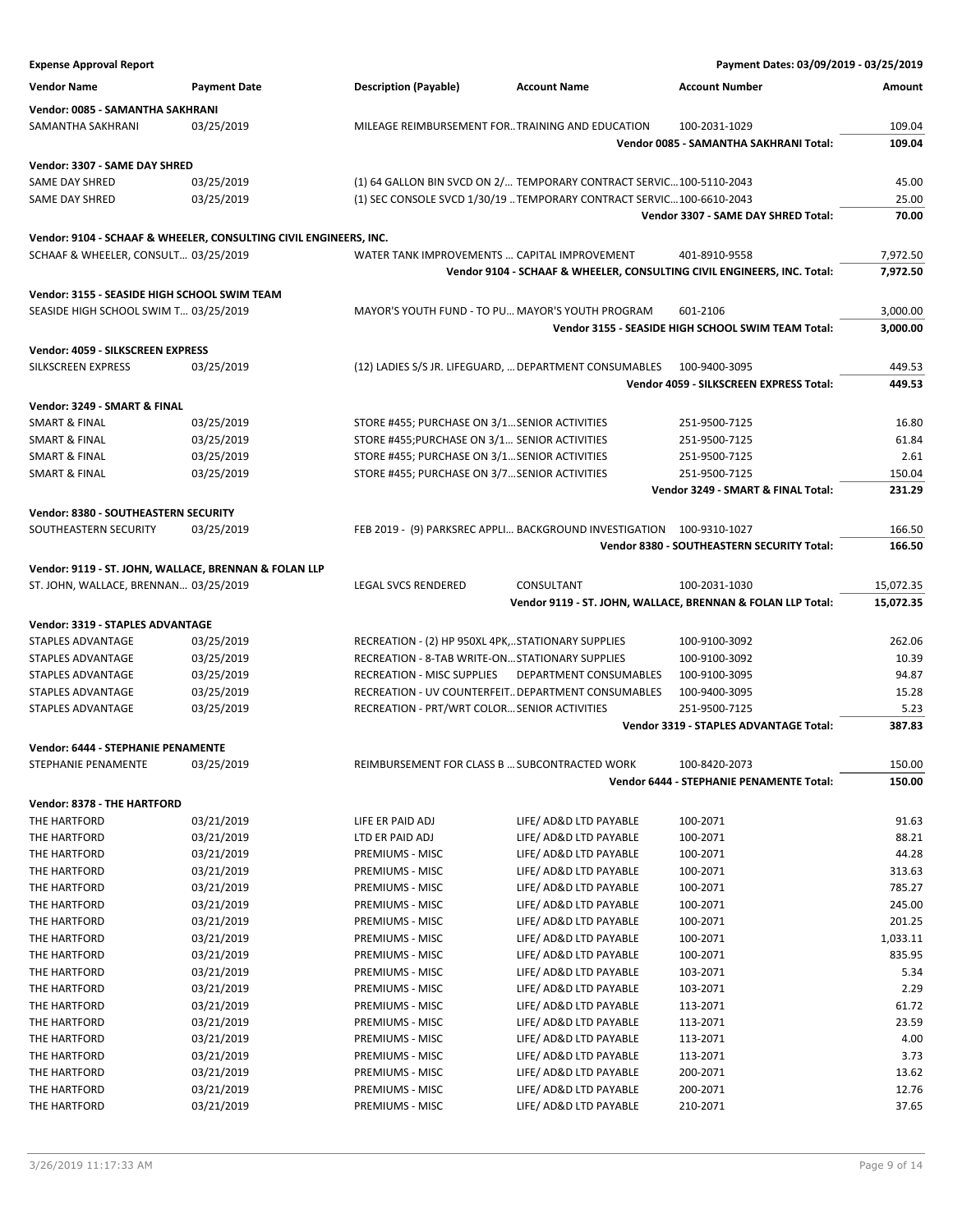| <b>Expense Approval Report</b>                                    |                     |                                                   |                                                                         | Payment Dates: 03/09/2019 - 03/25/2019                      |           |
|-------------------------------------------------------------------|---------------------|---------------------------------------------------|-------------------------------------------------------------------------|-------------------------------------------------------------|-----------|
| <b>Vendor Name</b>                                                | <b>Payment Date</b> | <b>Description (Payable)</b>                      | <b>Account Name</b>                                                     | <b>Account Number</b>                                       | Amount    |
| Vendor: 0085 - SAMANTHA SAKHRANI                                  |                     |                                                   |                                                                         |                                                             |           |
| SAMANTHA SAKHRANI                                                 | 03/25/2019          |                                                   | MILEAGE REIMBURSEMENT FORTRAINING AND EDUCATION                         | 100-2031-1029                                               | 109.04    |
|                                                                   |                     |                                                   |                                                                         | <b>Vendor 0085 - SAMANTHA SAKHRANI Total:</b>               | 109.04    |
|                                                                   |                     |                                                   |                                                                         |                                                             |           |
| Vendor: 3307 - SAME DAY SHRED                                     |                     |                                                   |                                                                         |                                                             |           |
| SAME DAY SHRED                                                    | 03/25/2019          |                                                   | (1) 64 GALLON BIN SVCD ON 2/ TEMPORARY CONTRACT SERVIC100-5110-2043     |                                                             | 45.00     |
| SAME DAY SHRED                                                    | 03/25/2019          |                                                   | (1) SEC CONSOLE SVCD 1/30/19  TEMPORARY CONTRACT SERVIC 100-6610-2043   |                                                             | 25.00     |
|                                                                   |                     |                                                   |                                                                         | Vendor 3307 - SAME DAY SHRED Total:                         | 70.00     |
| Vendor: 9104 - SCHAAF & WHEELER, CONSULTING CIVIL ENGINEERS, INC. |                     |                                                   |                                                                         |                                                             |           |
| SCHAAF & WHEELER, CONSULT 03/25/2019                              |                     |                                                   | WATER TANK IMPROVEMENTS  CAPITAL IMPROVEMENT                            | 401-8910-9558                                               | 7,972.50  |
|                                                                   |                     |                                                   | Vendor 9104 - SCHAAF & WHEELER, CONSULTING CIVIL ENGINEERS, INC. Total: |                                                             | 7,972.50  |
| Vendor: 3155 - SEASIDE HIGH SCHOOL SWIM TEAM                      |                     |                                                   |                                                                         |                                                             |           |
| SEASIDE HIGH SCHOOL SWIM T 03/25/2019                             |                     |                                                   | MAYOR'S YOUTH FUND - TO PU MAYOR'S YOUTH PROGRAM                        | 601-2106                                                    | 3,000.00  |
|                                                                   |                     |                                                   |                                                                         | Vendor 3155 - SEASIDE HIGH SCHOOL SWIM TEAM Total:          | 3,000.00  |
|                                                                   |                     |                                                   |                                                                         |                                                             |           |
| Vendor: 4059 - SILKSCREEN EXPRESS                                 |                     |                                                   |                                                                         |                                                             |           |
| SILKSCREEN EXPRESS                                                | 03/25/2019          |                                                   | (12) LADIES S/S JR. LIFEGUARD,  DEPARTMENT CONSUMABLES                  | 100-9400-3095                                               | 449.53    |
|                                                                   |                     |                                                   |                                                                         | Vendor 4059 - SILKSCREEN EXPRESS Total:                     | 449.53    |
| Vendor: 3249 - SMART & FINAL                                      |                     |                                                   |                                                                         |                                                             |           |
| <b>SMART &amp; FINAL</b>                                          | 03/25/2019          | STORE #455; PURCHASE ON 3/1 SENIOR ACTIVITIES     |                                                                         | 251-9500-7125                                               | 16.80     |
| SMART & FINAL                                                     | 03/25/2019          | STORE #455; PURCHASE ON 3/1 SENIOR ACTIVITIES     |                                                                         | 251-9500-7125                                               | 61.84     |
| <b>SMART &amp; FINAL</b>                                          | 03/25/2019          | STORE #455; PURCHASE ON 3/1 SENIOR ACTIVITIES     |                                                                         | 251-9500-7125                                               | 2.61      |
| <b>SMART &amp; FINAL</b>                                          | 03/25/2019          | STORE #455; PURCHASE ON 3/7SENIOR ACTIVITIES      |                                                                         | 251-9500-7125                                               | 150.04    |
|                                                                   |                     |                                                   |                                                                         | Vendor 3249 - SMART & FINAL Total:                          | 231.29    |
| Vendor: 8380 - SOUTHEASTERN SECURITY                              |                     |                                                   |                                                                         |                                                             |           |
| SOUTHEASTERN SECURITY                                             | 03/25/2019          |                                                   | FEB 2019 - (9) PARKSREC APPLI BACKGROUND INVESTIGATION 100-9310-1027    |                                                             | 166.50    |
|                                                                   |                     |                                                   |                                                                         | Vendor 8380 - SOUTHEASTERN SECURITY Total:                  | 166.50    |
|                                                                   |                     |                                                   |                                                                         |                                                             |           |
| Vendor: 9119 - ST. JOHN, WALLACE, BRENNAN & FOLAN LLP             |                     | <b>LEGAL SVCS RENDERED</b>                        | CONSULTANT                                                              | 100-2031-1030                                               | 15,072.35 |
| ST. JOHN, WALLACE, BRENNAN 03/25/2019                             |                     |                                                   |                                                                         | Vendor 9119 - ST. JOHN, WALLACE, BRENNAN & FOLAN LLP Total: | 15,072.35 |
|                                                                   |                     |                                                   |                                                                         |                                                             |           |
| Vendor: 3319 - STAPLES ADVANTAGE                                  |                     |                                                   |                                                                         |                                                             |           |
| STAPLES ADVANTAGE                                                 | 03/25/2019          | RECREATION - (2) HP 950XL 4PK,STATIONARY SUPPLIES |                                                                         | 100-9100-3092                                               | 262.06    |
| STAPLES ADVANTAGE                                                 | 03/25/2019          | RECREATION - 8-TAB WRITE-ONSTATIONARY SUPPLIES    |                                                                         | 100-9100-3092                                               | 10.39     |
| STAPLES ADVANTAGE                                                 | 03/25/2019          | <b>RECREATION - MISC SUPPLIES</b>                 | DEPARTMENT CONSUMABLES                                                  | 100-9100-3095                                               | 94.87     |
| STAPLES ADVANTAGE                                                 | 03/25/2019          |                                                   | RECREATION - UV COUNTERFEIT DEPARTMENT CONSUMABLES                      | 100-9400-3095                                               | 15.28     |
| STAPLES ADVANTAGE                                                 | 03/25/2019          | RECREATION - PRT/WRT COLOR SENIOR ACTIVITIES      |                                                                         | 251-9500-7125                                               | 5.23      |
|                                                                   |                     |                                                   |                                                                         | <b>Vendor 3319 - STAPLES ADVANTAGE Total:</b>               | 387.83    |
| <b>Vendor: 6444 - STEPHANIE PENAMENTE</b>                         |                     |                                                   |                                                                         |                                                             |           |
| STEPHANIE PENAMENTE                                               | 03/25/2019          |                                                   | REIMBURSEMENT FOR CLASS B  SUBCONTRACTED WORK                           | 100-8420-2073                                               | 150.00    |
|                                                                   |                     |                                                   |                                                                         | Vendor 6444 - STEPHANIE PENAMENTE Total:                    | 150.00    |
| Vendor: 8378 - THE HARTFORD                                       |                     |                                                   |                                                                         |                                                             |           |
| THE HARTFORD                                                      | 03/21/2019          | LIFE ER PAID ADJ                                  | LIFE/ AD&D LTD PAYABLE                                                  | 100-2071                                                    | 91.63     |
| THE HARTFORD                                                      | 03/21/2019          | LTD ER PAID ADJ                                   | LIFE/ AD&D LTD PAYABLE                                                  | 100-2071                                                    | 88.21     |
| THE HARTFORD                                                      | 03/21/2019          | PREMIUMS - MISC                                   | LIFE/ AD&D LTD PAYABLE                                                  | 100-2071                                                    | 44.28     |
| THE HARTFORD                                                      | 03/21/2019          | PREMIUMS - MISC                                   | LIFE/ AD&D LTD PAYABLE                                                  | 100-2071                                                    | 313.63    |
| THE HARTFORD                                                      | 03/21/2019          | PREMIUMS - MISC                                   | LIFE/ AD&D LTD PAYABLE                                                  | 100-2071                                                    | 785.27    |
| THE HARTFORD                                                      | 03/21/2019          | PREMIUMS - MISC                                   | LIFE/ AD&D LTD PAYABLE                                                  | 100-2071                                                    | 245.00    |
| THE HARTFORD                                                      | 03/21/2019          | PREMIUMS - MISC                                   | LIFE/ AD&D LTD PAYABLE                                                  | 100-2071                                                    | 201.25    |
| THE HARTFORD                                                      | 03/21/2019          | PREMIUMS - MISC                                   | LIFE/ AD&D LTD PAYABLE                                                  | 100-2071                                                    | 1,033.11  |
| THE HARTFORD                                                      | 03/21/2019          | PREMIUMS - MISC                                   | LIFE/ AD&D LTD PAYABLE                                                  | 100-2071                                                    | 835.95    |
| THE HARTFORD                                                      | 03/21/2019          | PREMIUMS - MISC                                   | LIFE/ AD&D LTD PAYABLE                                                  | 103-2071                                                    | 5.34      |
| THE HARTFORD                                                      | 03/21/2019          | PREMIUMS - MISC                                   | LIFE/ AD&D LTD PAYABLE                                                  | 103-2071                                                    | 2.29      |
| THE HARTFORD                                                      | 03/21/2019          | PREMIUMS - MISC                                   | LIFE/ AD&D LTD PAYABLE                                                  | 113-2071                                                    | 61.72     |
| THE HARTFORD                                                      | 03/21/2019          | PREMIUMS - MISC                                   | LIFE/ AD&D LTD PAYABLE                                                  | 113-2071                                                    | 23.59     |
| THE HARTFORD                                                      | 03/21/2019          | PREMIUMS - MISC                                   | LIFE/ AD&D LTD PAYABLE                                                  | 113-2071                                                    | 4.00      |
| THE HARTFORD                                                      | 03/21/2019          | PREMIUMS - MISC                                   | LIFE/ AD&D LTD PAYABLE                                                  | 113-2071                                                    | 3.73      |
| THE HARTFORD                                                      | 03/21/2019          | PREMIUMS - MISC                                   | LIFE/ AD&D LTD PAYABLE                                                  | 200-2071                                                    | 13.62     |
| THE HARTFORD                                                      | 03/21/2019          | PREMIUMS - MISC                                   | LIFE/ AD&D LTD PAYABLE                                                  | 200-2071                                                    | 12.76     |
| THE HARTFORD                                                      | 03/21/2019          | PREMIUMS - MISC                                   | LIFE/ AD&D LTD PAYABLE                                                  | 210-2071                                                    | 37.65     |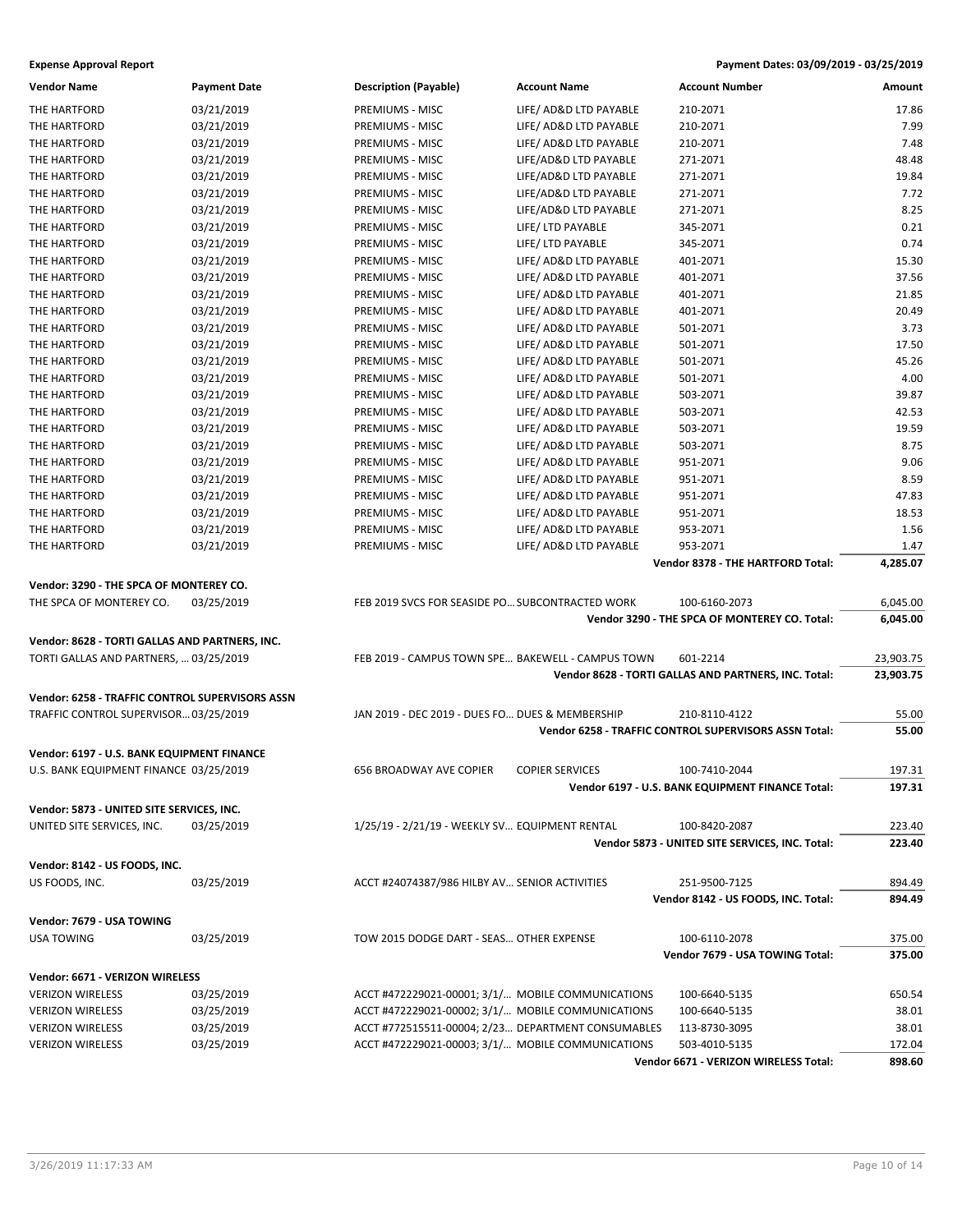| <b>Vendor Name</b>                              | <b>Payment Date</b> | <b>Description (Payable)</b>                       | <b>Account Name</b>    | <b>Account Number</b>                                 | Amount    |
|-------------------------------------------------|---------------------|----------------------------------------------------|------------------------|-------------------------------------------------------|-----------|
| THE HARTFORD                                    | 03/21/2019          | <b>PREMIUMS - MISC</b>                             | LIFE/ AD&D LTD PAYABLE | 210-2071                                              | 17.86     |
| THE HARTFORD                                    | 03/21/2019          | PREMIUMS - MISC                                    | LIFE/ AD&D LTD PAYABLE | 210-2071                                              | 7.99      |
| THE HARTFORD                                    | 03/21/2019          | PREMIUMS - MISC                                    | LIFE/ AD&D LTD PAYABLE | 210-2071                                              | 7.48      |
| THE HARTFORD                                    | 03/21/2019          | PREMIUMS - MISC                                    | LIFE/AD&D LTD PAYABLE  | 271-2071                                              | 48.48     |
| THE HARTFORD                                    | 03/21/2019          | PREMIUMS - MISC                                    | LIFE/AD&D LTD PAYABLE  | 271-2071                                              | 19.84     |
| THE HARTFORD                                    | 03/21/2019          | PREMIUMS - MISC                                    | LIFE/AD&D LTD PAYABLE  | 271-2071                                              | 7.72      |
| THE HARTFORD                                    | 03/21/2019          | PREMIUMS - MISC                                    | LIFE/AD&D LTD PAYABLE  | 271-2071                                              | 8.25      |
| THE HARTFORD                                    | 03/21/2019          | PREMIUMS - MISC                                    | LIFE/ LTD PAYABLE      | 345-2071                                              | 0.21      |
| THE HARTFORD                                    | 03/21/2019          | PREMIUMS - MISC                                    | LIFE/ LTD PAYABLE      | 345-2071                                              | 0.74      |
| THE HARTFORD                                    | 03/21/2019          | PREMIUMS - MISC                                    | LIFE/ AD&D LTD PAYABLE | 401-2071                                              | 15.30     |
| THE HARTFORD                                    | 03/21/2019          | PREMIUMS - MISC                                    | LIFE/ AD&D LTD PAYABLE | 401-2071                                              | 37.56     |
| THE HARTFORD                                    | 03/21/2019          | PREMIUMS - MISC                                    | LIFE/ AD&D LTD PAYABLE | 401-2071                                              | 21.85     |
| THE HARTFORD                                    | 03/21/2019          | PREMIUMS - MISC                                    | LIFE/ AD&D LTD PAYABLE | 401-2071                                              | 20.49     |
| THE HARTFORD                                    | 03/21/2019          | PREMIUMS - MISC                                    | LIFE/ AD&D LTD PAYABLE | 501-2071                                              | 3.73      |
| THE HARTFORD                                    | 03/21/2019          | PREMIUMS - MISC                                    | LIFE/ AD&D LTD PAYABLE | 501-2071                                              | 17.50     |
| THE HARTFORD                                    | 03/21/2019          | PREMIUMS - MISC                                    | LIFE/ AD&D LTD PAYABLE | 501-2071                                              | 45.26     |
| THE HARTFORD                                    | 03/21/2019          | PREMIUMS - MISC                                    | LIFE/ AD&D LTD PAYABLE | 501-2071                                              | 4.00      |
| THE HARTFORD                                    | 03/21/2019          | PREMIUMS - MISC                                    | LIFE/ AD&D LTD PAYABLE | 503-2071                                              | 39.87     |
| THE HARTFORD                                    | 03/21/2019          | PREMIUMS - MISC                                    | LIFE/ AD&D LTD PAYABLE | 503-2071                                              | 42.53     |
|                                                 | 03/21/2019          | PREMIUMS - MISC                                    | LIFE/ AD&D LTD PAYABLE | 503-2071                                              | 19.59     |
| THE HARTFORD                                    | 03/21/2019          | PREMIUMS - MISC                                    | LIFE/ AD&D LTD PAYABLE | 503-2071                                              | 8.75      |
| THE HARTFORD<br>THE HARTFORD                    |                     |                                                    | LIFE/ AD&D LTD PAYABLE |                                                       | 9.06      |
|                                                 | 03/21/2019          | PREMIUMS - MISC<br><b>PREMIUMS - MISC</b>          |                        | 951-2071                                              |           |
| THE HARTFORD                                    | 03/21/2019          |                                                    | LIFE/ AD&D LTD PAYABLE | 951-2071                                              | 8.59      |
| THE HARTFORD                                    | 03/21/2019          | <b>PREMIUMS - MISC</b>                             | LIFE/ AD&D LTD PAYABLE | 951-2071                                              | 47.83     |
| THE HARTFORD                                    | 03/21/2019          | PREMIUMS - MISC                                    | LIFE/ AD&D LTD PAYABLE | 951-2071                                              | 18.53     |
| THE HARTFORD                                    | 03/21/2019          | PREMIUMS - MISC                                    | LIFE/ AD&D LTD PAYABLE | 953-2071                                              | 1.56      |
| THE HARTFORD                                    | 03/21/2019          | PREMIUMS - MISC                                    | LIFE/ AD&D LTD PAYABLE | 953-2071                                              | 1.47      |
|                                                 |                     |                                                    |                        | Vendor 8378 - THE HARTFORD Total:                     | 4,285.07  |
| Vendor: 3290 - THE SPCA OF MONTEREY CO.         |                     |                                                    |                        |                                                       |           |
| THE SPCA OF MONTEREY CO.                        | 03/25/2019          | FEB 2019 SVCS FOR SEASIDE PO SUBCONTRACTED WORK    |                        | 100-6160-2073                                         | 6,045.00  |
|                                                 |                     |                                                    |                        | Vendor 3290 - THE SPCA OF MONTEREY CO. Total:         | 6,045.00  |
| Vendor: 8628 - TORTI GALLAS AND PARTNERS, INC.  |                     |                                                    |                        |                                                       |           |
| TORTI GALLAS AND PARTNERS,  03/25/2019          |                     | FEB 2019 - CAMPUS TOWN SPE BAKEWELL - CAMPUS TOWN  |                        | 601-2214                                              | 23,903.75 |
|                                                 |                     |                                                    |                        | Vendor 8628 - TORTI GALLAS AND PARTNERS, INC. Total:  | 23,903.75 |
|                                                 |                     |                                                    |                        |                                                       |           |
| Vendor: 6258 - TRAFFIC CONTROL SUPERVISORS ASSN |                     |                                                    |                        |                                                       |           |
| TRAFFIC CONTROL SUPERVISOR 03/25/2019           |                     | JAN 2019 - DEC 2019 - DUES FO DUES & MEMBERSHIP    |                        | 210-8110-4122                                         | 55.00     |
|                                                 |                     |                                                    |                        | Vendor 6258 - TRAFFIC CONTROL SUPERVISORS ASSN Total: | 55.00     |
| Vendor: 6197 - U.S. BANK EQUIPMENT FINANCE      |                     |                                                    |                        |                                                       |           |
| U.S. BANK EQUIPMENT FINANCE 03/25/2019          |                     | 656 BROADWAY AVE COPIER                            | <b>COPIER SERVICES</b> | 100-7410-2044                                         | 197.31    |
|                                                 |                     |                                                    |                        | Vendor 6197 - U.S. BANK EQUIPMENT FINANCE Total:      | 197.31    |
| Vendor: 5873 - UNITED SITE SERVICES, INC.       |                     |                                                    |                        |                                                       |           |
| UNITED SITE SERVICES, INC.                      | 03/25/2019          | 1/25/19 - 2/21/19 - WEEKLY SV EQUIPMENT RENTAL     |                        | 100-8420-2087                                         | 223.40    |
|                                                 |                     |                                                    |                        | Vendor 5873 - UNITED SITE SERVICES, INC. Total:       | 223.40    |
|                                                 |                     |                                                    |                        |                                                       |           |
| Vendor: 8142 - US FOODS, INC.                   |                     |                                                    |                        |                                                       |           |
| US FOODS, INC.                                  | 03/25/2019          | ACCT #24074387/986 HILBY AV SENIOR ACTIVITIES      |                        | 251-9500-7125                                         | 894.49    |
|                                                 |                     |                                                    |                        | Vendor 8142 - US FOODS, INC. Total:                   | 894.49    |
| Vendor: 7679 - USA TOWING                       |                     |                                                    |                        |                                                       |           |
| <b>USA TOWING</b>                               | 03/25/2019          | TOW 2015 DODGE DART - SEAS OTHER EXPENSE           |                        | 100-6110-2078                                         | 375.00    |
|                                                 |                     |                                                    |                        | Vendor 7679 - USA TOWING Total:                       | 375.00    |
|                                                 |                     |                                                    |                        |                                                       |           |
| Vendor: 6671 - VERIZON WIRELESS                 |                     |                                                    |                        |                                                       |           |
| <b>VERIZON WIRELESS</b>                         | 03/25/2019          | ACCT #472229021-00001; 3/1/ MOBILE COMMUNICATIONS  |                        | 100-6640-5135                                         | 650.54    |
| <b>VERIZON WIRELESS</b>                         | 03/25/2019          | ACCT #472229021-00002; 3/1/ MOBILE COMMUNICATIONS  |                        | 100-6640-5135                                         | 38.01     |
| <b>VERIZON WIRELESS</b>                         | 03/25/2019          | ACCT #772515511-00004; 2/23 DEPARTMENT CONSUMABLES |                        | 113-8730-3095                                         | 38.01     |
| <b>VERIZON WIRELESS</b>                         | 03/25/2019          | ACCT #472229021-00003; 3/1/ MOBILE COMMUNICATIONS  |                        | 503-4010-5135                                         | 172.04    |
|                                                 |                     |                                                    |                        | Vendor 6671 - VERIZON WIRELESS Total:                 | 898.60    |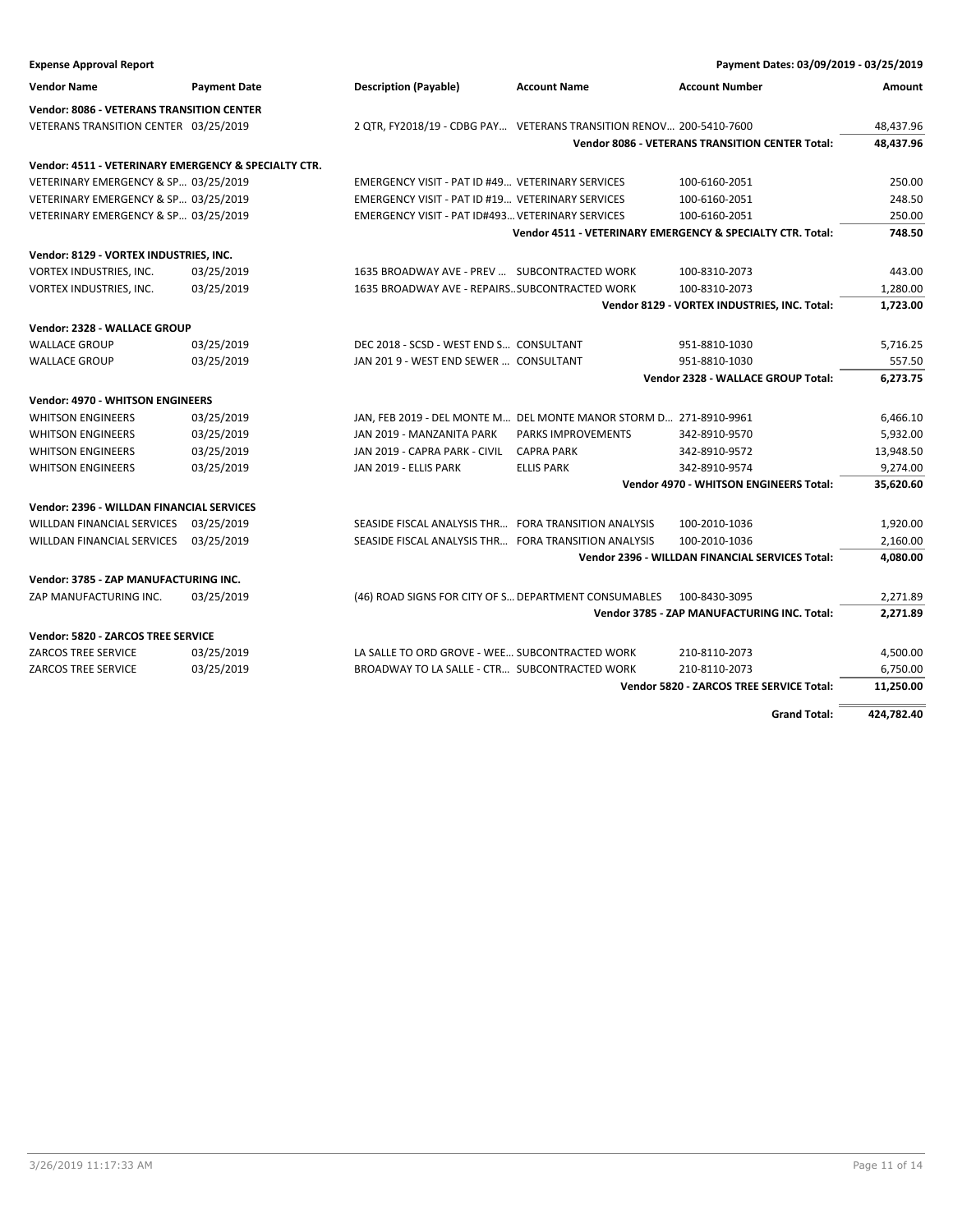| <b>Expense Approval Report</b>                       |                     |                                                                     |                     | Payment Dates: 03/09/2019 - 03/25/2019                       |            |
|------------------------------------------------------|---------------------|---------------------------------------------------------------------|---------------------|--------------------------------------------------------------|------------|
| <b>Vendor Name</b>                                   | <b>Payment Date</b> | <b>Description (Payable)</b>                                        | <b>Account Name</b> | <b>Account Number</b>                                        | Amount     |
| <b>Vendor: 8086 - VETERANS TRANSITION CENTER</b>     |                     |                                                                     |                     |                                                              |            |
| VETERANS TRANSITION CENTER 03/25/2019                |                     | 2 QTR, FY2018/19 - CDBG PAY VETERANS TRANSITION RENOV 200-5410-7600 |                     |                                                              | 48,437.96  |
|                                                      |                     |                                                                     |                     | <b>Vendor 8086 - VETERANS TRANSITION CENTER Total:</b>       | 48,437.96  |
| Vendor: 4511 - VETERINARY EMERGENCY & SPECIALTY CTR. |                     |                                                                     |                     |                                                              |            |
| VETERINARY EMERGENCY & SP 03/25/2019                 |                     | EMERGENCY VISIT - PAT ID #49 VETERINARY SERVICES                    |                     | 100-6160-2051                                                | 250.00     |
| VETERINARY EMERGENCY & SP 03/25/2019                 |                     | EMERGENCY VISIT - PAT ID #19 VETERINARY SERVICES                    |                     | 100-6160-2051                                                | 248.50     |
| VETERINARY EMERGENCY & SP 03/25/2019                 |                     | EMERGENCY VISIT - PAT ID#493 VETERINARY SERVICES                    |                     | 100-6160-2051                                                | 250.00     |
|                                                      |                     |                                                                     |                     | Vendor 4511 - VETERINARY EMERGENCY & SPECIALTY CTR. Total:   | 748.50     |
| Vendor: 8129 - VORTEX INDUSTRIES, INC.               |                     |                                                                     |                     |                                                              |            |
| VORTEX INDUSTRIES, INC.                              | 03/25/2019          | 1635 BROADWAY AVE - PREV  SUBCONTRACTED WORK                        |                     | 100-8310-2073                                                | 443.00     |
| VORTEX INDUSTRIES, INC.                              | 03/25/2019          | 1635 BROADWAY AVE - REPAIRSSUBCONTRACTED WORK                       |                     | 100-8310-2073                                                | 1,280.00   |
|                                                      |                     |                                                                     |                     | Vendor 8129 - VORTEX INDUSTRIES, INC. Total:                 | 1,723.00   |
|                                                      |                     |                                                                     |                     |                                                              |            |
| Vendor: 2328 - WALLACE GROUP                         |                     |                                                                     |                     |                                                              |            |
| <b>WALLACE GROUP</b>                                 | 03/25/2019          | DEC 2018 - SCSD - WEST END S CONSULTANT                             |                     | 951-8810-1030                                                | 5,716.25   |
| <b>WALLACE GROUP</b>                                 | 03/25/2019          | JAN 201 9 - WEST END SEWER  CONSULTANT                              |                     | 951-8810-1030                                                | 557.50     |
|                                                      |                     |                                                                     |                     | Vendor 2328 - WALLACE GROUP Total:                           | 6,273.75   |
| <b>Vendor: 4970 - WHITSON ENGINEERS</b>              |                     |                                                                     |                     |                                                              |            |
| <b>WHITSON ENGINEERS</b>                             | 03/25/2019          | JAN, FEB 2019 - DEL MONTE M DEL MONTE MANOR STORM D 271-8910-9961   |                     |                                                              | 6,466.10   |
| <b>WHITSON ENGINEERS</b>                             | 03/25/2019          | JAN 2019 - MANZANITA PARK                                           | PARKS IMPROVEMENTS  | 342-8910-9570                                                | 5,932.00   |
| <b>WHITSON ENGINEERS</b>                             | 03/25/2019          | JAN 2019 - CAPRA PARK - CIVIL                                       | <b>CAPRA PARK</b>   | 342-8910-9572                                                | 13,948.50  |
| <b>WHITSON ENGINEERS</b>                             | 03/25/2019          | JAN 2019 - ELLIS PARK                                               | <b>ELLIS PARK</b>   | 342-8910-9574                                                | 9,274.00   |
|                                                      |                     |                                                                     |                     | Vendor 4970 - WHITSON ENGINEERS Total:                       | 35,620.60  |
| Vendor: 2396 - WILLDAN FINANCIAL SERVICES            |                     |                                                                     |                     |                                                              |            |
| <b>WILLDAN FINANCIAL SERVICES</b>                    | 03/25/2019          | SEASIDE FISCAL ANALYSIS THR FORA TRANSITION ANALYSIS                |                     | 100-2010-1036                                                | 1,920.00   |
| WILLDAN FINANCIAL SERVICES                           | 03/25/2019          | SEASIDE FISCAL ANALYSIS THR FORA TRANSITION ANALYSIS                |                     | 100-2010-1036                                                | 2,160.00   |
|                                                      |                     |                                                                     |                     | Vendor 2396 - WILLDAN FINANCIAL SERVICES Total:              | 4,080.00   |
|                                                      |                     |                                                                     |                     |                                                              |            |
| Vendor: 3785 - ZAP MANUFACTURING INC.                |                     |                                                                     |                     |                                                              |            |
| ZAP MANUFACTURING INC.                               | 03/25/2019          | (46) ROAD SIGNS FOR CITY OF S DEPARTMENT CONSUMABLES                |                     | 100-8430-3095<br>Vendor 3785 - ZAP MANUFACTURING INC. Total: | 2,271.89   |
|                                                      |                     |                                                                     |                     |                                                              | 2,271.89   |
| Vendor: 5820 - ZARCOS TREE SERVICE                   |                     |                                                                     |                     |                                                              |            |
| ZARCOS TREE SERVICE                                  | 03/25/2019          | LA SALLE TO ORD GROVE - WEE SUBCONTRACTED WORK                      |                     | 210-8110-2073                                                | 4,500.00   |
| ZARCOS TREE SERVICE                                  | 03/25/2019          | BROADWAY TO LA SALLE - CTR SUBCONTRACTED WORK                       |                     | 210-8110-2073                                                | 6,750.00   |
|                                                      |                     |                                                                     |                     | Vendor 5820 - ZARCOS TREE SERVICE Total:                     | 11,250.00  |
|                                                      |                     |                                                                     |                     | <b>Grand Total:</b>                                          | 424,782.40 |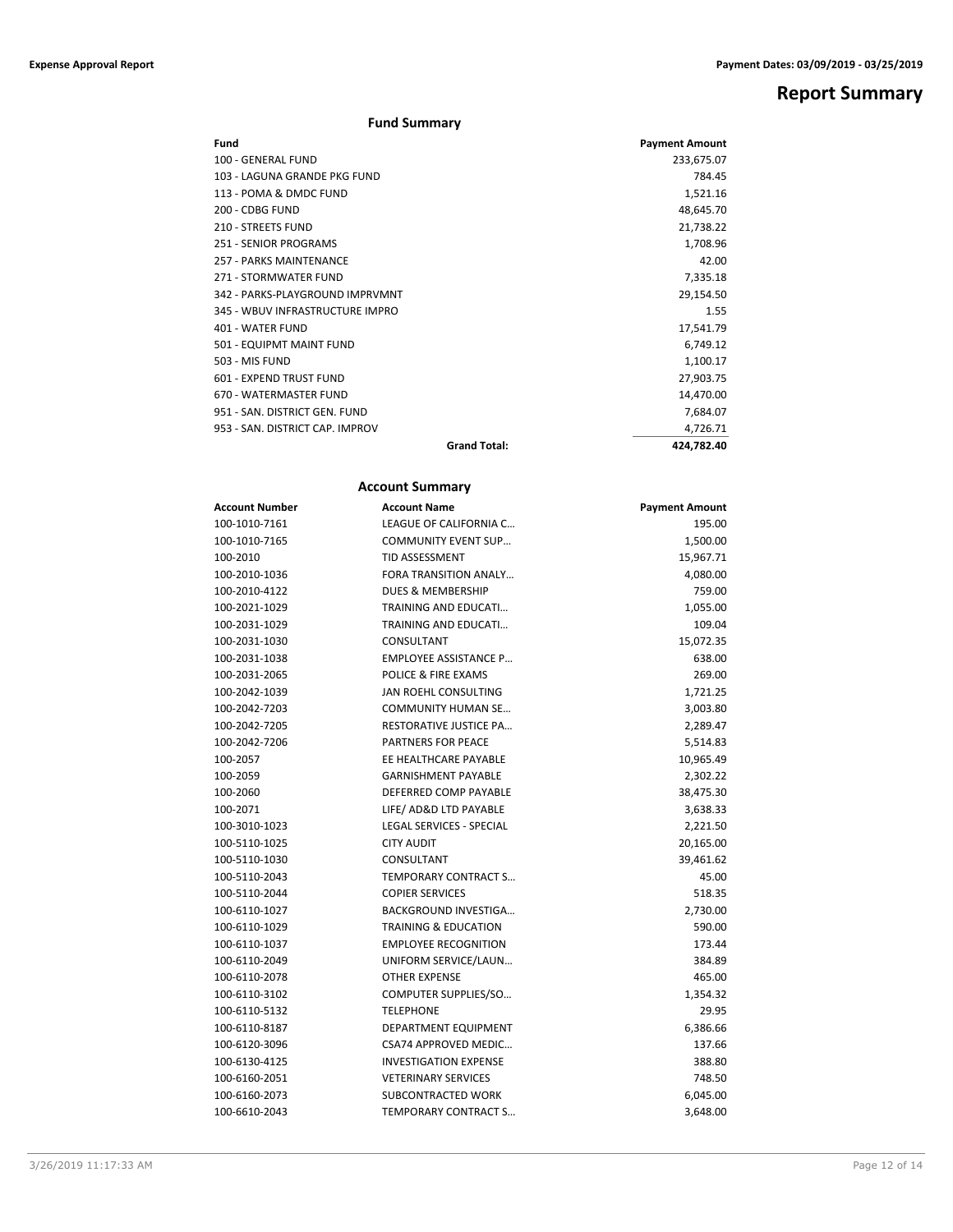**Report Summary**

### **Fund Summary**

| Fund                            |                     | <b>Payment Amount</b> |
|---------------------------------|---------------------|-----------------------|
| 100 - GENERAL FUND              |                     | 233,675.07            |
| 103 - LAGUNA GRANDE PKG FUND    |                     | 784.45                |
| 113 - POMA & DMDC FUND          |                     | 1,521.16              |
| 200 - CDBG FUND                 |                     | 48,645.70             |
| 210 - STREETS FUND              |                     | 21,738.22             |
| <b>251 - SENIOR PROGRAMS</b>    |                     | 1,708.96              |
| <b>257 - PARKS MAINTENANCE</b>  |                     | 42.00                 |
| 271 - STORMWATER FUND           |                     | 7,335.18              |
| 342 - PARKS-PLAYGROUND IMPRVMNT |                     | 29,154.50             |
| 345 - WBUV INFRASTRUCTURE IMPRO |                     | 1.55                  |
| 401 - WATER FUND                |                     | 17,541.79             |
| 501 - EQUIPMT MAINT FUND        |                     | 6,749.12              |
| 503 - MIS FUND                  |                     | 1,100.17              |
| 601 - EXPEND TRUST FUND         |                     | 27,903.75             |
| 670 - WATERMASTER FUND          |                     | 14,470.00             |
| 951 - SAN, DISTRICT GEN, FUND   |                     | 7,684.07              |
| 953 - SAN, DISTRICT CAP, IMPROV |                     | 4,726.71              |
|                                 | <b>Grand Total:</b> | 424,782.40            |

### **Account Summary**

| <b>Account Number</b> | <b>Account Name</b>             | <b>Payment Amount</b> |
|-----------------------|---------------------------------|-----------------------|
| 100-1010-7161         | LEAGUE OF CALIFORNIA C          | 195.00                |
| 100-1010-7165         | <b>COMMUNITY EVENT SUP</b>      | 1,500.00              |
| 100-2010              | <b>TID ASSESSMENT</b>           | 15,967.71             |
| 100-2010-1036         | FORA TRANSITION ANALY           | 4,080.00              |
| 100-2010-4122         | <b>DUES &amp; MEMBERSHIP</b>    | 759.00                |
| 100-2021-1029         | TRAINING AND EDUCATI            | 1,055.00              |
| 100-2031-1029         | TRAINING AND EDUCATI            | 109.04                |
| 100-2031-1030         | CONSULTANT                      | 15,072.35             |
| 100-2031-1038         | <b>EMPLOYEE ASSISTANCE P</b>    | 638.00                |
| 100-2031-2065         | <b>POLICE &amp; FIRE EXAMS</b>  | 269.00                |
| 100-2042-1039         | JAN ROEHL CONSULTING            | 1,721.25              |
| 100-2042-7203         | COMMUNITY HUMAN SE              | 3,003.80              |
| 100-2042-7205         | <b>RESTORATIVE JUSTICE PA</b>   | 2,289.47              |
| 100-2042-7206         | <b>PARTNERS FOR PEACE</b>       | 5,514.83              |
| 100-2057              | EE HEALTHCARE PAYABLE           | 10,965.49             |
| 100-2059              | <b>GARNISHMENT PAYABLE</b>      | 2,302.22              |
| 100-2060              | DEFERRED COMP PAYABLE           | 38,475.30             |
| 100-2071              | LIFE/ AD&D LTD PAYABLE          | 3,638.33              |
| 100-3010-1023         | <b>LEGAL SERVICES - SPECIAL</b> | 2,221.50              |
| 100-5110-1025         | <b>CITY AUDIT</b>               | 20,165.00             |
| 100-5110-1030         | CONSULTANT                      | 39,461.62             |
| 100-5110-2043         | TEMPORARY CONTRACT S            | 45.00                 |
| 100-5110-2044         | <b>COPIER SERVICES</b>          | 518.35                |
| 100-6110-1027         | <b>BACKGROUND INVESTIGA</b>     | 2,730.00              |
| 100-6110-1029         | <b>TRAINING &amp; EDUCATION</b> | 590.00                |
| 100-6110-1037         | <b>EMPLOYEE RECOGNITION</b>     | 173.44                |
| 100-6110-2049         | UNIFORM SERVICE/LAUN            | 384.89                |
| 100-6110-2078         | <b>OTHER EXPENSE</b>            | 465.00                |
| 100-6110-3102         | COMPUTER SUPPLIES/SO            | 1,354.32              |
| 100-6110-5132         | <b>TELEPHONE</b>                | 29.95                 |
| 100-6110-8187         | DEPARTMENT EQUIPMENT            | 6,386.66              |
| 100-6120-3096         | <b>CSA74 APPROVED MEDIC</b>     | 137.66                |
| 100-6130-4125         | <b>INVESTIGATION EXPENSE</b>    | 388.80                |
| 100-6160-2051         | <b>VETERINARY SERVICES</b>      | 748.50                |
| 100-6160-2073         | SUBCONTRACTED WORK              | 6,045.00              |
| 100-6610-2043         | <b>TEMPORARY CONTRACT S</b>     | 3,648.00              |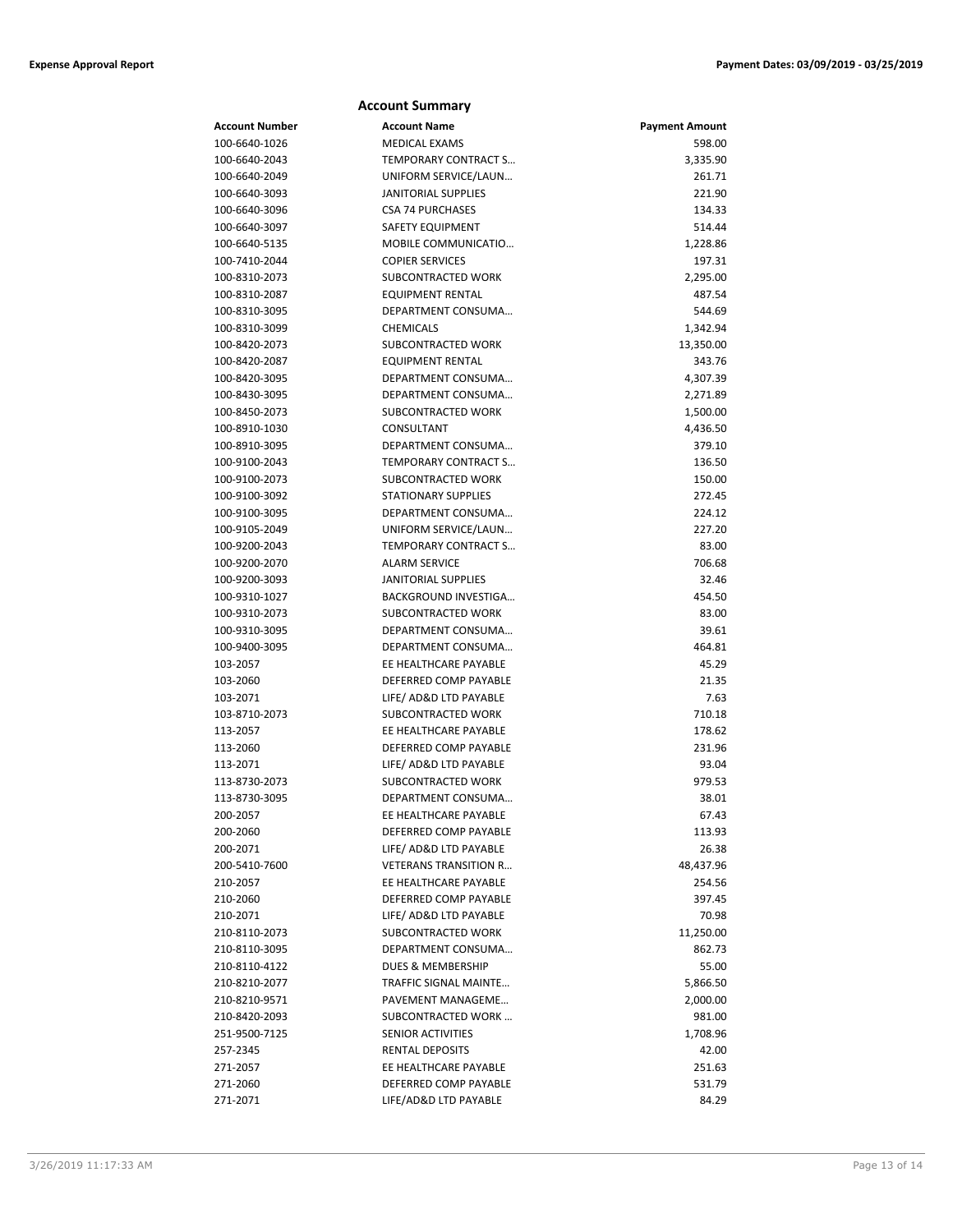|                       | <b>Account Summary</b>                      |                       |
|-----------------------|---------------------------------------------|-----------------------|
| <b>Account Number</b> | <b>Account Name</b>                         | <b>Payment Amount</b> |
| 100-6640-1026         | <b>MEDICAL EXAMS</b>                        | 598.00                |
| 100-6640-2043         | TEMPORARY CONTRACT S                        | 3,335.90              |
| 100-6640-2049         | UNIFORM SERVICE/LAUN                        | 261.71                |
| 100-6640-3093         | JANITORIAL SUPPLIES                         | 221.90                |
| 100-6640-3096         | <b>CSA 74 PURCHASES</b>                     | 134.33                |
| 100-6640-3097         | <b>SAFETY EQUIPMENT</b>                     | 514.44                |
| 100-6640-5135         | MOBILE COMMUNICATIO                         | 1,228.86              |
| 100-7410-2044         | <b>COPIER SERVICES</b>                      | 197.31                |
| 100-8310-2073         | SUBCONTRACTED WORK                          | 2,295.00              |
| 100-8310-2087         | EQUIPMENT RENTAL                            | 487.54                |
| 100-8310-3095         | DEPARTMENT CONSUMA                          | 544.69                |
| 100-8310-3099         | <b>CHEMICALS</b>                            | 1,342.94              |
| 100-8420-2073         | SUBCONTRACTED WORK                          | 13,350.00             |
| 100-8420-2087         | <b>EQUIPMENT RENTAL</b>                     | 343.76                |
| 100-8420-3095         | DEPARTMENT CONSUMA                          | 4,307.39              |
| 100-8430-3095         | DEPARTMENT CONSUMA                          | 2,271.89              |
| 100-8450-2073         | SUBCONTRACTED WORK                          | 1,500.00              |
| 100-8910-1030         | CONSULTANT                                  | 4,436.50              |
| 100-8910-3095         | DEPARTMENT CONSUMA                          | 379.10                |
| 100-9100-2043         | TEMPORARY CONTRACT S                        | 136.50                |
| 100-9100-2073         | SUBCONTRACTED WORK                          | 150.00                |
| 100-9100-3092         | <b>STATIONARY SUPPLIES</b>                  | 272.45                |
| 100-9100-3095         | DEPARTMENT CONSUMA                          | 224.12                |
| 100-9105-2049         | UNIFORM SERVICE/LAUN                        | 227.20                |
| 100-9200-2043         | TEMPORARY CONTRACT S                        | 83.00                 |
| 100-9200-2070         | <b>ALARM SERVICE</b>                        | 706.68                |
| 100-9200-3093         | <b>JANITORIAL SUPPLIES</b>                  | 32.46                 |
| 100-9310-1027         | BACKGROUND INVESTIGA                        | 454.50                |
| 100-9310-2073         | SUBCONTRACTED WORK                          | 83.00                 |
| 100-9310-3095         | DEPARTMENT CONSUMA                          | 39.61                 |
| 100-9400-3095         | DEPARTMENT CONSUMA<br>EE HEALTHCARE PAYABLE | 464.81<br>45.29       |
| 103-2057<br>103-2060  | DEFERRED COMP PAYABLE                       | 21.35                 |
| 103-2071              | LIFE/ AD&D LTD PAYABLE                      | 7.63                  |
| 103-8710-2073         | SUBCONTRACTED WORK                          | 710.18                |
| 113-2057              | EE HEALTHCARE PAYABLE                       | 178.62                |
| 113-2060              | DEFERRED COMP PAYABLE                       | 231.96                |
| 113-2071              | LIFE/ AD&D LTD PAYABLE                      | 93.04                 |
| 113-8730-2073         | SUBCONTRACTED WORK                          | 979.53                |
| 113-8730-3095         | DEPARTMENT CONSUMA                          | 38.01                 |
| 200-2057              | EE HEALTHCARE PAYABLE                       | 67.43                 |
| 200-2060              | DEFERRED COMP PAYABLE                       | 113.93                |
| 200-2071              | LIFE/ AD&D LTD PAYABLE                      | 26.38                 |
| 200-5410-7600         | <b>VETERANS TRANSITION R</b>                | 48,437.96             |
| 210-2057              | EE HEALTHCARE PAYABLE                       | 254.56                |
| 210-2060              | DEFERRED COMP PAYABLE                       | 397.45                |
| 210-2071              | LIFE/ AD&D LTD PAYABLE                      | 70.98                 |
| 210-8110-2073         | SUBCONTRACTED WORK                          | 11,250.00             |
| 210-8110-3095         | DEPARTMENT CONSUMA                          | 862.73                |
| 210-8110-4122         | <b>DUES &amp; MEMBERSHIP</b>                | 55.00                 |
| 210-8210-2077         | <b>TRAFFIC SIGNAL MAINTE</b>                | 5,866.50              |
| 210-8210-9571         | PAVEMENT MANAGEME                           | 2,000.00              |
| 210-8420-2093         | SUBCONTRACTED WORK                          | 981.00                |
| 251-9500-7125         | SENIOR ACTIVITIES                           | 1,708.96              |
| 257-2345              | RENTAL DEPOSITS                             | 42.00                 |
| 271-2057              | EE HEALTHCARE PAYABLE                       | 251.63                |
| 271-2060              | DEFERRED COMP PAYABLE                       | 531.79                |
| 271-2071              | LIFE/AD&D LTD PAYABLE                       | 84.29                 |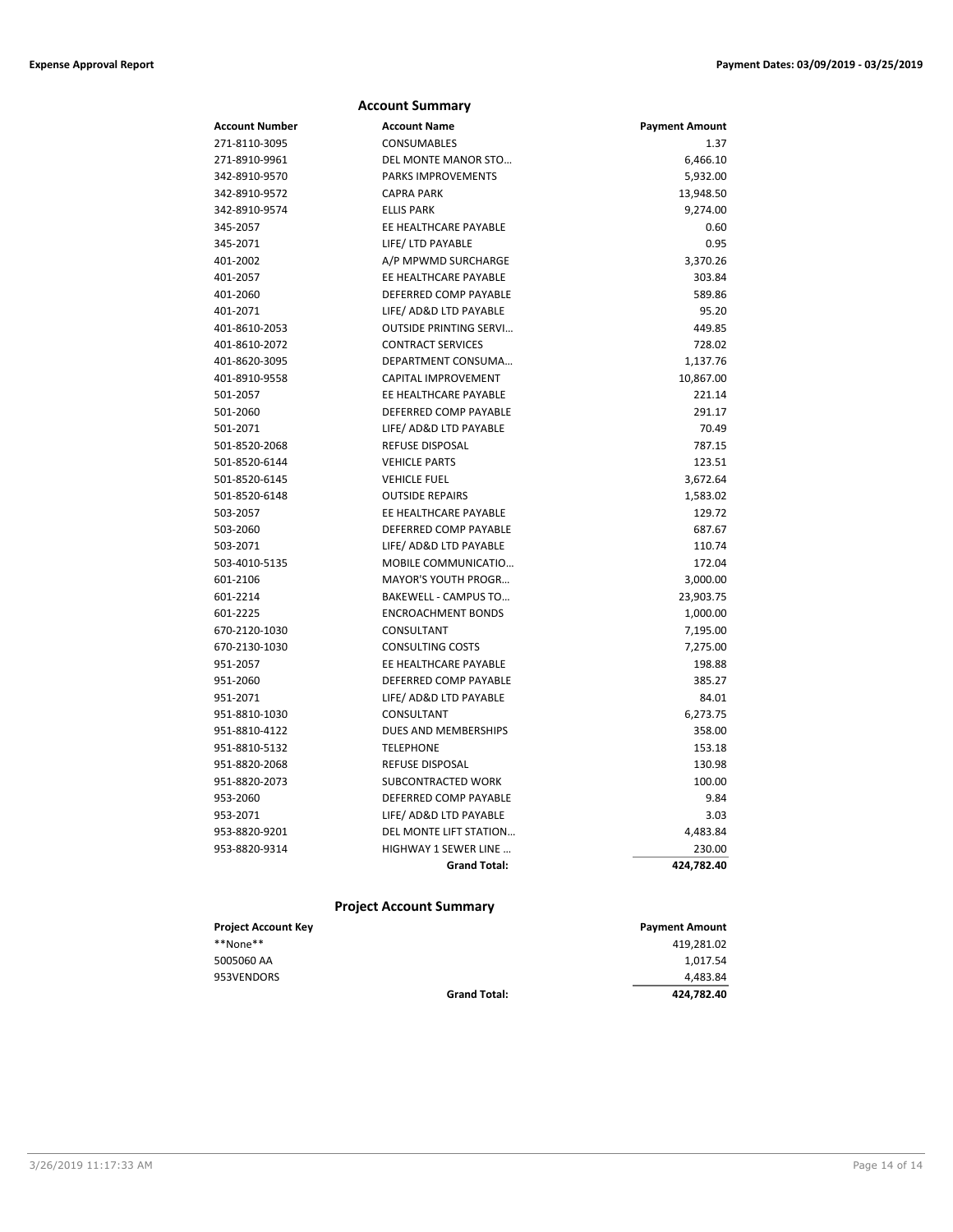|                | <b>Account Summary</b>        |                       |
|----------------|-------------------------------|-----------------------|
| Account Number | <b>Account Name</b>           | <b>Payment Amount</b> |
| 271-8110-3095  | <b>CONSUMABLES</b>            | 1.37                  |
| 271-8910-9961  | DEL MONTE MANOR STO           | 6,466.10              |
| 342-8910-9570  | <b>PARKS IMPROVEMENTS</b>     | 5,932.00              |
| 342-8910-9572  | <b>CAPRA PARK</b>             | 13,948.50             |
| 342-8910-9574  | <b>ELLIS PARK</b>             | 9,274.00              |
| 345-2057       | EE HEALTHCARE PAYABLE         | 0.60                  |
| 345-2071       | LIFE/ LTD PAYABLE             | 0.95                  |
| 401-2002       | A/P MPWMD SURCHARGE           | 3,370.26              |
| 401-2057       | EE HEALTHCARE PAYABLE         | 303.84                |
| 401-2060       | DEFERRED COMP PAYABLE         | 589.86                |
| 401-2071       | LIFE/ AD&D LTD PAYABLE        | 95.20                 |
| 401-8610-2053  | <b>OUTSIDE PRINTING SERVI</b> | 449.85                |
| 401-8610-2072  | <b>CONTRACT SERVICES</b>      | 728.02                |
| 401-8620-3095  | DEPARTMENT CONSUMA            | 1,137.76              |
| 401-8910-9558  | <b>CAPITAL IMPROVEMENT</b>    | 10,867.00             |
| 501-2057       | EE HEALTHCARE PAYABLE         | 221.14                |
| 501-2060       | DEFERRED COMP PAYABLE         | 291.17                |
| 501-2071       | LIFE/ AD&D LTD PAYABLE        | 70.49                 |
| 501-8520-2068  | <b>REFUSE DISPOSAL</b>        | 787.15                |
| 501-8520-6144  | <b>VEHICLE PARTS</b>          | 123.51                |
| 501-8520-6145  | <b>VEHICLE FUEL</b>           | 3,672.64              |
| 501-8520-6148  | <b>OUTSIDE REPAIRS</b>        | 1,583.02              |
| 503-2057       | EE HEALTHCARE PAYABLE         | 129.72                |
| 503-2060       | DEFERRED COMP PAYABLE         | 687.67                |
| 503-2071       | LIFE/ AD&D LTD PAYABLE        | 110.74                |
| 503-4010-5135  | MOBILE COMMUNICATIO           | 172.04                |
| 601-2106       | MAYOR'S YOUTH PROGR           | 3,000.00              |
| 601-2214       | BAKEWELL - CAMPUS TO          | 23,903.75             |
| 601-2225       | <b>ENCROACHMENT BONDS</b>     | 1,000.00              |
| 670-2120-1030  | CONSULTANT                    | 7,195.00              |
| 670-2130-1030  | <b>CONSULTING COSTS</b>       | 7,275.00              |
| 951-2057       | EE HEALTHCARE PAYABLE         | 198.88                |
| 951-2060       | DEFERRED COMP PAYABLE         | 385.27                |
| 951-2071       | LIFE/ AD&D LTD PAYABLE        | 84.01                 |
| 951-8810-1030  | CONSULTANT                    | 6,273.75              |
| 951-8810-4122  | DUES AND MEMBERSHIPS          | 358.00                |
| 951-8810-5132  | <b>TELEPHONE</b>              | 153.18                |
| 951-8820-2068  | REFUSE DISPOSAL               | 130.98                |
| 951-8820-2073  | SUBCONTRACTED WORK            | 100.00                |
| 953-2060       | DEFERRED COMP PAYABLE         | 9.84                  |
| 953-2071       | LIFE/ AD&D LTD PAYABLE        | 3.03                  |
| 953-8820-9201  | DEL MONTE LIFT STATION        | 4,483.84              |
| 953-8820-9314  | <b>HIGHWAY 1 SEWER LINE</b>   | 230.00                |
|                | <b>Grand Total:</b>           | 424,782.40            |
|                |                               |                       |

### **Project Account Summary**

| <b>Project Account Key</b> |                     | <b>Payment Amount</b> |
|----------------------------|---------------------|-----------------------|
| **None**                   |                     | 419,281.02            |
| 5005060 AA                 |                     | 1,017.54              |
| 953VENDORS                 |                     | 4,483.84              |
|                            | <b>Grand Total:</b> | 424.782.40            |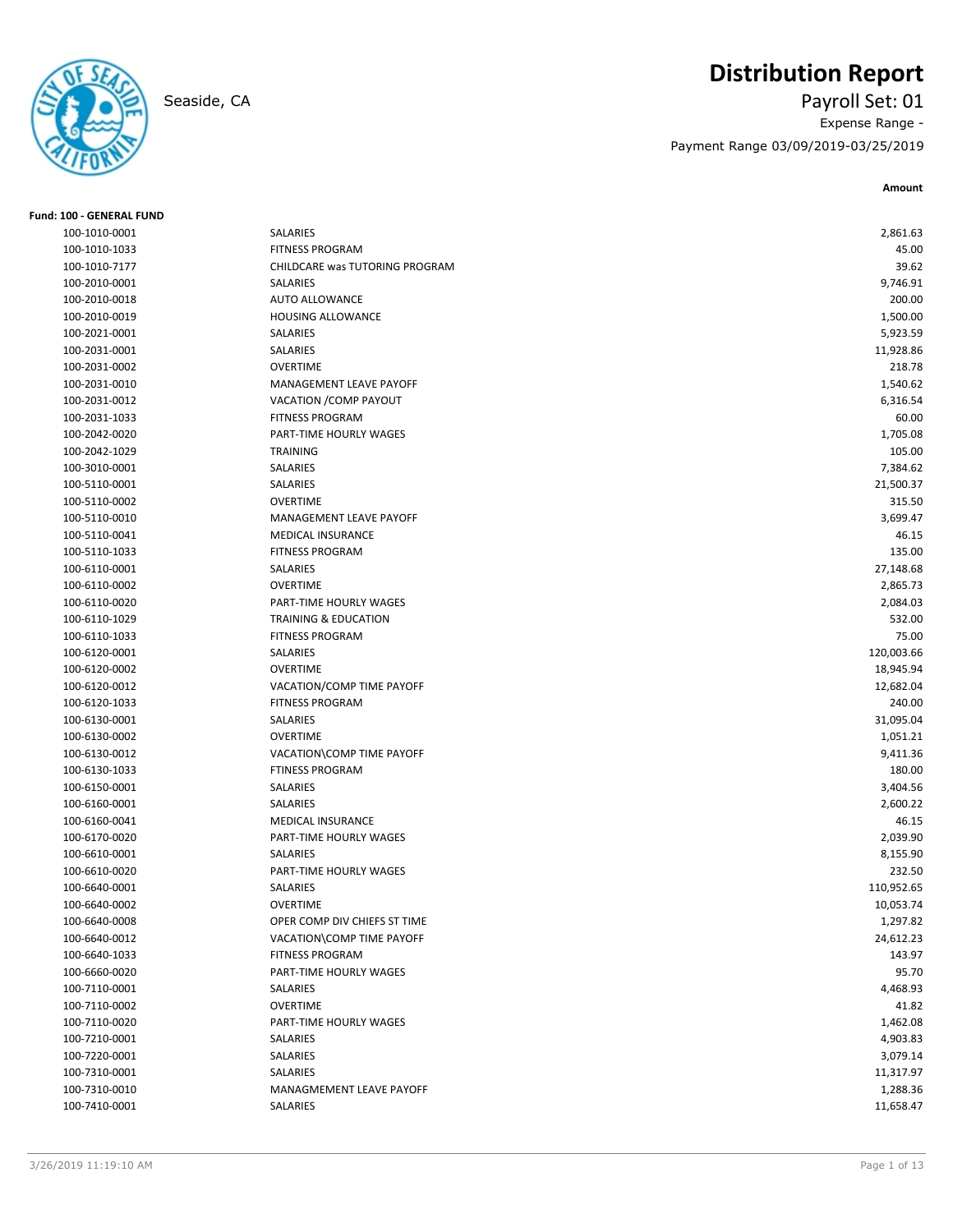# **Distribution Report**



# Seaside, CA Payroll Set: 01 Expense Range - Payment Range 03/09/2019-03/25/2019

**Amount**

| <b>Fund: 100 - GENERAL FUND</b> |                                 |            |
|---------------------------------|---------------------------------|------------|
| 100-1010-0001                   | <b>SALARIES</b>                 | 2,861.63   |
| 100-1010-1033                   | <b>FITNESS PROGRAM</b>          | 45.00      |
| 100-1010-7177                   | CHILDCARE was TUTORING PROGRAM  | 39.62      |
| 100-2010-0001                   | SALARIES                        | 9,746.91   |
| 100-2010-0018                   | <b>AUTO ALLOWANCE</b>           | 200.00     |
| 100-2010-0019                   | <b>HOUSING ALLOWANCE</b>        | 1,500.00   |
| 100-2021-0001                   | SALARIES                        | 5,923.59   |
| 100-2031-0001                   | SALARIES                        | 11,928.86  |
| 100-2031-0002                   | <b>OVERTIME</b>                 | 218.78     |
| 100-2031-0010                   | MANAGEMENT LEAVE PAYOFF         | 1,540.62   |
| 100-2031-0012                   | VACATION / COMP PAYOUT          | 6,316.54   |
| 100-2031-1033                   | <b>FITNESS PROGRAM</b>          | 60.00      |
| 100-2042-0020                   | PART-TIME HOURLY WAGES          | 1,705.08   |
| 100-2042-1029                   | <b>TRAINING</b>                 | 105.00     |
| 100-3010-0001                   | SALARIES                        | 7,384.62   |
| 100-5110-0001                   | SALARIES                        | 21,500.37  |
| 100-5110-0002                   | <b>OVERTIME</b>                 | 315.50     |
| 100-5110-0010                   | MANAGEMENT LEAVE PAYOFF         | 3,699.47   |
| 100-5110-0041                   | <b>MEDICAL INSURANCE</b>        | 46.15      |
| 100-5110-1033                   | <b>FITNESS PROGRAM</b>          | 135.00     |
| 100-6110-0001                   | SALARIES                        | 27,148.68  |
| 100-6110-0002                   | <b>OVERTIME</b>                 | 2,865.73   |
| 100-6110-0020                   | PART-TIME HOURLY WAGES          | 2,084.03   |
| 100-6110-1029                   | <b>TRAINING &amp; EDUCATION</b> | 532.00     |
| 100-6110-1033                   | <b>FITNESS PROGRAM</b>          | 75.00      |
| 100-6120-0001                   | <b>SALARIES</b>                 | 120,003.66 |
| 100-6120-0002                   | <b>OVERTIME</b>                 | 18,945.94  |
| 100-6120-0012                   | VACATION/COMP TIME PAYOFF       | 12,682.04  |
| 100-6120-1033                   | <b>FITNESS PROGRAM</b>          | 240.00     |
| 100-6130-0001                   | SALARIES                        | 31,095.04  |
| 100-6130-0002                   | <b>OVERTIME</b>                 | 1,051.21   |
| 100-6130-0012                   | VACATION\COMP TIME PAYOFF       | 9,411.36   |
| 100-6130-1033                   | <b>FTINESS PROGRAM</b>          | 180.00     |
| 100-6150-0001                   | SALARIES                        | 3,404.56   |
| 100-6160-0001                   | SALARIES                        | 2,600.22   |
| 100-6160-0041                   | <b>MEDICAL INSURANCE</b>        | 46.15      |
| 100-6170-0020                   | PART-TIME HOURLY WAGES          | 2,039.90   |
| 100-6610-0001                   | SALARIES                        | 8,155.90   |
| 100-6610-0020                   | PART-TIME HOURLY WAGES          | 232.50     |
| 100-6640-0001                   | SALARIES                        | 110,952.65 |
| 100-6640-0002                   | OVERTIME                        | 10,053.74  |
| 100-6640-0008                   | OPER COMP DIV CHIEFS ST TIME    | 1,297.82   |
| 100-6640-0012                   | VACATION\COMP TIME PAYOFF       | 24,612.23  |
| 100-6640-1033                   | <b>FITNESS PROGRAM</b>          | 143.97     |
| 100-6660-0020                   | PART-TIME HOURLY WAGES          | 95.70      |
| 100-7110-0001                   | SALARIES                        | 4,468.93   |
| 100-7110-0002                   | <b>OVERTIME</b>                 | 41.82      |
| 100-7110-0020                   | PART-TIME HOURLY WAGES          | 1,462.08   |
| 100-7210-0001                   | SALARIES                        | 4,903.83   |
| 100-7220-0001                   | SALARIES                        | 3,079.14   |
| 100-7310-0001                   | SALARIES                        | 11,317.97  |
| 100-7310-0010                   | MANAGMEMENT LEAVE PAYOFF        | 1,288.36   |
| 100-7410-0001                   | SALARIES                        | 11,658.47  |
|                                 |                                 |            |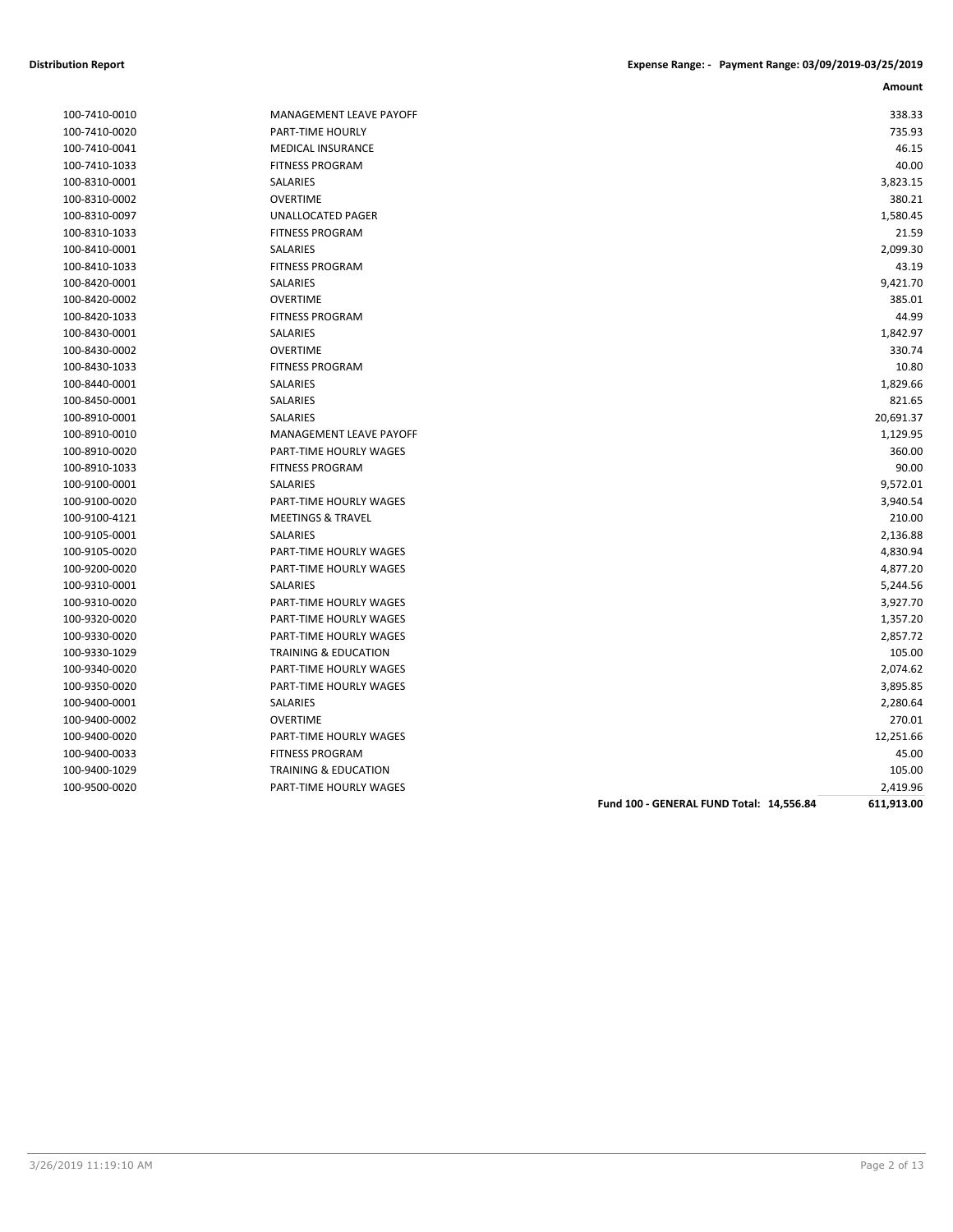| 100-7410-0010 |
|---------------|
| 100-7410-0020 |
| 100-7410-0041 |
| 100-7410-1033 |
| 100-8310-0001 |
| 100-8310-0002 |
| 100-8310-0097 |
| 100-8310-1033 |
| 100-8410-0001 |
| 100-8410-1033 |
| 100-8420-0001 |
| 100-8420-0002 |
| 100-8420-1033 |
| 100-8430-0001 |
| 100-8430-0002 |
| 100-8430-1033 |
| 100-8440-0001 |
| 100-8450-0001 |
| 100-8910-0001 |
| 100-8910-0010 |
| 100-8910-0020 |
| 100-8910-1033 |
| 100-9100-0001 |
| 100-9100-0020 |
| 100-9100-4121 |
| 100-9105-0001 |
| 100-9105-0020 |
| 100-9200-0020 |
| 100-9310-0001 |
| 100-9310-0020 |
| 100-9320-0020 |
| 100-9330-0020 |
| 100-9330-1029 |
| 100-9340-0020 |
| 100-9350-0020 |
| 100-9400-0001 |
| 100-9400-0002 |
| 100-9400-0020 |
| 100-9400-0033 |
| 100-9400-1029 |
| 100-9500-0020 |

| 100-7410-0010 | MANAGEMENT LEAVE PAYOFF         |                                          | 338.33     |
|---------------|---------------------------------|------------------------------------------|------------|
| 100-7410-0020 | <b>PART-TIME HOURLY</b>         |                                          | 735.93     |
| 100-7410-0041 | <b>MEDICAL INSURANCE</b>        |                                          | 46.15      |
| 100-7410-1033 | <b>FITNESS PROGRAM</b>          |                                          | 40.00      |
| 100-8310-0001 | <b>SALARIES</b>                 |                                          | 3,823.15   |
| 100-8310-0002 | <b>OVERTIME</b>                 |                                          | 380.21     |
| 100-8310-0097 | UNALLOCATED PAGER               |                                          | 1,580.45   |
| 100-8310-1033 | <b>FITNESS PROGRAM</b>          |                                          | 21.59      |
| 100-8410-0001 | SALARIES                        |                                          | 2,099.30   |
| 100-8410-1033 | <b>FITNESS PROGRAM</b>          |                                          | 43.19      |
| 100-8420-0001 | SALARIES                        |                                          | 9,421.70   |
| 100-8420-0002 | <b>OVERTIME</b>                 |                                          | 385.01     |
| 100-8420-1033 | <b>FITNESS PROGRAM</b>          |                                          | 44.99      |
| 100-8430-0001 | SALARIES                        |                                          | 1,842.97   |
| 100-8430-0002 | <b>OVERTIME</b>                 |                                          | 330.74     |
| 100-8430-1033 | <b>FITNESS PROGRAM</b>          |                                          | 10.80      |
| 100-8440-0001 | SALARIES                        |                                          | 1,829.66   |
| 100-8450-0001 | SALARIES                        |                                          | 821.65     |
| 100-8910-0001 | SALARIES                        |                                          | 20,691.37  |
| 100-8910-0010 | <b>MANAGEMENT LEAVE PAYOFF</b>  |                                          | 1,129.95   |
| 100-8910-0020 | PART-TIME HOURLY WAGES          |                                          | 360.00     |
| 100-8910-1033 | <b>FITNESS PROGRAM</b>          |                                          | 90.00      |
| 100-9100-0001 | <b>SALARIES</b>                 |                                          | 9,572.01   |
| 100-9100-0020 | PART-TIME HOURLY WAGES          |                                          | 3,940.54   |
| 100-9100-4121 | <b>MEETINGS &amp; TRAVEL</b>    |                                          | 210.00     |
| 100-9105-0001 | SALARIES                        |                                          | 2,136.88   |
| 100-9105-0020 | <b>PART-TIME HOURLY WAGES</b>   |                                          | 4,830.94   |
| 100-9200-0020 | PART-TIME HOURLY WAGES          |                                          | 4,877.20   |
| 100-9310-0001 | SALARIES                        |                                          | 5,244.56   |
| 100-9310-0020 | <b>PART-TIME HOURLY WAGES</b>   |                                          | 3,927.70   |
| 100-9320-0020 | <b>PART-TIME HOURLY WAGES</b>   |                                          | 1,357.20   |
| 100-9330-0020 | PART-TIME HOURLY WAGES          |                                          | 2,857.72   |
| 100-9330-1029 | <b>TRAINING &amp; EDUCATION</b> |                                          | 105.00     |
| 100-9340-0020 | PART-TIME HOURLY WAGES          |                                          | 2,074.62   |
| 100-9350-0020 | PART-TIME HOURLY WAGES          |                                          | 3,895.85   |
| 100-9400-0001 | <b>SALARIES</b>                 |                                          | 2,280.64   |
| 100-9400-0002 | <b>OVERTIME</b>                 |                                          | 270.01     |
| 100-9400-0020 | PART-TIME HOURLY WAGES          |                                          | 12,251.66  |
| 100-9400-0033 | <b>FITNESS PROGRAM</b>          |                                          | 45.00      |
| 100-9400-1029 | <b>TRAINING &amp; EDUCATION</b> |                                          | 105.00     |
| 100-9500-0020 | PART-TIME HOURLY WAGES          |                                          | 2,419.96   |
|               |                                 | Fund 100 - GENERAL FUND Total: 14,556.84 | 611,913.00 |
|               |                                 |                                          |            |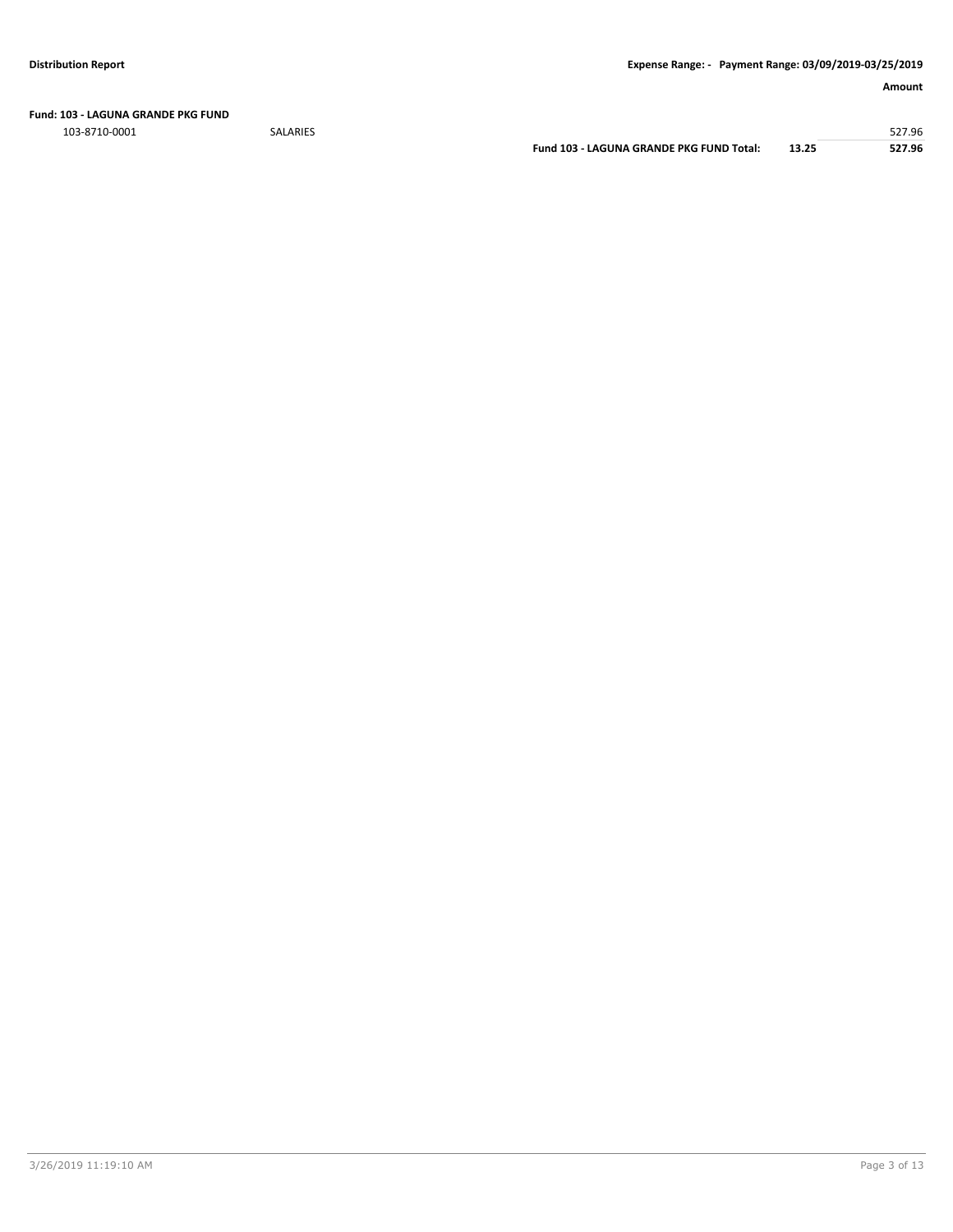**Fund: 103 - LAGUNA GRANDE PKG FUND**

103-8710-0001 SALARIES 527.96

**Fund 103 - LAGUNA GRANDE PKG FUND Total: 13.25 527.96**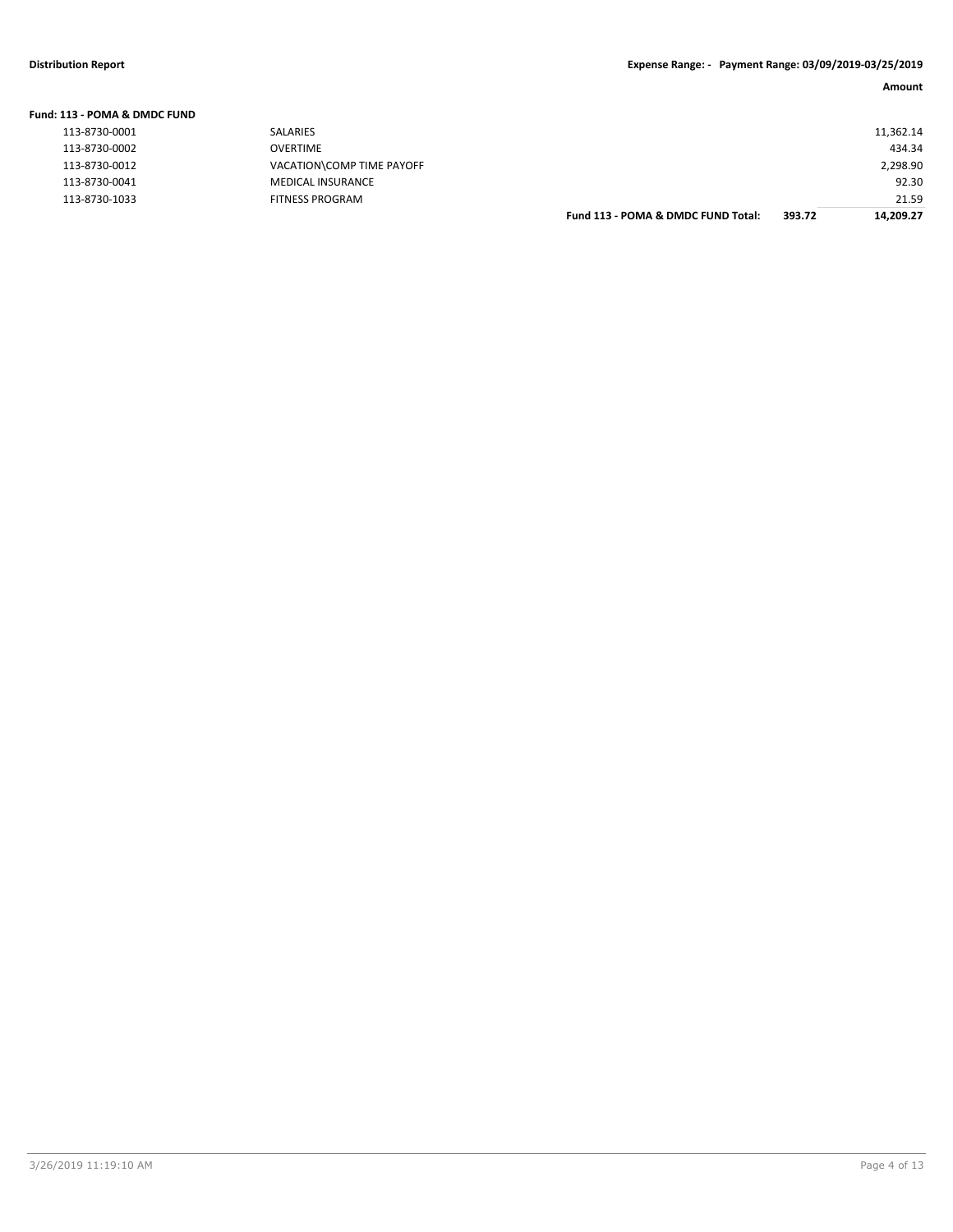#### **Fund: 113 - POMA & DMDC FUND** 113-8730-0001 SALARIES 11,362.14 113-8730-0002 OVERTIME 434.34 113-8730-0012 VACATION\COMP TIME PAYOFF 2,298.90 113-8730-0041 MEDICAL INSURANCE 92.30 21.59 FITNESS PROGRAM **EXAMPLE SERIES AND CONSUMED ASSESS** FOR THE SERIES PROGRAM **Fund 113 - POMA & DMDC FUND Total:** 393.72 14,209.27 **Fund 113 - POMA & DMDC FUND Total: 393.72 14,209.27**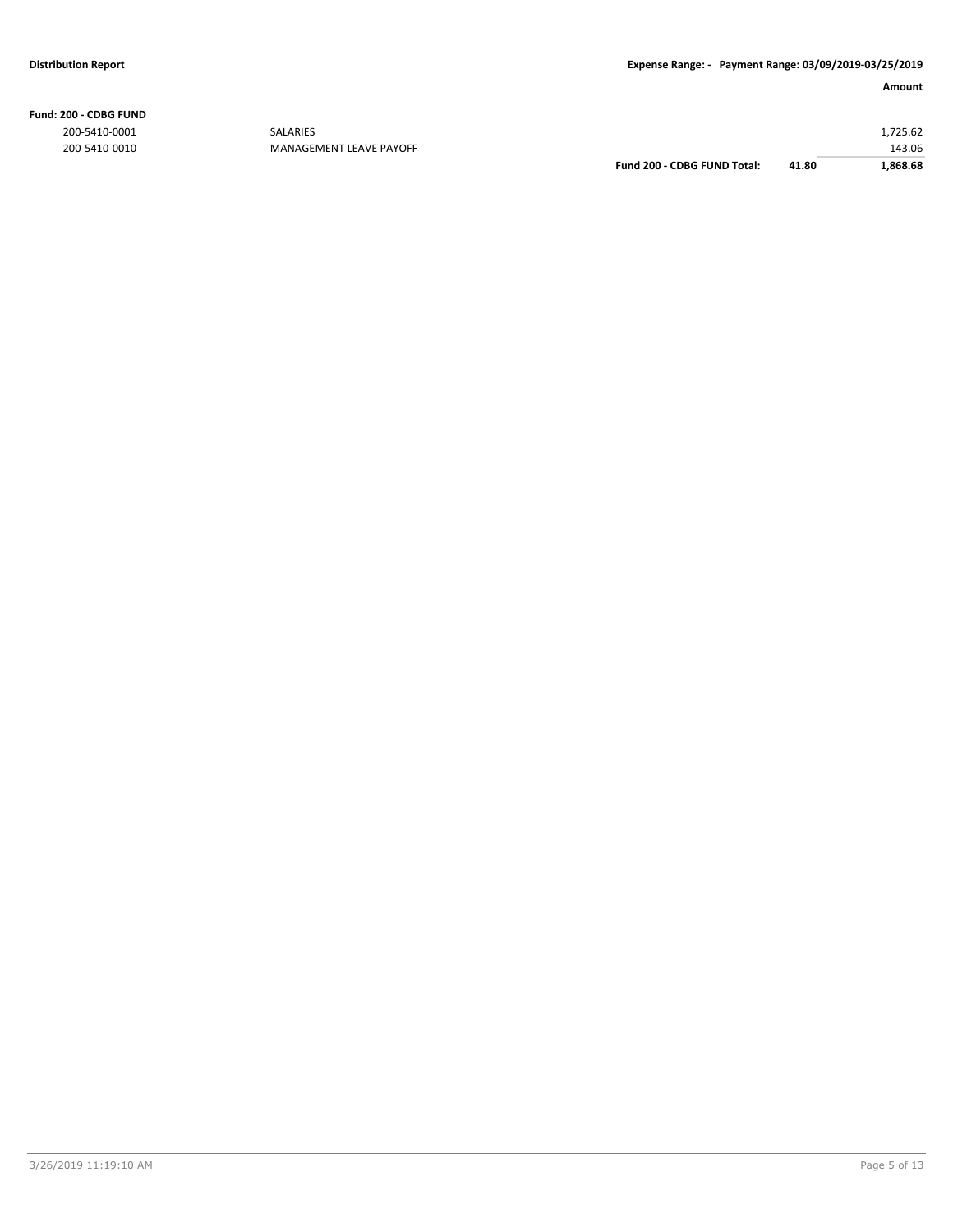**Fund: 200 - CDBG FUND**

|               |                         | Fund 200 - CDBG FUND Total: | 41.80 | 1,868.68 |
|---------------|-------------------------|-----------------------------|-------|----------|
| 200-5410-0010 | MANAGEMENT LEAVE PAYOFF |                             |       | 143.06   |
| 200-5410-0001 | <b>SALARIES</b>         |                             |       | L.725.62 |
|               |                         |                             |       |          |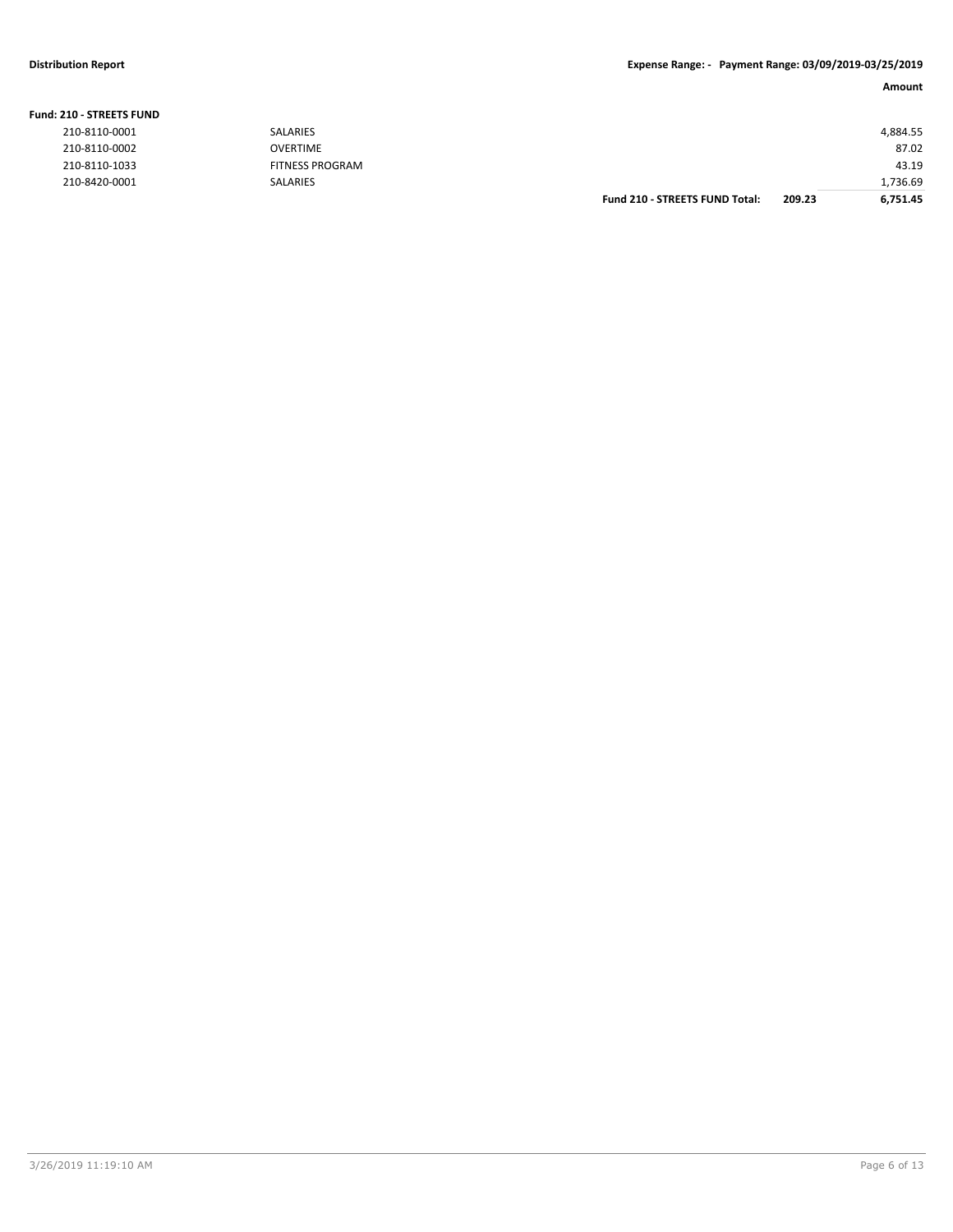### **Distribution Report Expense Range: - Payment Range: 03/09/2019-03/25/2019**

### **Amount**

| <b>210 - STREETS FUND</b> |                 |                                       |        |          |
|---------------------------|-----------------|---------------------------------------|--------|----------|
| 210-8110-0001             | <b>SALARIES</b> |                                       |        | 4,884.55 |
| 210-8110-0002             | <b>OVERTIME</b> |                                       |        | 87.02    |
| 210-8110-1033             | FITNESS PROGRAM |                                       |        | 43.19    |
| 210-8420-0001             | SALARIES        |                                       |        | 1,736.69 |
|                           |                 | <b>Fund 210 - STREETS FUND Total:</b> | 209.23 | 6.751.45 |

### **Fund: 210 - STREETS FUND**

| 210-8110-0001 |
|---------------|
| 210-8110-0002 |
| 210-8110-1033 |
| 210-8420-0001 |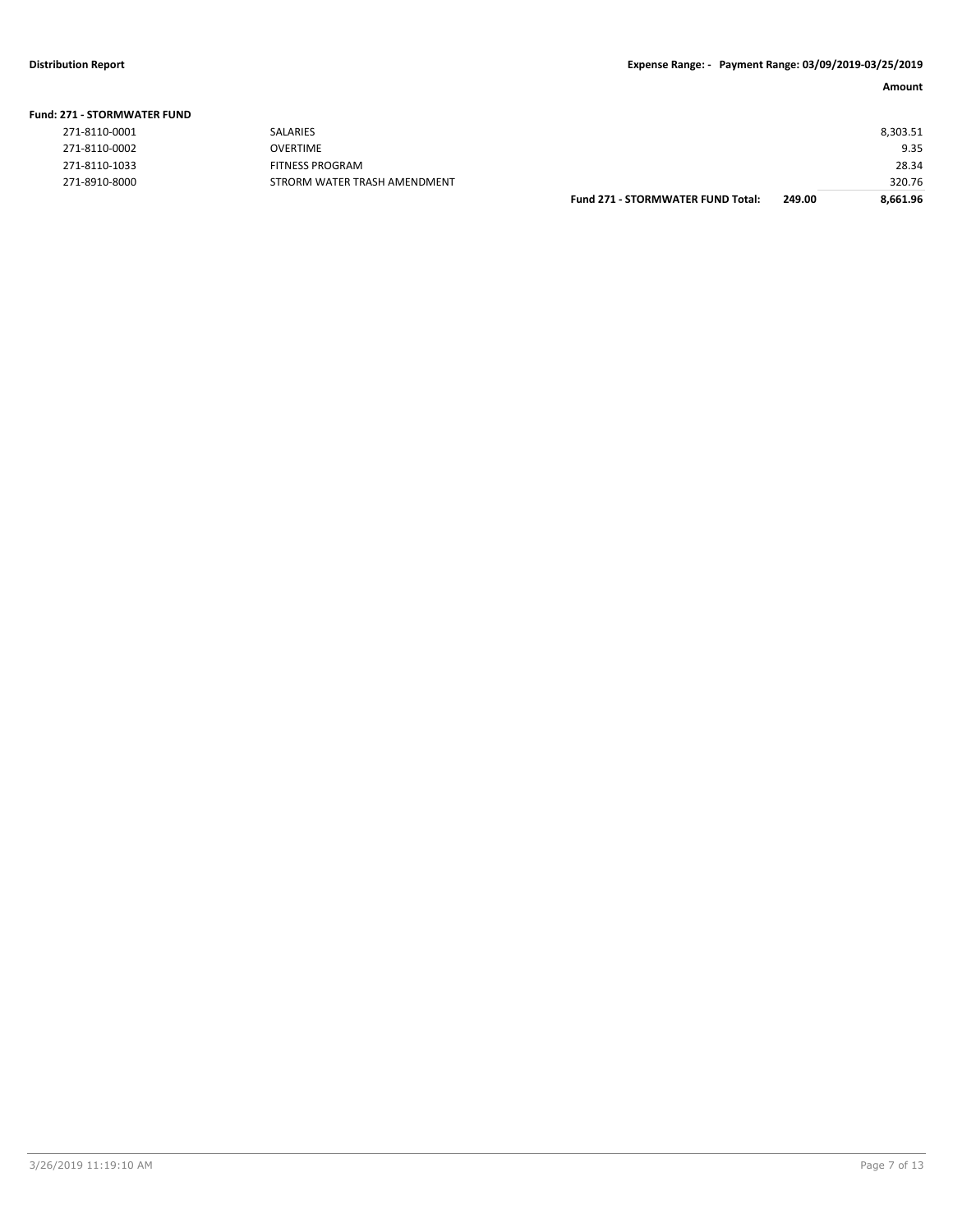| <b>Fund: 271 - STORMWATER FUND</b> |                              |                                   |        |          |
|------------------------------------|------------------------------|-----------------------------------|--------|----------|
| 271-8110-0001                      | SALARIES                     |                                   |        | 8,303.51 |
| 271-8110-0002                      | <b>OVERTIME</b>              |                                   |        | 9.35     |
| 271-8110-1033                      | <b>FITNESS PROGRAM</b>       |                                   |        | 28.34    |
| 271-8910-8000                      | STRORM WATER TRASH AMENDMENT |                                   |        | 320.76   |
|                                    |                              | Fund 271 - STORMWATER FUND Total: | 249.00 | 8,661.96 |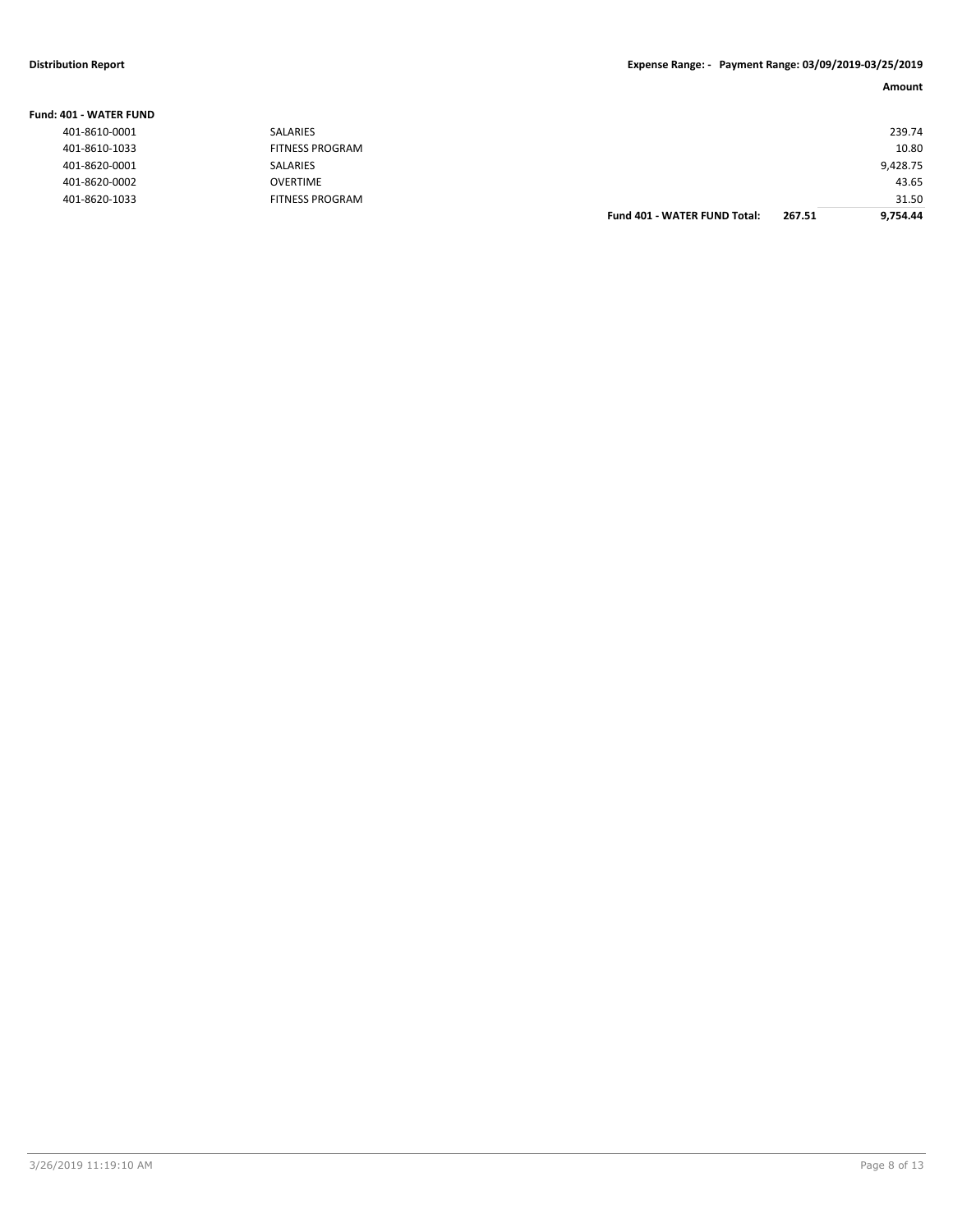### **Distribution Report Expense Range: - Payment Range: 03/09/2019-03/25/2019**

| umollin<br>≏ |
|--------------|
|--------------|

| Fund: 401 - WATER FUND |                        |                                     |        |          |
|------------------------|------------------------|-------------------------------------|--------|----------|
| 401-8610-0001          | <b>SALARIES</b>        |                                     |        | 239.74   |
| 401-8610-1033          | <b>FITNESS PROGRAM</b> |                                     |        | 10.80    |
| 401-8620-0001          | SALARIES               |                                     |        | 9,428.75 |
| 401-8620-0002          | <b>OVERTIME</b>        |                                     |        | 43.65    |
| 401-8620-1033          | <b>FITNESS PROGRAM</b> |                                     |        | 31.50    |
|                        |                        | <b>Fund 401 - WATER FUND Total:</b> | 267.51 | 9.754.44 |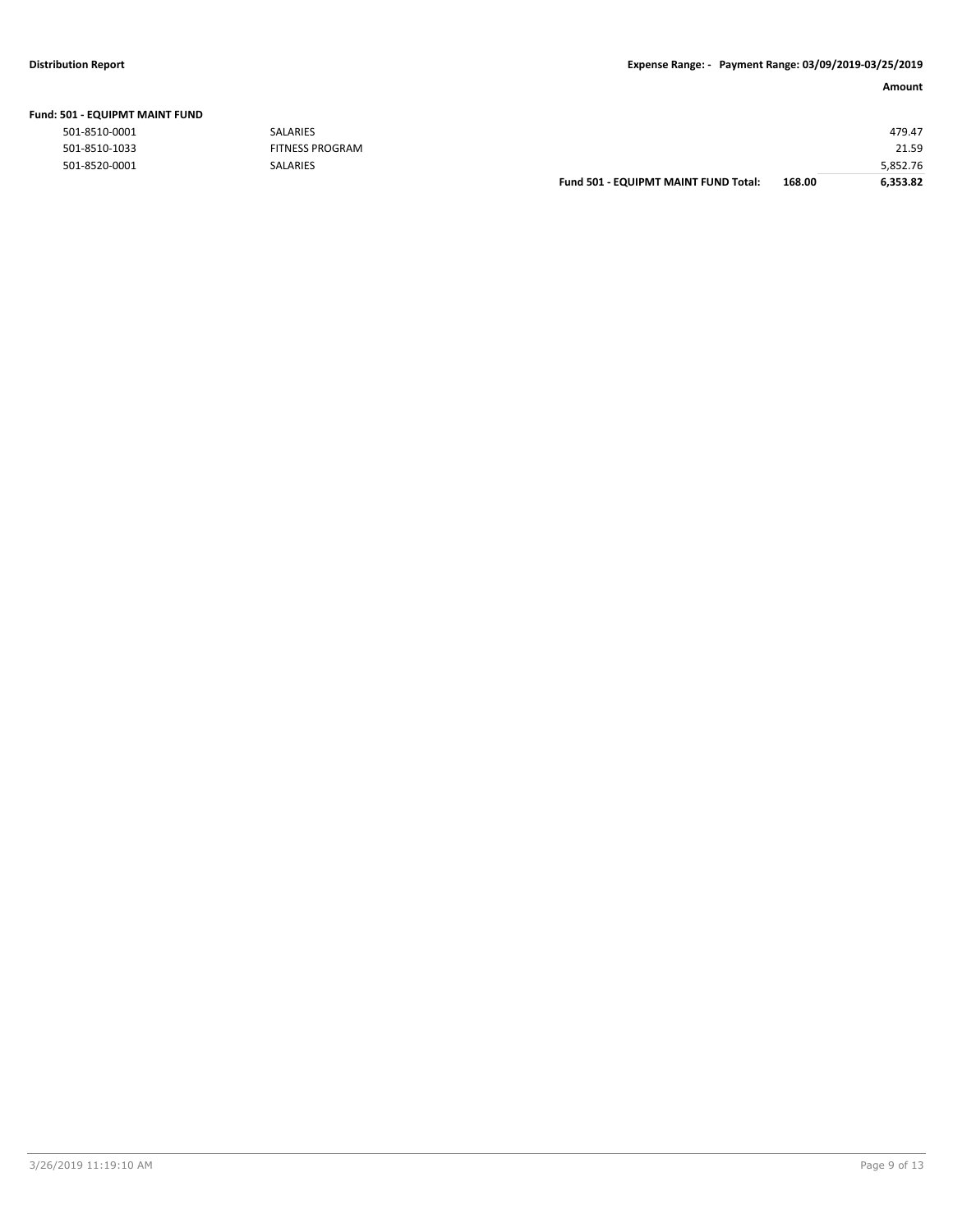| 501 - EQUIPMT MAINT FUND |                        |                                      |        |          |
|--------------------------|------------------------|--------------------------------------|--------|----------|
| 501-8510-0001            | SALARIES               |                                      |        | 479.47   |
| 501-8510-1033            | <b>FITNESS PROGRAM</b> |                                      |        | 21.59    |
| 501-8520-0001            | <b>SALARIES</b>        |                                      |        | 5,852.76 |
|                          |                        | Fund 501 - EQUIPMT MAINT FUND Total: | 168.00 | 6,353.82 |

#### **Fund: 501 - EQUIPMT MAINT FUND**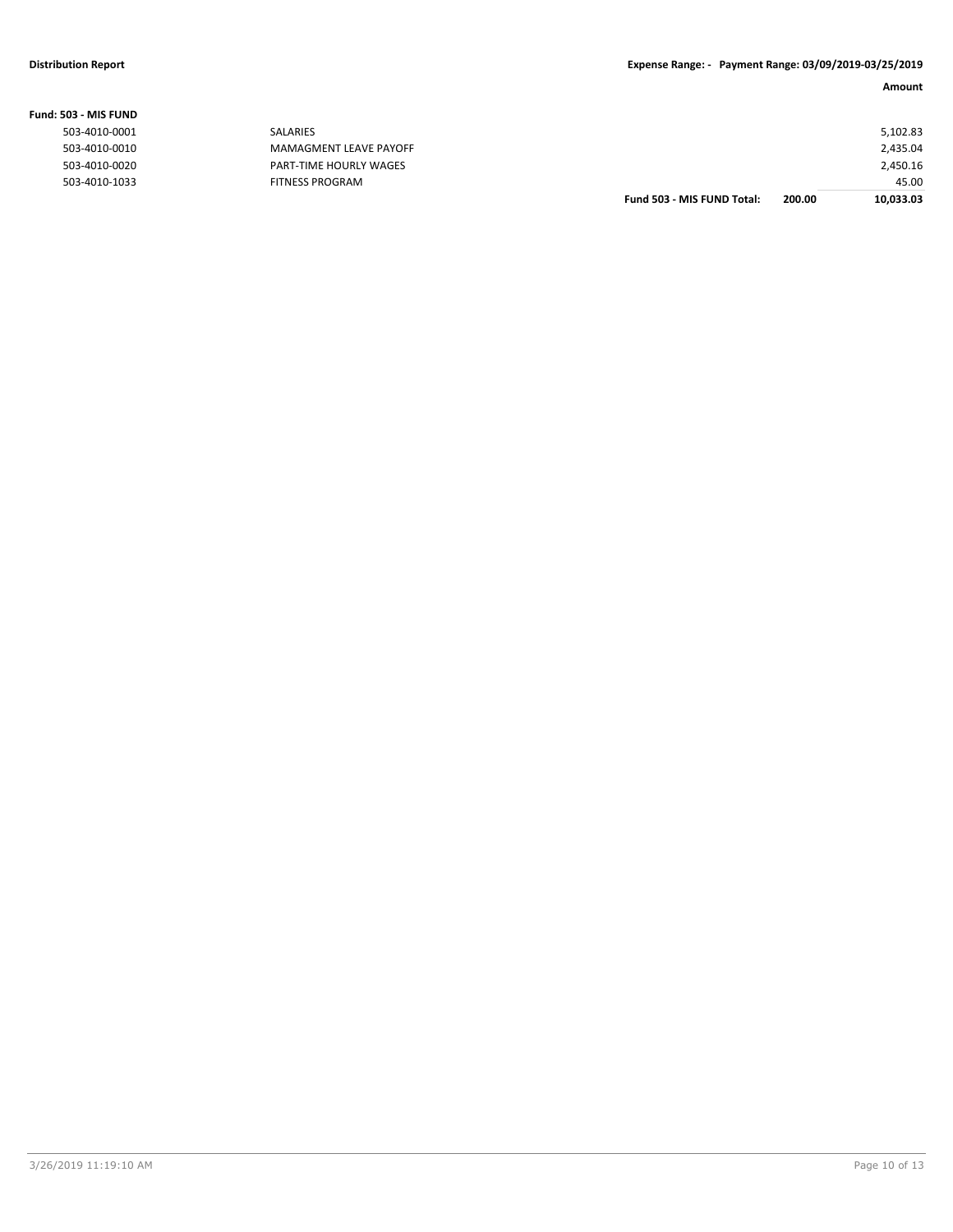|                |                        | Fund 503 - MIS FUND Total: | 200.00 | 10,033.03 |
|----------------|------------------------|----------------------------|--------|-----------|
| 503-4010-1033  | <b>FITNESS PROGRAM</b> |                            |        | 45.00     |
| 503-4010-0020  | PART-TIME HOURLY WAGES |                            |        | 2,450.16  |
| 503-4010-0010  | MAMAGMENT LEAVE PAYOFF |                            |        | 2,435.04  |
| 503-4010-0001  | SALARIES               |                            |        | 5,102.83  |
| 503 - MIS FUND |                        |                            |        |           |

#### **Fund: 503 - MIS FUND**

| 503-4010-0001 |
|---------------|
| 503-4010-0010 |
| 503-4010-0020 |
| 503-4010-1033 |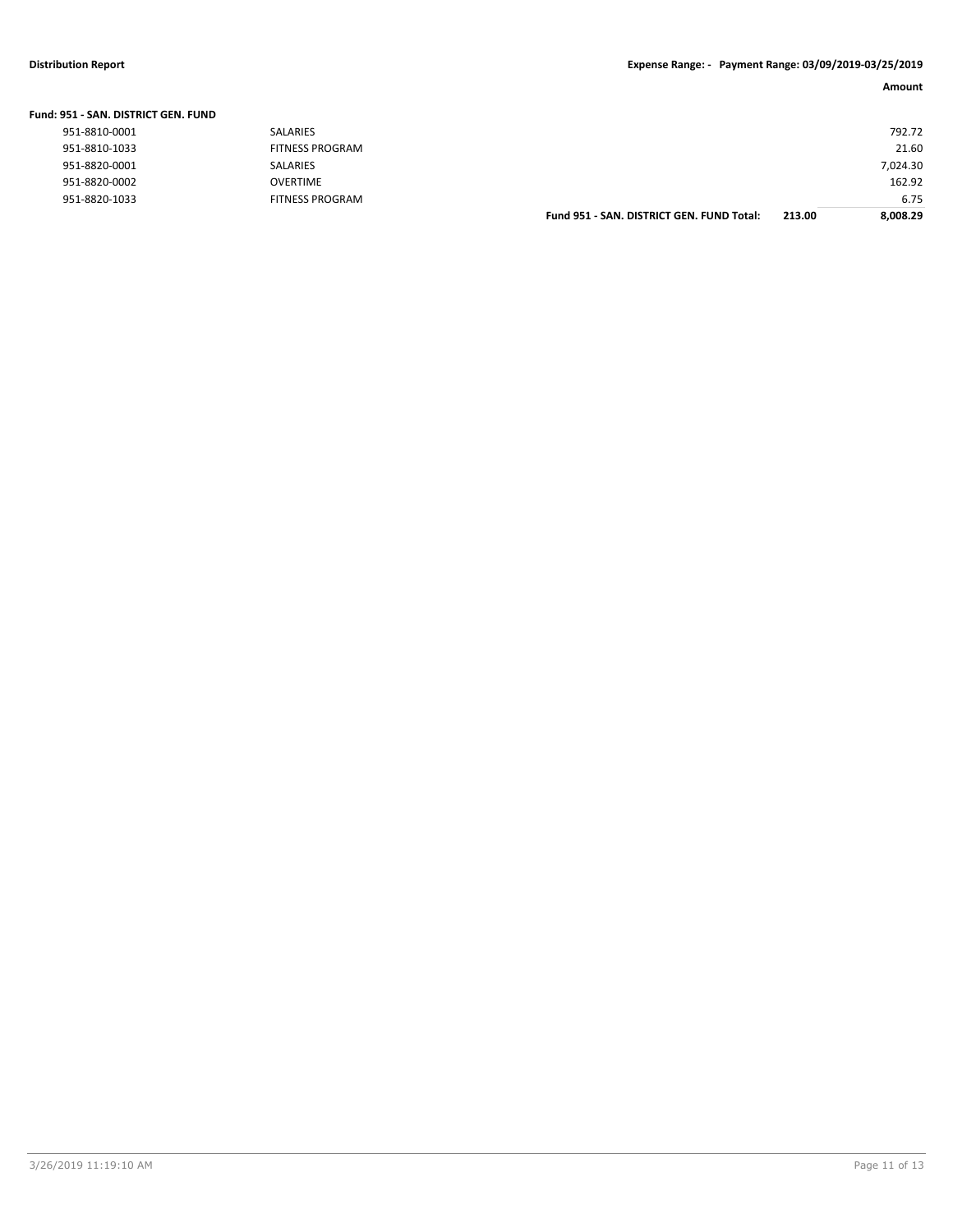### **Distribution Report Expense Range: - Payment Range: 03/09/2019-03/25/2019**

|  | Fund: 951 - SAN. DISTRICT GEN. FUND |
|--|-------------------------------------|
|--|-------------------------------------|

|               |                        | Fund 951 - SAN, DISTRICT GEN, FUND Total: | 213.00 | 8.008.29 |
|---------------|------------------------|-------------------------------------------|--------|----------|
| 951-8820-1033 | <b>FITNESS PROGRAM</b> |                                           |        | 6.75     |
| 951-8820-0002 | <b>OVERTIME</b>        |                                           |        | 162.92   |
| 951-8820-0001 | <b>SALARIES</b>        |                                           |        | 7,024.30 |
| 951-8810-1033 | <b>FITNESS PROGRAM</b> |                                           |        | 21.60    |
| 951-8810-0001 | <b>SALARIES</b>        |                                           |        | 792.72   |
|               |                        |                                           |        |          |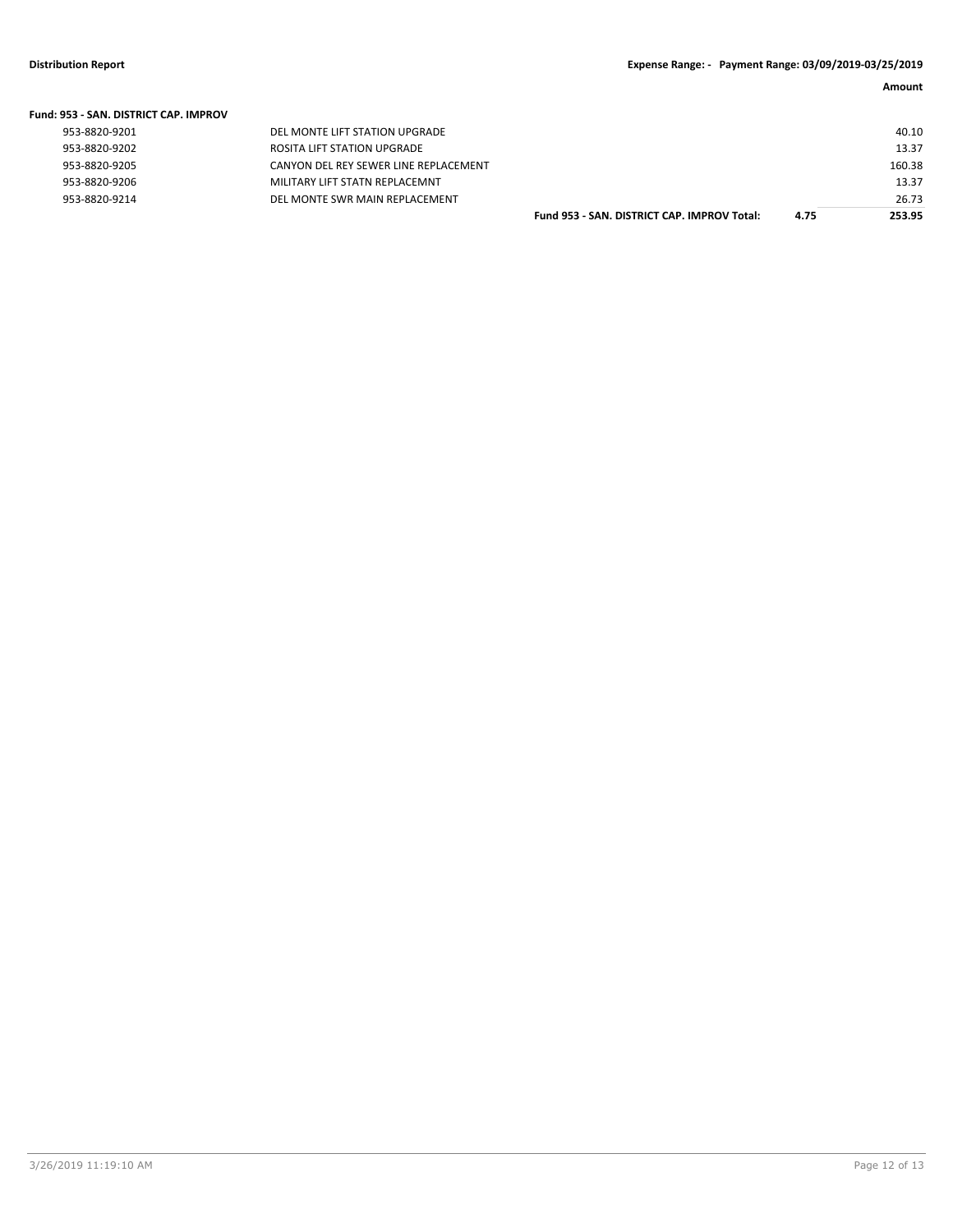| <b>Fund: 953 - SAN, DISTRICT CAP, IMPROV</b> |                                       |                                             |      |        |
|----------------------------------------------|---------------------------------------|---------------------------------------------|------|--------|
| 953-8820-9201                                | DEL MONTE LIFT STATION UPGRADE        |                                             |      | 40.10  |
| 953-8820-9202                                | ROSITA LIFT STATION UPGRADE           |                                             |      | 13.37  |
| 953-8820-9205                                | CANYON DEL REY SEWER LINE REPLACEMENT |                                             |      | 160.38 |
| 953-8820-9206                                | MILITARY LIFT STATN REPLACEMNT        |                                             |      | 13.37  |
| 953-8820-9214                                | DEL MONTE SWR MAIN REPLACEMENT        |                                             |      | 26.73  |
|                                              |                                       | Fund 953 - SAN, DISTRICT CAP, IMPROV Total: | 4.75 | 253.95 |